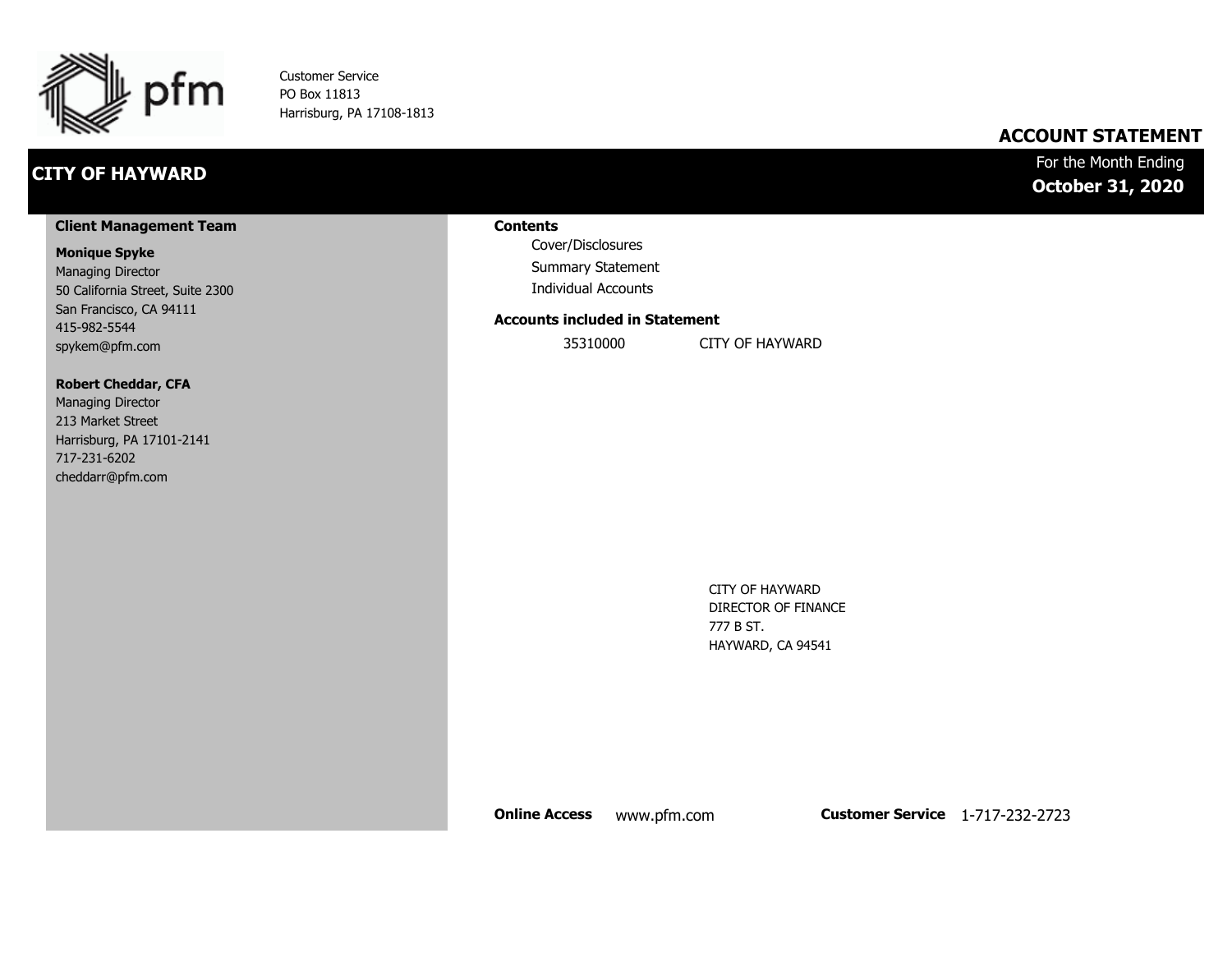

Customer Service PO Box 11813 Harrisburg, PA 17108-1813

## **CITY OF HAYWARD**

### **ACCOUNT STATEMENT**

For the Month Ending **October 31, 2020**

#### **Client Management Team**

#### **Monique Spyke**

Managing Director 50 California Street, Suite 2300 San Francisco, CA 94111 415-982-5544 spykem@pfm.com

#### **Robert Cheddar, CFA**

| <b>Managing Director</b>  |
|---------------------------|
| 213 Market Street         |
| Harrisburg, PA 17101-2141 |
| 717-231-6202              |
| cheddarr@pfm.com          |

#### **Contents**

Cover/Disclosures Summary Statement Individual Accounts

#### **Accounts included in Statement**

35310000 CITY OF HAYWARD

CITY OF HAYWARD DIRECTOR OF FINANCE 777 B ST. HAYWARD, CA 94541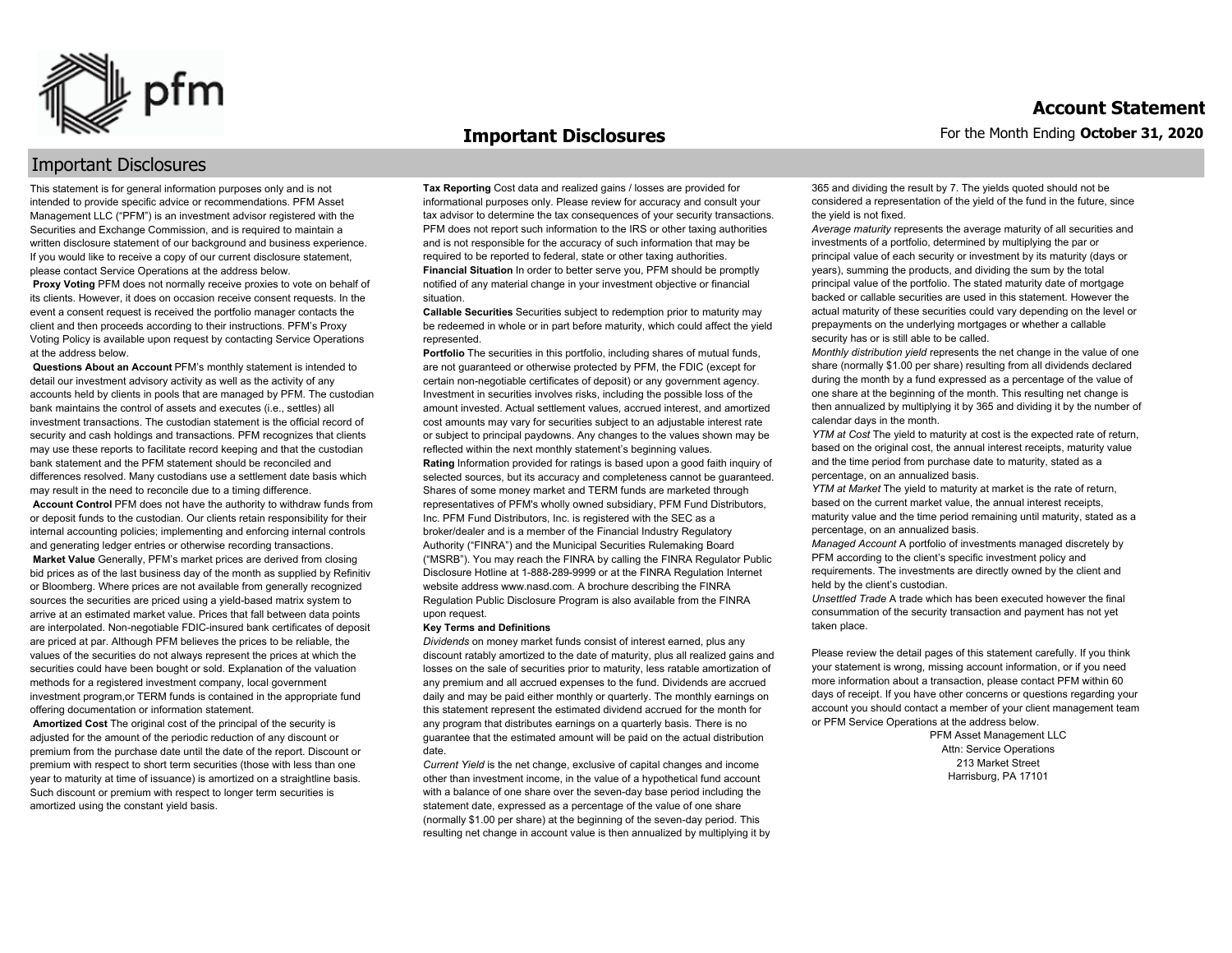

#### **Important Disclosures**

### Important Disclosures

This statement is for general information purposes only and is not intended to provide specific advice or recommendations. PFM Asset Management LLC ("PFM") is an investment advisor registered with the Securities and Exchange Commission, and is required to maintain a written disclosure statement of our background and business experience. If you would like to receive a copy of our current disclosure statement, please contact Service Operations at the address below.

**Proxy Voting** PFM does not normally receive proxies to vote on behalf of its clients. However, it does on occasion receive consent requests. In the event a consent request is received the portfolio manager contacts the client and then proceeds according to their instructions. PFM's Proxy Voting Policy is available upon request by contacting Service Operations at the address below.

**Questions About an Account** PFM's monthly statement is intended to detail our investment advisory activity as well as the activity of any accounts held by clients in pools that are managed by PFM. The custodian bank maintains the control of assets and executes (i.e., settles) all investment transactions. The custodian statement is the official record of security and cash holdings and transactions. PFM recognizes that clients may use these reports to facilitate record keeping and that the custodian bank statement and the PFM statement should be reconciled and differences resolved. Many custodians use a settlement date basis which may result in the need to reconcile due to a timing difference.

**Account Control** PFM does not have the authority to withdraw funds from or deposit funds to the custodian. Our clients retain responsibility for their internal accounting policies; implementing and enforcing internal controls and generating ledger entries or otherwise recording transactions.

**Market Value** Generally, PFM's market prices are derived from closing bid prices as of the last business day of the month as supplied by Refinitiv or Bloomberg. Where prices are not available from generally recognized sources the securities are priced using a yield-based matrix system to arrive at an estimated market value. Prices that fall between data points are interpolated. Non-negotiable FDIC-insured bank certificates of deposit are priced at par. Although PFM believes the prices to be reliable, the values of the securities do not always represent the prices at which the securities could have been bought or sold. Explanation of the valuation methods for a registered investment company, local government investment program,or TERM funds is contained in the appropriate fund offering documentation or information statement.

**Amortized Cost** The original cost of the principal of the security is adjusted for the amount of the periodic reduction of any discount or premium from the purchase date until the date of the report. Discount or premium with respect to short term securities (those with less than one year to maturity at time of issuance) is amortized on a straightline basis. Such discount or premium with respect to longer term securities is amortized using the constant yield basis.

**Tax Reporting** Cost data and realized gains / losses are provided for informational purposes only. Please review for accuracy and consult your tax advisor to determine the tax consequences of your security transactions. PFM does not report such information to the IRS or other taxing authorities and is not responsible for the accuracy of such information that may be required to be reported to federal, state or other taxing authorities. **Financial Situation** In order to better serve you, PFM should be promptly notified of any material change in your investment objective or financial situation.

**Callable Securities** Securities subject to redemption prior to maturity may be redeemed in whole or in part before maturity, which could affect the yield represented.

Portfolio The securities in this portfolio, including shares of mutual funds, are not guaranteed or otherwise protected by PFM, the FDIC (except for certain non-negotiable certificates of deposit) or any government agency. Investment in securities involves risks, including the possible loss of the amount invested. Actual settlement values, accrued interest, and amortized cost amounts may vary for securities subject to an adjustable interest rate or subject to principal paydowns. Any changes to the values shown may be reflected within the next monthly statement's beginning values. **Rating** Information provided for ratings is based upon a good faith inquiry of selected sources, but its accuracy and completeness cannot be guaranteed. Shares of some money market and TERM funds are marketed through representatives of PFM's wholly owned subsidiary, PFM Fund Distributors, Inc. PFM Fund Distributors, Inc. is registered with the SEC as a broker/dealer and is a member of the Financial Industry Regulatory Authority ("FINRA") and the Municipal Securities Rulemaking Board ("MSRB"). You may reach the FINRA by calling the FINRA Regulator Public Disclosure Hotline at 1-888-289-9999 or at the FINRA Regulation Internet website address www.nasd.com. A brochure describing the FINRA Regulation Public Disclosure Program is also available from the FINRA upon request.

#### **Key Terms and Definitions**

*Dividends* on money market funds consist of interest earned, plus any discount ratably amortized to the date of maturity, plus all realized gains and losses on the sale of securities prior to maturity, less ratable amortization of any premium and all accrued expenses to the fund. Dividends are accrued daily and may be paid either monthly or quarterly. The monthly earnings on this statement represent the estimated dividend accrued for the month for any program that distributes earnings on a quarterly basis. There is no guarantee that the estimated amount will be paid on the actual distribution date.

*Current Yield* is the net change, exclusive of capital changes and income other than investment income, in the value of a hypothetical fund account with a balance of one share over the seven-day base period including the statement date, expressed as a percentage of the value of one share (normally \$1.00 per share) at the beginning of the seven-day period. This resulting net change in account value is then annualized by multiplying it by 365 and dividing the result by 7. The yields quoted should not be considered a representation of the yield of the fund in the future, since the yield is not fixed.

*Average maturity* represents the average maturity of all securities and investments of a portfolio, determined by multiplying the par or principal value of each security or investment by its maturity (days or years), summing the products, and dividing the sum by the total principal value of the portfolio. The stated maturity date of mortgage backed or callable securities are used in this statement. However the actual maturity of these securities could vary depending on the level or prepayments on the underlying mortgages or whether a callable security has or is still able to be called.

*Monthly distribution yield* represents the net change in the value of one share (normally \$1.00 per share) resulting from all dividends declared during the month by a fund expressed as a percentage of the value of one share at the beginning of the month. This resulting net change is then annualized by multiplying it by 365 and dividing it by the number of calendar days in the month.

*YTM at Cost* The yield to maturity at cost is the expected rate of return, based on the original cost, the annual interest receipts, maturity value and the time period from purchase date to maturity, stated as a percentage, on an annualized basis.

*YTM at Market* The yield to maturity at market is the rate of return, based on the current market value, the annual interest receipts, maturity value and the time period remaining until maturity, stated as a percentage, on an annualized basis.

*Managed Account* A portfolio of investments managed discretely by PFM according to the client's specific investment policy and requirements. The investments are directly owned by the client and held by the client's custodian.

*Unsettled Trade* A trade which has been executed however the final consummation of the security transaction and payment has not yet taken place.

Please review the detail pages of this statement carefully. If you think your statement is wrong, missing account information, or if you need more information about a transaction, please contact PFM within 60 days of receipt. If you have other concerns or questions regarding your account you should contact a member of your client management team or PFM Service Operations at the address below.

> PFM Asset Management LLC Attn: Service Operations 213 Market Street Harrisburg, PA 17101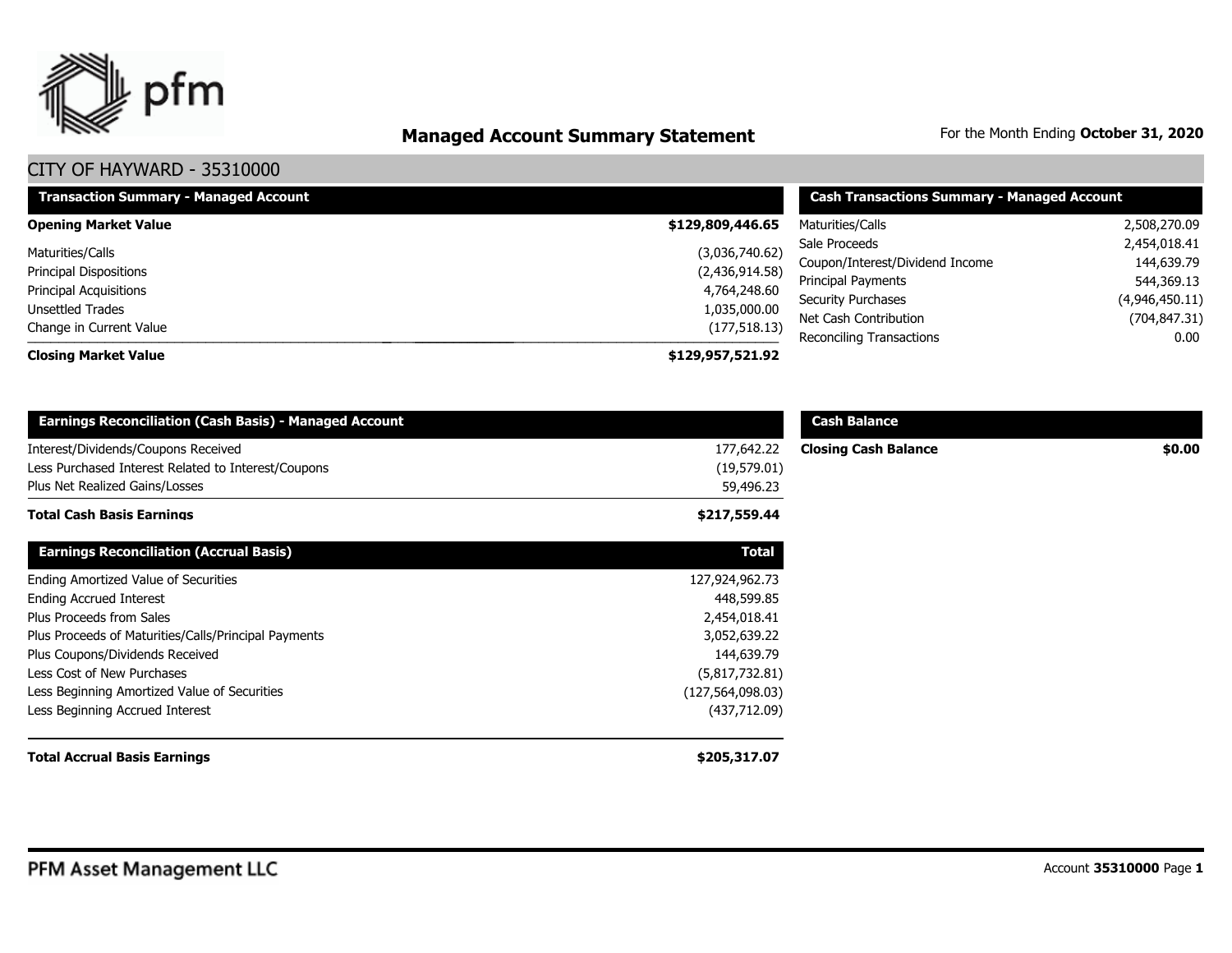

# **Managed Account Summary Statement** For the Month Ending October 31, 2020

| <b>Transaction Summary - Managed Account</b>            | <b>Cash Transactions Summary - Managed Account</b> |                                 |                |  |
|---------------------------------------------------------|----------------------------------------------------|---------------------------------|----------------|--|
| <b>Opening Market Value</b>                             | \$129,809,446.65                                   | Maturities/Calls                | 2,508,270.09   |  |
| Maturities/Calls                                        | (3,036,740.62)                                     | Sale Proceeds                   | 2,454,018.41   |  |
| <b>Principal Dispositions</b><br>Principal Acquisitions | (2,436,914.58)                                     | Coupon/Interest/Dividend Income | 144,639.79     |  |
|                                                         | 4,764,248.60                                       | Principal Payments              | 544,369.13     |  |
| Unsettled Trades                                        | 1,035,000.00                                       | <b>Security Purchases</b>       | (4,946,450.11) |  |
| Change in Current Value                                 | (177, 518.13)                                      | Net Cash Contribution           | (704, 847.31)  |  |
| <b>Closing Market Value</b>                             | \$129,957,521.92                                   | Reconciling Transactions        | 0.00           |  |

| <b>Earnings Reconciliation (Cash Basis) - Managed Account</b> |                    | <b>Cash Balance</b>         |        |
|---------------------------------------------------------------|--------------------|-----------------------------|--------|
| Interest/Dividends/Coupons Received                           | 177,642.22         | <b>Closing Cash Balance</b> | \$0.00 |
| Less Purchased Interest Related to Interest/Coupons           | (19,579.01)        |                             |        |
| Plus Net Realized Gains/Losses                                | 59,496.23          |                             |        |
| <b>Total Cash Basis Earnings</b>                              | \$217,559.44       |                             |        |
| <b>Earnings Reconciliation (Accrual Basis)</b>                | <b>Total</b>       |                             |        |
| Ending Amortized Value of Securities                          | 127,924,962.73     |                             |        |
| <b>Ending Accrued Interest</b>                                | 448,599.85         |                             |        |
| Plus Proceeds from Sales                                      | 2,454,018.41       |                             |        |
| Plus Proceeds of Maturities/Calls/Principal Payments          | 3,052,639.22       |                             |        |
| Plus Coupons/Dividends Received                               | 144,639.79         |                             |        |
| Less Cost of New Purchases                                    | (5,817,732.81)     |                             |        |
| Less Beginning Amortized Value of Securities                  | (127, 564, 098.03) |                             |        |
| Less Beginning Accrued Interest                               | (437, 712.09)      |                             |        |
| <b>Total Accrual Basis Earnings</b>                           | \$205,317.07       |                             |        |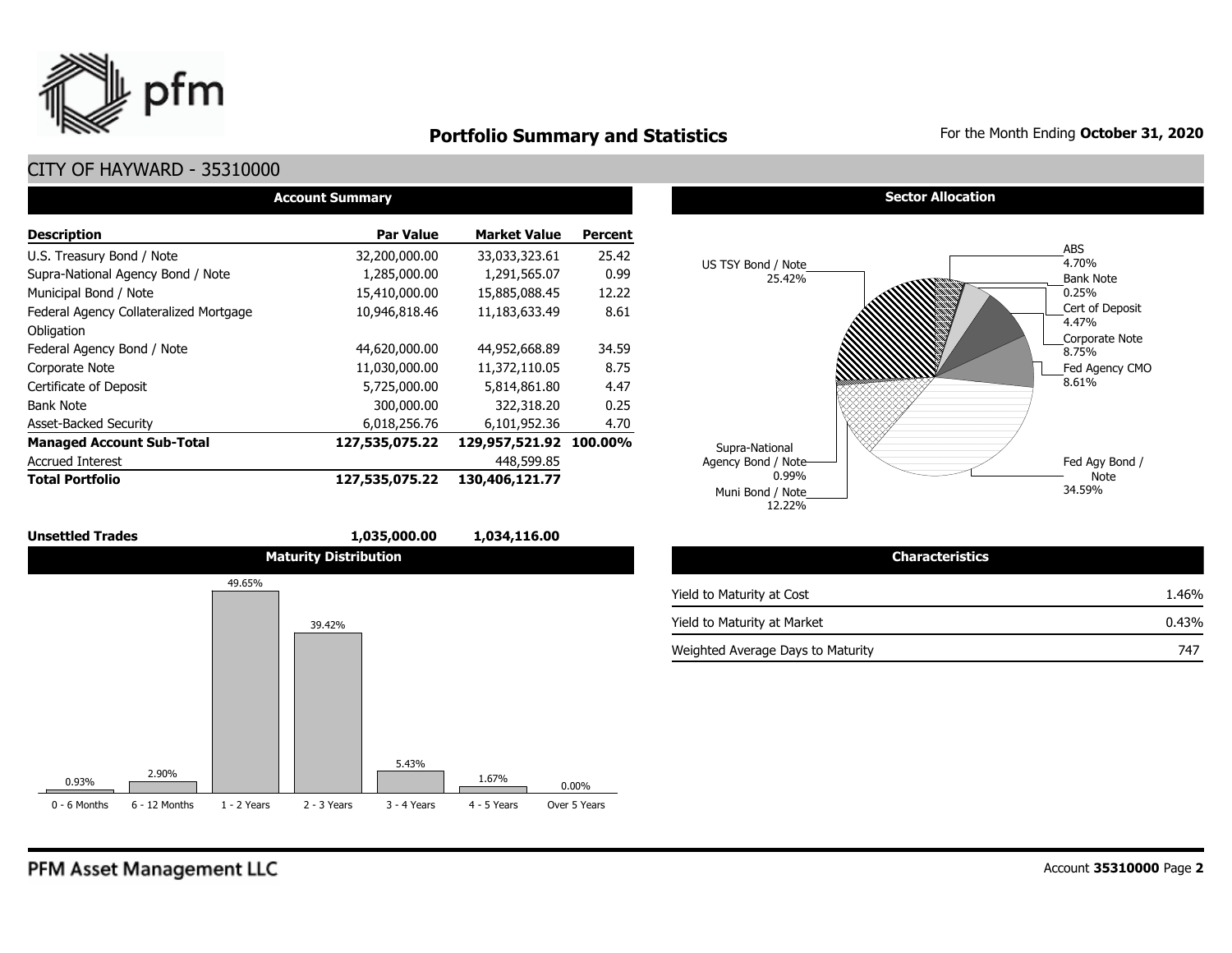

## **Portfolio Summary and Statistics** For the Month Ending October 31, 2020

## CITY OF HAYWARD - 35310000

| <b>Account Summary</b>                 |                  |                        |         |  |  |  |  |  |  |
|----------------------------------------|------------------|------------------------|---------|--|--|--|--|--|--|
| <b>Description</b>                     | <b>Par Value</b> | <b>Market Value</b>    | Percent |  |  |  |  |  |  |
| U.S. Treasury Bond / Note              | 32,200,000.00    | 33,033,323.61          | 25.42   |  |  |  |  |  |  |
| Supra-National Agency Bond / Note      | 1,285,000.00     | 1,291,565.07           | 0.99    |  |  |  |  |  |  |
| Municipal Bond / Note                  | 15,410,000.00    | 15,885,088.45          | 12.22   |  |  |  |  |  |  |
| Federal Agency Collateralized Mortgage | 10,946,818.46    | 11,183,633.49          | 8.61    |  |  |  |  |  |  |
| Obligation                             |                  |                        |         |  |  |  |  |  |  |
| Federal Agency Bond / Note             | 44,620,000.00    | 44,952,668.89          | 34.59   |  |  |  |  |  |  |
| Corporate Note                         | 11,030,000.00    | 11,372,110.05          | 8.75    |  |  |  |  |  |  |
| Certificate of Deposit                 | 5,725,000.00     | 5,814,861.80           | 4.47    |  |  |  |  |  |  |
| <b>Bank Note</b>                       | 300,000.00       | 322,318.20             | 0.25    |  |  |  |  |  |  |
| <b>Asset-Backed Security</b>           | 6,018,256.76     | 6,101,952.36           | 4.70    |  |  |  |  |  |  |
| <b>Managed Account Sub-Total</b>       | 127,535,075.22   | 129,957,521.92 100.00% |         |  |  |  |  |  |  |
| <b>Accrued Interest</b>                |                  | 448,599.85             |         |  |  |  |  |  |  |
| <b>Total Portfolio</b>                 | 127,535,075.22   | 130,406,121.77         |         |  |  |  |  |  |  |



#### **Sector Allocation**



| <b>Characteristics</b>            |          |
|-----------------------------------|----------|
| Yield to Maturity at Cost         | 1.46%    |
| Yield to Maturity at Market       | $0.43\%$ |
| Weighted Average Days to Maturity | 747      |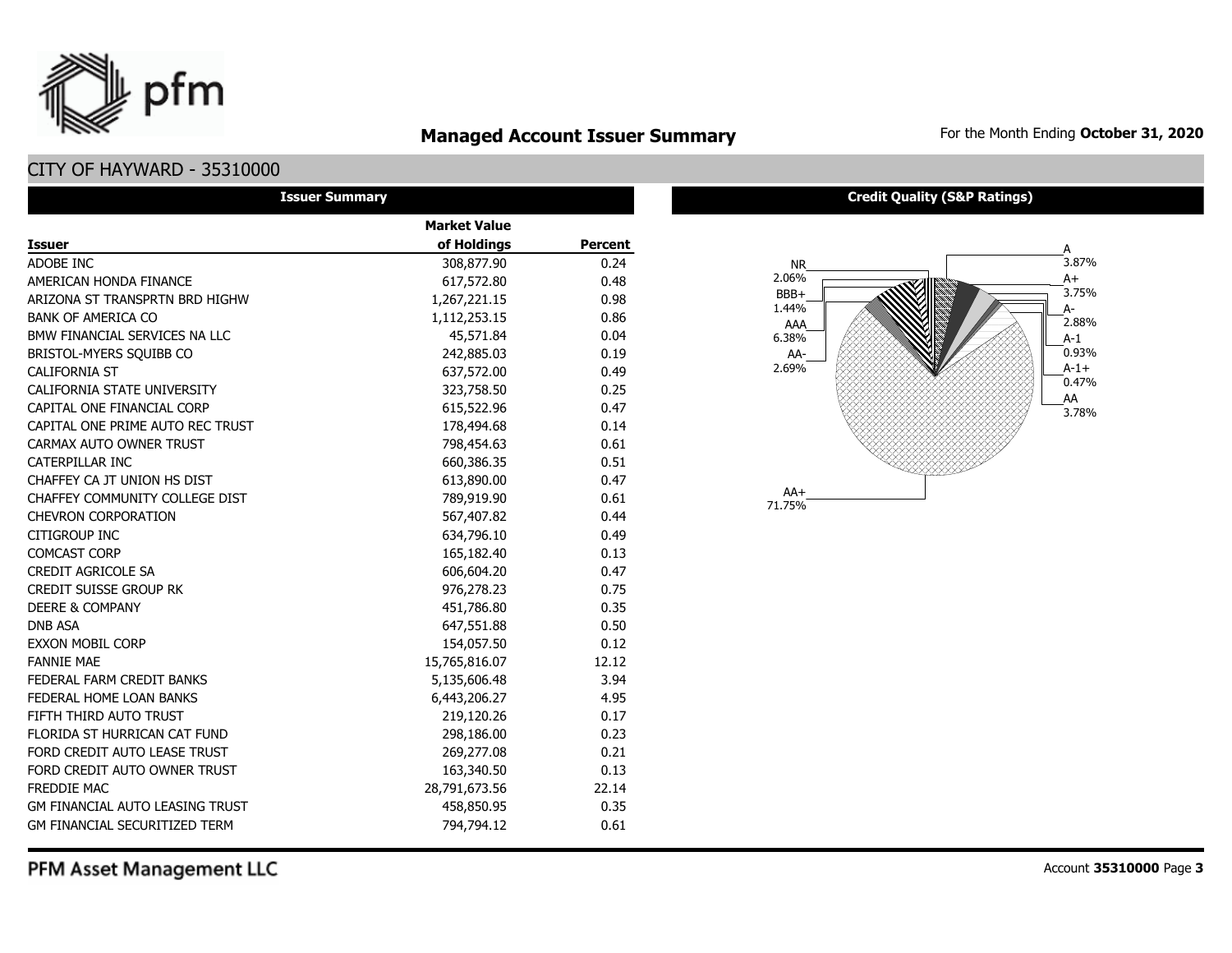

## **Managed Account Issuer Summary** For the Month Ending October 31, 2020

### CITY OF HAYWARD - 35310000

| <b>Issuer Summary</b>                  |                     |                |
|----------------------------------------|---------------------|----------------|
|                                        | <b>Market Value</b> |                |
| <b>Issuer</b>                          | of Holdings         | <b>Percent</b> |
| ADOBE INC                              | 308,877.90          | 0.24           |
| AMERICAN HONDA FINANCE                 | 617,572.80          | 0.48           |
| ARIZONA ST TRANSPRTN BRD HIGHW         | 1,267,221.15        | 0.98           |
| <b>BANK OF AMERICA CO</b>              | 1,112,253.15        | 0.86           |
| BMW FINANCIAL SERVICES NA LLC          | 45,571.84           | 0.04           |
| BRISTOL-MYERS SOUIBB CO                | 242,885.03          | 0.19           |
| <b>CALIFORNIA ST</b>                   | 637,572.00          | 0.49           |
| CALIFORNIA STATE UNIVERSITY            | 323,758.50          | 0.25           |
| CAPITAL ONE FINANCIAL CORP             | 615,522.96          | 0.47           |
| CAPITAL ONE PRIME AUTO REC TRUST       | 178,494.68          | 0.14           |
| CARMAX AUTO OWNER TRUST                | 798,454.63          | 0.61           |
| CATERPILLAR INC                        | 660,386.35          | 0.51           |
| CHAFFEY CA JT UNION HS DIST            | 613,890.00          | 0.47           |
| CHAFFEY COMMUNITY COLLEGE DIST         | 789,919.90          | 0.61           |
| <b>CHEVRON CORPORATION</b>             | 567,407.82          | 0.44           |
| CITIGROUP INC                          | 634,796.10          | 0.49           |
| <b>COMCAST CORP</b>                    | 165,182.40          | 0.13           |
| <b>CREDIT AGRICOLE SA</b>              | 606,604.20          | 0.47           |
| <b>CREDIT SUISSE GROUP RK</b>          | 976,278.23          | 0.75           |
| <b>DEERE &amp; COMPANY</b>             | 451,786.80          | 0.35           |
| <b>DNB ASA</b>                         | 647,551.88          | 0.50           |
| <b>EXXON MOBIL CORP</b>                | 154,057.50          | 0.12           |
| <b>FANNIF MAF</b>                      | 15,765,816.07       | 12.12          |
| FEDERAL FARM CREDIT BANKS              | 5,135,606.48        | 3.94           |
| FEDERAL HOME LOAN BANKS                | 6,443,206.27        | 4.95           |
| FIFTH THIRD AUTO TRUST                 | 219,120.26          | 0.17           |
| FLORIDA ST HURRICAN CAT FUND           | 298,186.00          | 0.23           |
| FORD CREDIT AUTO LEASE TRUST           | 269,277.08          | 0.21           |
| FORD CREDIT AUTO OWNER TRUST           | 163,340.50          | 0.13           |
| <b>FREDDIE MAC</b>                     | 28,791,673.56       | 22.14          |
| <b>GM FINANCIAL AUTO LEASING TRUST</b> | 458,850.95          | 0.35           |
| GM FINANCIAL SECURITIZED TERM          | 794,794.12          | 0.61           |

#### **Credit Quality (S&P Ratings)**



PFM Asset Management LLC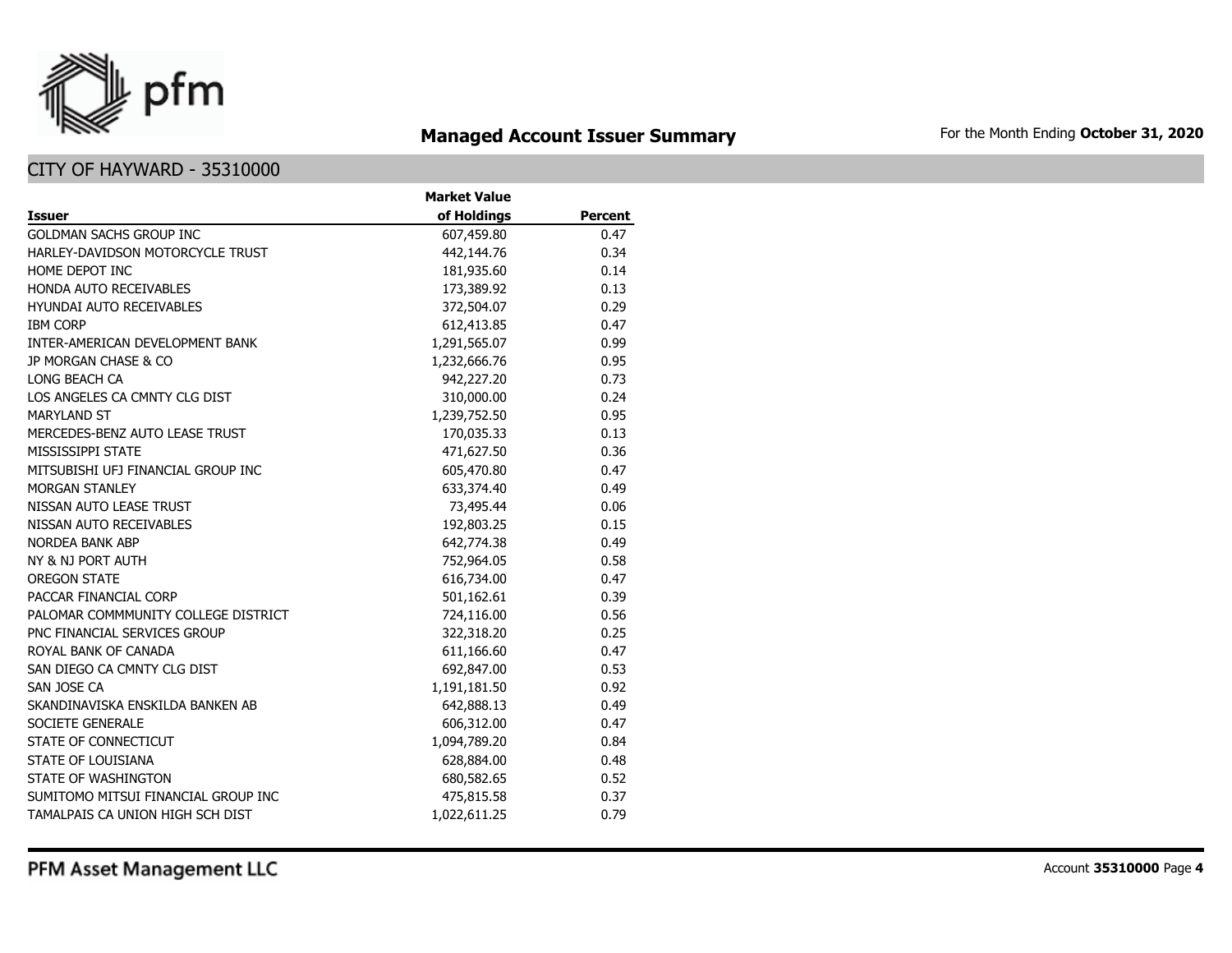

## **Managed Account Issuer Summary** For the Month Ending October 31, 2020

|                                     | <b>Market Value</b> |                |
|-------------------------------------|---------------------|----------------|
| <b>Issuer</b>                       | of Holdings         | <b>Percent</b> |
| <b>GOLDMAN SACHS GROUP INC</b>      | 607,459.80          | 0.47           |
| HARLEY-DAVIDSON MOTORCYCLE TRUST    | 442,144.76          | 0.34           |
| HOME DEPOT INC                      | 181,935.60          | 0.14           |
| <b>HONDA AUTO RECEIVABLES</b>       | 173,389.92          | 0.13           |
| <b>HYUNDAI AUTO RECEIVABLES</b>     | 372,504.07          | 0.29           |
| <b>IBM CORP</b>                     | 612,413.85          | 0.47           |
| INTER-AMERICAN DEVELOPMENT BANK     | 1,291,565.07        | 0.99           |
| JP MORGAN CHASE & CO                | 1,232,666.76        | 0.95           |
| LONG BEACH CA                       | 942,227.20          | 0.73           |
| LOS ANGELES CA CMNTY CLG DIST       | 310,000.00          | 0.24           |
| <b>MARYLAND ST</b>                  | 1,239,752.50        | 0.95           |
| MERCEDES-BENZ AUTO LEASE TRUST      | 170,035.33          | 0.13           |
| MISSISSIPPI STATE                   | 471,627.50          | 0.36           |
| MITSUBISHI UFJ FINANCIAL GROUP INC  | 605,470.80          | 0.47           |
| <b>MORGAN STANLEY</b>               | 633,374.40          | 0.49           |
| NISSAN AUTO LEASE TRUST             | 73,495.44           | 0.06           |
| NISSAN AUTO RECEIVABLES             | 192,803.25          | 0.15           |
| NORDEA BANK ABP                     | 642,774.38          | 0.49           |
| NY & NJ PORT AUTH                   | 752,964.05          | 0.58           |
| <b>OREGON STATE</b>                 | 616,734.00          | 0.47           |
| PACCAR FINANCIAL CORP               | 501,162.61          | 0.39           |
| PALOMAR COMMMUNITY COLLEGE DISTRICT | 724,116.00          | 0.56           |
| PNC FINANCIAL SERVICES GROUP        | 322,318.20          | 0.25           |
| ROYAL BANK OF CANADA                | 611,166.60          | 0.47           |
| SAN DIEGO CA CMNTY CLG DIST         | 692,847.00          | 0.53           |
| SAN JOSE CA                         | 1,191,181.50        | 0.92           |
| SKANDINAVISKA ENSKILDA BANKEN AB    | 642,888.13          | 0.49           |
| SOCIETE GENERALE                    | 606,312.00          | 0.47           |
| STATE OF CONNECTICUT                | 1,094,789.20        | 0.84           |
| <b>STATE OF LOUISIANA</b>           | 628,884.00          | 0.48           |
| STATE OF WASHINGTON                 | 680,582.65          | 0.52           |
| SUMITOMO MITSUI FINANCIAL GROUP INC | 475,815.58          | 0.37           |
| TAMALPAIS CA UNION HIGH SCH DIST    | 1,022,611.25        | 0.79           |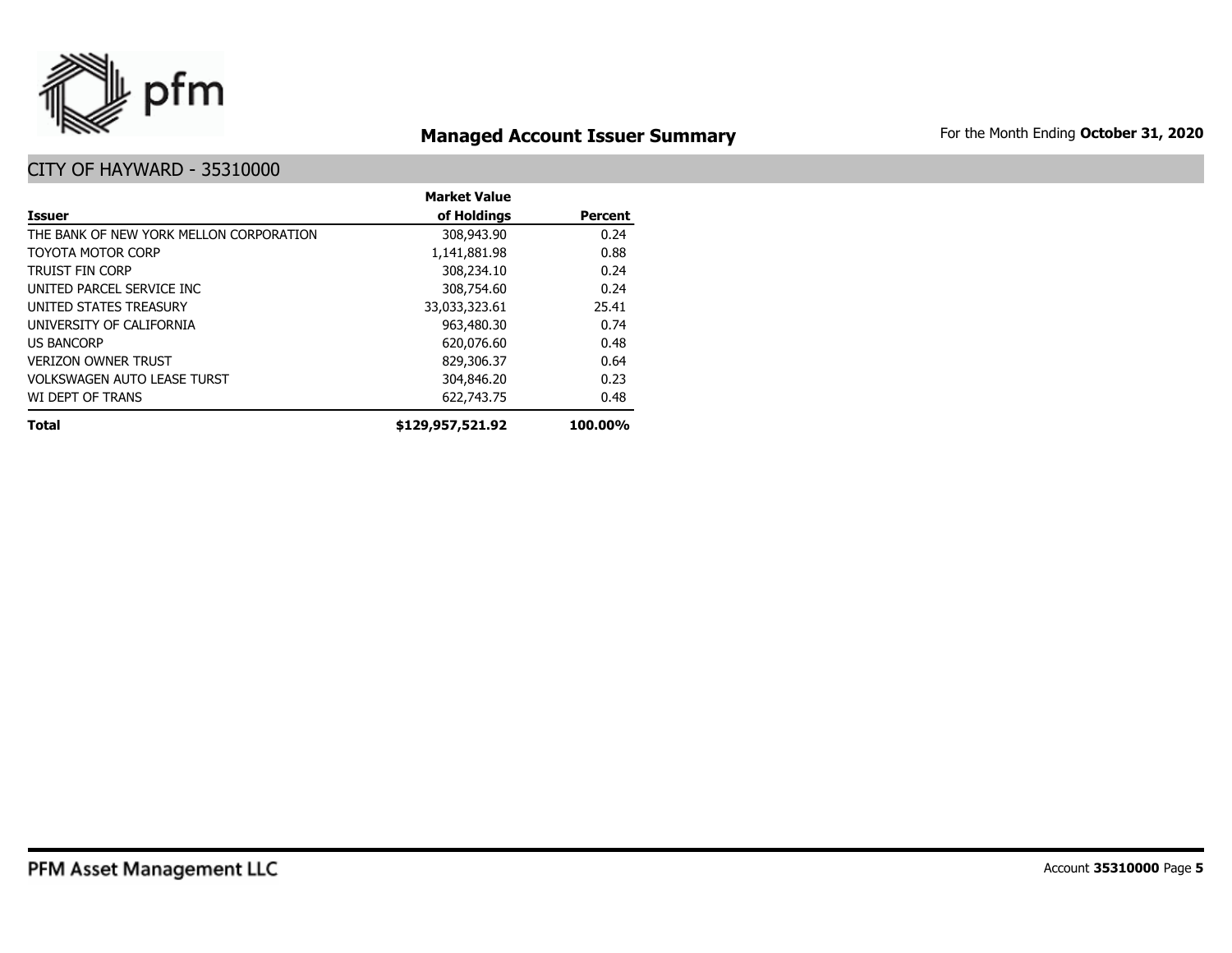

## **Managed Account Issuer Summary** For the Month Ending October 31, 2020

|                                         | <b>Market Value</b> |                |
|-----------------------------------------|---------------------|----------------|
| <b>Issuer</b>                           | of Holdings         | <b>Percent</b> |
| THE BANK OF NEW YORK MELLON CORPORATION | 308,943.90          | 0.24           |
| TOYOTA MOTOR CORP                       | 1,141,881.98        | 0.88           |
| <b>TRUIST FIN CORP</b>                  | 308,234.10          | 0.24           |
| UNITED PARCEL SERVICE INC               | 308,754.60          | 0.24           |
| UNITED STATES TREASURY                  | 33,033,323.61       | 25.41          |
| UNIVERSITY OF CALIFORNIA                | 963,480.30          | 0.74           |
| <b>US BANCORP</b>                       | 620,076.60          | 0.48           |
| <b>VERIZON OWNER TRUST</b>              | 829,306.37          | 0.64           |
| <b>VOLKSWAGEN AUTO LEASE TURST</b>      | 304,846.20          | 0.23           |
| WI DEPT OF TRANS                        | 622,743.75          | 0.48           |
| <b>Total</b>                            | \$129,957,521.92    | 100.00%        |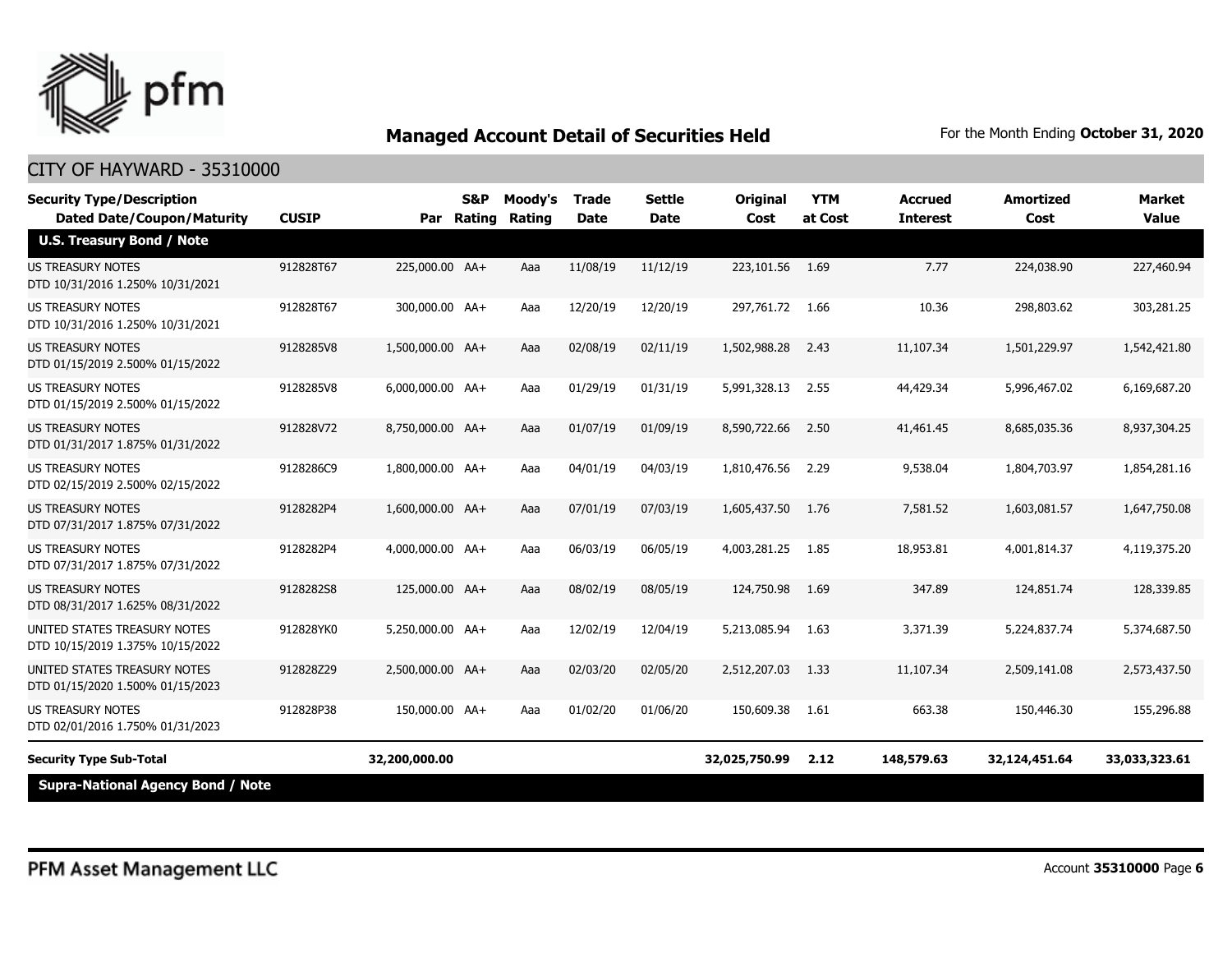

| <b>Security Type/Description</b><br><b>Dated Date/Coupon/Maturity</b> | <b>CUSIP</b> | Par              | S&P<br><b>Rating</b> | Moody's<br>Rating | <b>Trade</b><br><b>Date</b> | <b>Settle</b><br><b>Date</b> | <b>Original</b><br>Cost | <b>YTM</b><br>at Cost | Accrued<br><b>Interest</b> | <b>Amortized</b><br>Cost | <b>Market</b><br><b>Value</b> |
|-----------------------------------------------------------------------|--------------|------------------|----------------------|-------------------|-----------------------------|------------------------------|-------------------------|-----------------------|----------------------------|--------------------------|-------------------------------|
| <b>U.S. Treasury Bond / Note</b>                                      |              |                  |                      |                   |                             |                              |                         |                       |                            |                          |                               |
| <b>US TREASURY NOTES</b><br>DTD 10/31/2016 1.250% 10/31/2021          | 912828T67    | 225,000.00 AA+   |                      | Aaa               | 11/08/19                    | 11/12/19                     | 223,101.56              | 1.69                  | 7.77                       | 224,038.90               | 227,460.94                    |
| <b>US TREASURY NOTES</b><br>DTD 10/31/2016 1.250% 10/31/2021          | 912828T67    | 300,000,00 AA+   |                      | Aaa               | 12/20/19                    | 12/20/19                     | 297,761,72              | 1.66                  | 10.36                      | 298,803.62               | 303,281.25                    |
| <b>US TREASURY NOTES</b><br>DTD 01/15/2019 2.500% 01/15/2022          | 9128285V8    | 1,500,000.00 AA+ |                      | Aaa               | 02/08/19                    | 02/11/19                     | 1,502,988.28            | 2.43                  | 11,107.34                  | 1,501,229.97             | 1,542,421.80                  |
| <b>US TREASURY NOTES</b><br>DTD 01/15/2019 2.500% 01/15/2022          | 9128285V8    | 6,000,000.00 AA+ |                      | Aaa               | 01/29/19                    | 01/31/19                     | 5,991,328.13            | 2.55                  | 44,429.34                  | 5,996,467.02             | 6,169,687.20                  |
| <b>US TREASURY NOTES</b><br>DTD 01/31/2017 1.875% 01/31/2022          | 912828V72    | 8,750,000.00 AA+ |                      | Aaa               | 01/07/19                    | 01/09/19                     | 8,590,722.66            | 2.50                  | 41,461.45                  | 8,685,035.36             | 8,937,304.25                  |
| <b>US TREASURY NOTES</b><br>DTD 02/15/2019 2.500% 02/15/2022          | 9128286C9    | 1,800,000.00 AA+ |                      | Aaa               | 04/01/19                    | 04/03/19                     | 1,810,476.56            | 2.29                  | 9,538.04                   | 1,804,703.97             | 1,854,281.16                  |
| <b>US TREASURY NOTES</b><br>DTD 07/31/2017 1.875% 07/31/2022          | 9128282P4    | 1,600,000.00 AA+ |                      | Aaa               | 07/01/19                    | 07/03/19                     | 1,605,437.50            | 1.76                  | 7,581.52                   | 1,603,081.57             | 1,647,750,08                  |
| <b>US TREASURY NOTES</b><br>DTD 07/31/2017 1.875% 07/31/2022          | 9128282P4    | 4,000,000.00 AA+ |                      | Aaa               | 06/03/19                    | 06/05/19                     | 4,003,281.25            | 1.85                  | 18,953.81                  | 4,001,814.37             | 4,119,375.20                  |
| <b>US TREASURY NOTES</b><br>DTD 08/31/2017 1.625% 08/31/2022          | 9128282S8    | 125,000.00 AA+   |                      | Aaa               | 08/02/19                    | 08/05/19                     | 124,750.98              | 1.69                  | 347.89                     | 124,851.74               | 128,339.85                    |
| UNITED STATES TREASURY NOTES<br>DTD 10/15/2019 1.375% 10/15/2022      | 912828YK0    | 5,250,000.00 AA+ |                      | Aaa               | 12/02/19                    | 12/04/19                     | 5,213,085.94            | 1.63                  | 3,371.39                   | 5,224,837.74             | 5,374,687.50                  |
| UNITED STATES TREASURY NOTES<br>DTD 01/15/2020 1.500% 01/15/2023      | 912828Z29    | 2,500,000.00 AA+ |                      | Aaa               | 02/03/20                    | 02/05/20                     | 2,512,207.03            | 1.33                  | 11,107.34                  | 2,509,141.08             | 2,573,437.50                  |
| US TREASURY NOTES<br>DTD 02/01/2016 1.750% 01/31/2023                 | 912828P38    | 150,000.00 AA+   |                      | Aaa               | 01/02/20                    | 01/06/20                     | 150,609.38              | 1.61                  | 663.38                     | 150,446.30               | 155,296.88                    |
| <b>Security Type Sub-Total</b>                                        |              | 32,200,000.00    |                      |                   |                             |                              | 32,025,750.99           | 2.12                  | 148,579.63                 | 32,124,451.64            | 33,033,323.61                 |
| <b>Supra-National Agency Bond / Note</b>                              |              |                  |                      |                   |                             |                              |                         |                       |                            |                          |                               |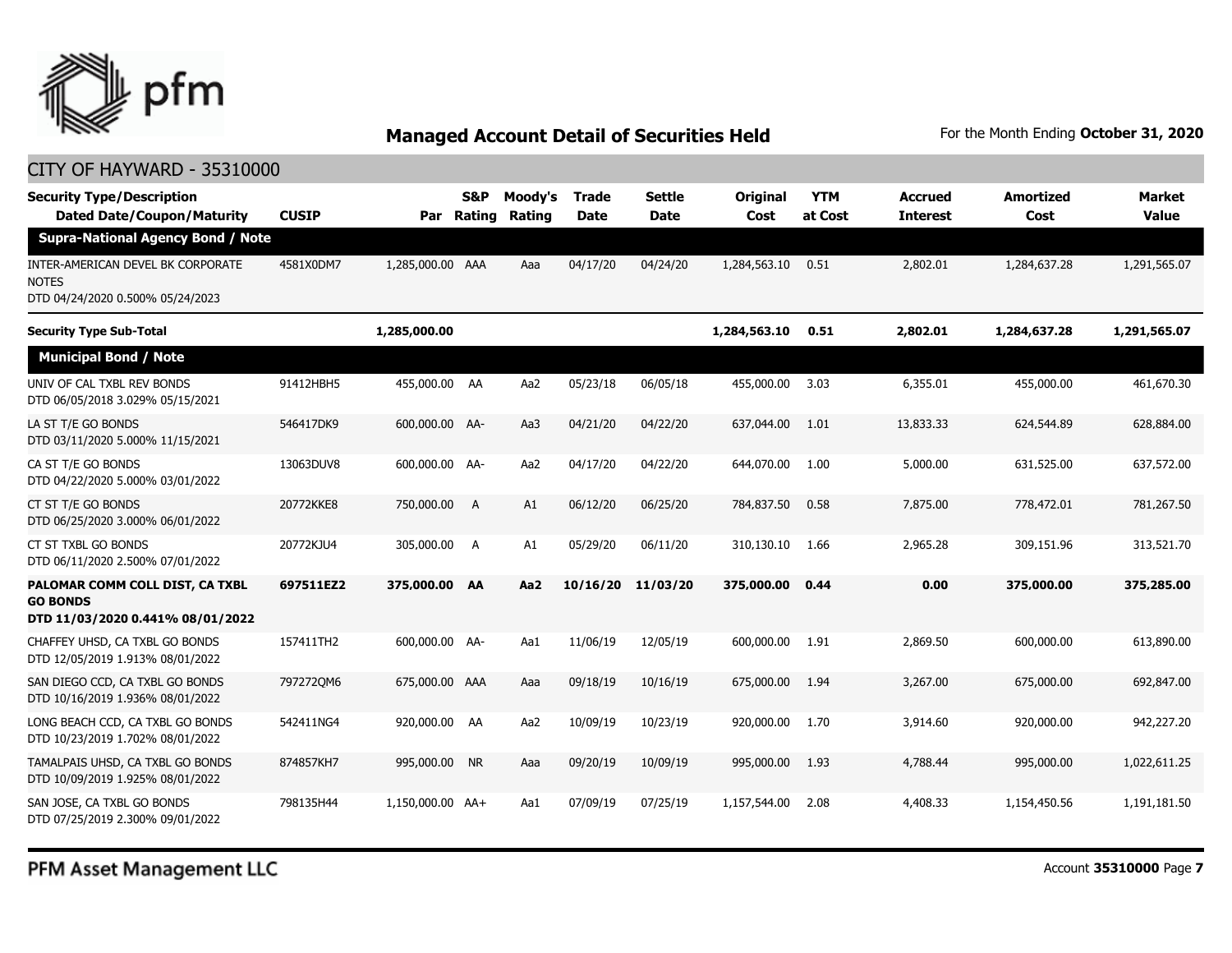

### CITY OF HAYWARD - 35310000

| <b>Security Type/Description</b><br><b>Dated Date/Coupon/Maturity</b>                  | <b>CUSIP</b> | Par              | <b>S&amp;P</b><br>Rating | Moody's<br>Rating | Trade<br><b>Date</b> | <b>Settle</b><br><b>Date</b> | Original<br>Cost | <b>YTM</b><br>at Cost | <b>Accrued</b><br><b>Interest</b> | <b>Amortized</b><br>Cost | Market<br><b>Value</b> |
|----------------------------------------------------------------------------------------|--------------|------------------|--------------------------|-------------------|----------------------|------------------------------|------------------|-----------------------|-----------------------------------|--------------------------|------------------------|
| <b>Supra-National Agency Bond / Note</b>                                               |              |                  |                          |                   |                      |                              |                  |                       |                                   |                          |                        |
| INTER-AMERICAN DEVEL BK CORPORATE<br><b>NOTES</b><br>DTD 04/24/2020 0.500% 05/24/2023  | 4581X0DM7    | 1,285,000.00 AAA |                          | Aaa               | 04/17/20             | 04/24/20                     | 1,284,563.10     | 0.51                  | 2,802.01                          | 1,284,637.28             | 1,291,565.07           |
| <b>Security Type Sub-Total</b>                                                         |              | 1,285,000.00     |                          |                   |                      |                              | 1,284,563.10     | 0.51                  | 2,802.01                          | 1,284,637.28             | 1,291,565.07           |
| <b>Municipal Bond / Note</b>                                                           |              |                  |                          |                   |                      |                              |                  |                       |                                   |                          |                        |
| UNIV OF CAL TXBL REV BONDS<br>DTD 06/05/2018 3.029% 05/15/2021                         | 91412HBH5    | 455,000.00 AA    |                          | Aa2               | 05/23/18             | 06/05/18                     | 455,000.00       | 3.03                  | 6,355.01                          | 455,000.00               | 461,670.30             |
| LA ST T/E GO BONDS<br>DTD 03/11/2020 5.000% 11/15/2021                                 | 546417DK9    | 600,000.00 AA-   |                          | Aa3               | 04/21/20             | 04/22/20                     | 637,044.00       | 1.01                  | 13,833.33                         | 624,544.89               | 628,884.00             |
| CA ST T/E GO BONDS<br>DTD 04/22/2020 5.000% 03/01/2022                                 | 13063DUV8    | 600,000,00 AA-   |                          | Aa2               | 04/17/20             | 04/22/20                     | 644,070,00       | 1.00                  | 5,000.00                          | 631,525.00               | 637,572.00             |
| CT ST T/E GO BONDS<br>DTD 06/25/2020 3.000% 06/01/2022                                 | 20772KKE8    | 750,000.00       | A                        | A1                | 06/12/20             | 06/25/20                     | 784,837.50       | 0.58                  | 7,875.00                          | 778,472.01               | 781,267.50             |
| CT ST TXBL GO BONDS<br>DTD 06/11/2020 2.500% 07/01/2022                                | 20772KJU4    | 305,000.00 A     |                          | A1                | 05/29/20             | 06/11/20                     | 310,130.10       | 1.66                  | 2,965.28                          | 309,151.96               | 313,521.70             |
| PALOMAR COMM COLL DIST, CA TXBL<br><b>GO BONDS</b><br>DTD 11/03/2020 0.441% 08/01/2022 | 697511EZ2    | 375,000.00 AA    |                          | Aa <sub>2</sub>   | 10/16/20             | 11/03/20                     | 375,000.00       | 0.44                  | 0.00                              | 375,000.00               | 375,285.00             |
| CHAFFEY UHSD, CA TXBL GO BONDS<br>DTD 12/05/2019 1.913% 08/01/2022                     | 157411TH2    | 600,000.00 AA-   |                          | Aa1               | 11/06/19             | 12/05/19                     | 600,000.00       | 1.91                  | 2,869.50                          | 600,000.00               | 613,890.00             |
| SAN DIEGO CCD, CA TXBL GO BONDS<br>DTD 10/16/2019 1.936% 08/01/2022                    | 7972720M6    | 675,000.00 AAA   |                          | Aaa               | 09/18/19             | 10/16/19                     | 675,000.00       | 1.94                  | 3,267.00                          | 675,000.00               | 692,847.00             |
| LONG BEACH CCD, CA TXBL GO BONDS<br>DTD 10/23/2019 1.702% 08/01/2022                   | 542411NG4    | 920,000.00 AA    |                          | Aa2               | 10/09/19             | 10/23/19                     | 920,000.00       | 1.70                  | 3,914.60                          | 920,000.00               | 942,227.20             |
| TAMALPAIS UHSD, CA TXBL GO BONDS<br>DTD 10/09/2019 1.925% 08/01/2022                   | 874857KH7    | 995,000.00 NR    |                          | Aaa               | 09/20/19             | 10/09/19                     | 995,000.00       | 1.93                  | 4,788.44                          | 995,000.00               | 1,022,611.25           |
| SAN JOSE, CA TXBL GO BONDS<br>DTD 07/25/2019 2.300% 09/01/2022                         | 798135H44    | 1.150.000.00 AA+ |                          | Aa1               | 07/09/19             | 07/25/19                     | 1,157,544.00     | 2.08                  | 4,408.33                          | 1,154,450.56             | 1,191,181.50           |

PFM Asset Management LLC

Account **35310000** Page **7**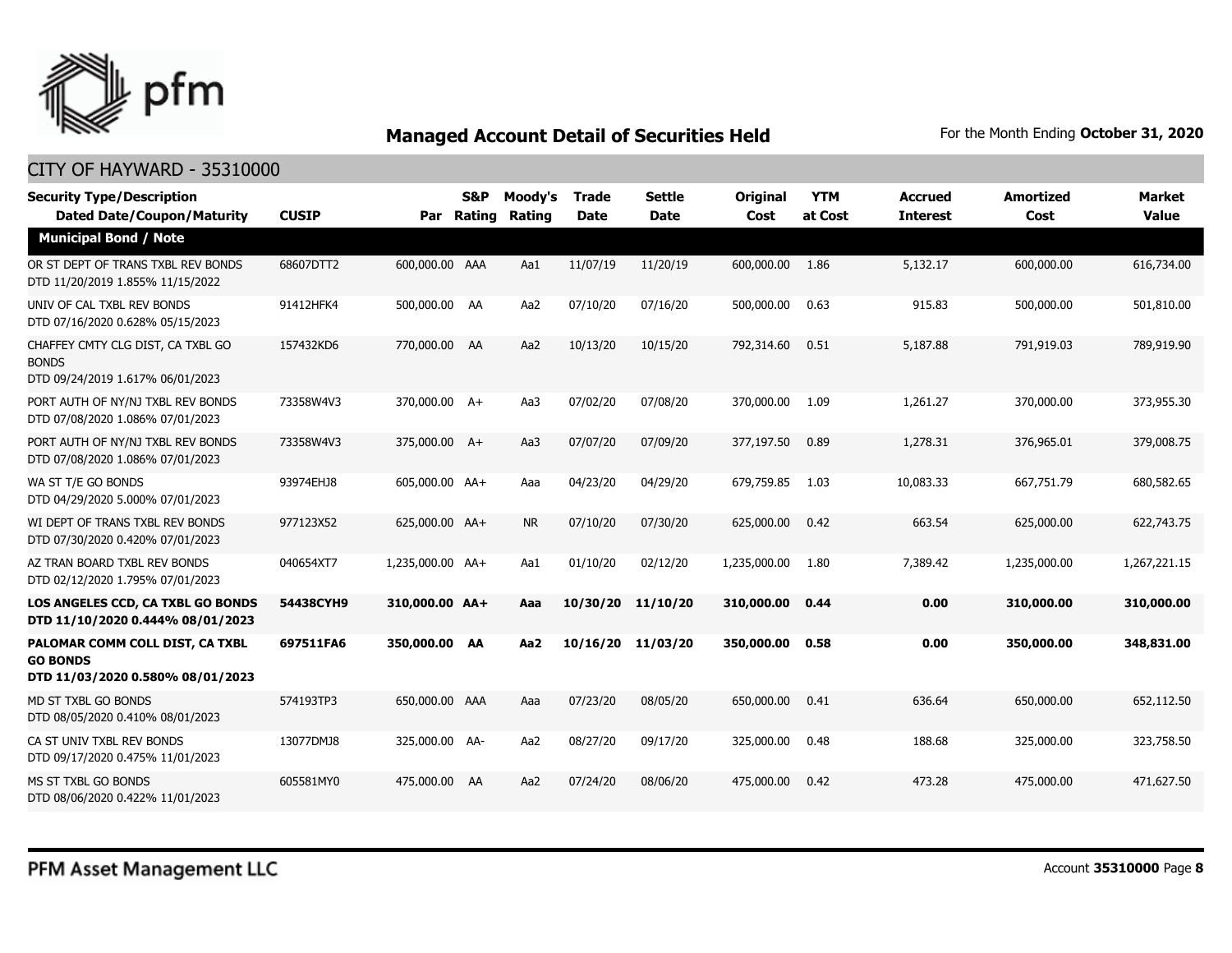

| <b>Security Type/Description</b><br><b>Dated Date/Coupon/Maturity</b>                  | <b>CUSIP</b> |                  | <b>S&amp;P</b><br>Par Rating | Moody's<br>Rating | <b>Trade</b><br><b>Date</b> | <b>Settle</b><br><b>Date</b> | <b>Original</b><br>Cost | <b>YTM</b><br>at Cost | <b>Accrued</b><br><b>Interest</b> | <b>Amortized</b><br>Cost | <b>Market</b><br><b>Value</b> |
|----------------------------------------------------------------------------------------|--------------|------------------|------------------------------|-------------------|-----------------------------|------------------------------|-------------------------|-----------------------|-----------------------------------|--------------------------|-------------------------------|
| <b>Municipal Bond / Note</b>                                                           |              |                  |                              |                   |                             |                              |                         |                       |                                   |                          |                               |
| OR ST DEPT OF TRANS TXBL REV BONDS<br>DTD 11/20/2019 1.855% 11/15/2022                 | 68607DTT2    | 600,000.00 AAA   |                              | Aa1               | 11/07/19                    | 11/20/19                     | 600,000.00              | 1.86                  | 5,132.17                          | 600,000.00               | 616,734.00                    |
| UNIV OF CAL TXBL REV BONDS<br>DTD 07/16/2020 0.628% 05/15/2023                         | 91412HFK4    | 500,000.00 AA    |                              | Aa2               | 07/10/20                    | 07/16/20                     | 500,000.00              | 0.63                  | 915.83                            | 500,000.00               | 501,810.00                    |
| CHAFFEY CMTY CLG DIST, CA TXBL GO<br><b>BONDS</b><br>DTD 09/24/2019 1.617% 06/01/2023  | 157432KD6    | 770,000.00 AA    |                              | Aa2               | 10/13/20                    | 10/15/20                     | 792,314.60              | 0.51                  | 5,187.88                          | 791,919.03               | 789,919.90                    |
| PORT AUTH OF NY/NJ TXBL REV BONDS<br>DTD 07/08/2020 1.086% 07/01/2023                  | 73358W4V3    | 370,000.00 A+    |                              | Aa3               | 07/02/20                    | 07/08/20                     | 370,000.00              | 1.09                  | 1,261.27                          | 370,000.00               | 373,955.30                    |
| PORT AUTH OF NY/NJ TXBL REV BONDS<br>DTD 07/08/2020 1.086% 07/01/2023                  | 73358W4V3    | 375,000.00 A+    |                              | Aa3               | 07/07/20                    | 07/09/20                     | 377,197.50              | 0.89                  | 1,278.31                          | 376,965.01               | 379,008.75                    |
| WA ST T/E GO BONDS<br>DTD 04/29/2020 5.000% 07/01/2023                                 | 93974EHJ8    | 605,000.00 AA+   |                              | Aaa               | 04/23/20                    | 04/29/20                     | 679,759.85              | 1.03                  | 10,083.33                         | 667.751.79               | 680,582.65                    |
| WI DEPT OF TRANS TXBL REV BONDS<br>DTD 07/30/2020 0.420% 07/01/2023                    | 977123X52    | 625,000.00 AA+   |                              | <b>NR</b>         | 07/10/20                    | 07/30/20                     | 625,000.00              | 0.42                  | 663.54                            | 625,000.00               | 622,743,75                    |
| AZ TRAN BOARD TXBL REV BONDS<br>DTD 02/12/2020 1.795% 07/01/2023                       | 040654XT7    | 1,235,000.00 AA+ |                              | Aa1               | 01/10/20                    | 02/12/20                     | 1,235,000.00            | 1.80                  | 7,389.42                          | 1,235,000.00             | 1,267,221.15                  |
| LOS ANGELES CCD, CA TXBL GO BONDS<br>DTD 11/10/2020 0.444% 08/01/2023                  | 54438CYH9    | 310,000.00 AA+   |                              | Aaa               | 10/30/20                    | 11/10/20                     | 310,000.00              | 0.44                  | 0.00                              | 310,000.00               | 310,000.00                    |
| PALOMAR COMM COLL DIST, CA TXBL<br><b>GO BONDS</b><br>DTD 11/03/2020 0.580% 08/01/2023 | 697511FA6    | 350,000.00 AA    |                              | Aa2               | 10/16/20                    | 11/03/20                     | 350,000,00              | 0.58                  | 0.00                              | 350,000.00               | 348,831.00                    |
| MD ST TXBL GO BONDS<br>DTD 08/05/2020 0.410% 08/01/2023                                | 574193TP3    | 650,000.00 AAA   |                              | Aaa               | 07/23/20                    | 08/05/20                     | 650,000.00              | 0.41                  | 636.64                            | 650,000.00               | 652,112.50                    |
| CA ST UNIV TXBL REV BONDS<br>DTD 09/17/2020 0.475% 11/01/2023                          | 13077DMJ8    | 325,000.00 AA-   |                              | Aa2               | 08/27/20                    | 09/17/20                     | 325,000.00              | 0.48                  | 188.68                            | 325,000.00               | 323,758.50                    |
| MS ST TXBL GO BONDS<br>DTD 08/06/2020 0.422% 11/01/2023                                | 605581MY0    | 475,000.00 AA    |                              | Aa2               | 07/24/20                    | 08/06/20                     | 475,000.00              | 0.42                  | 473.28                            | 475,000.00               | 471,627.50                    |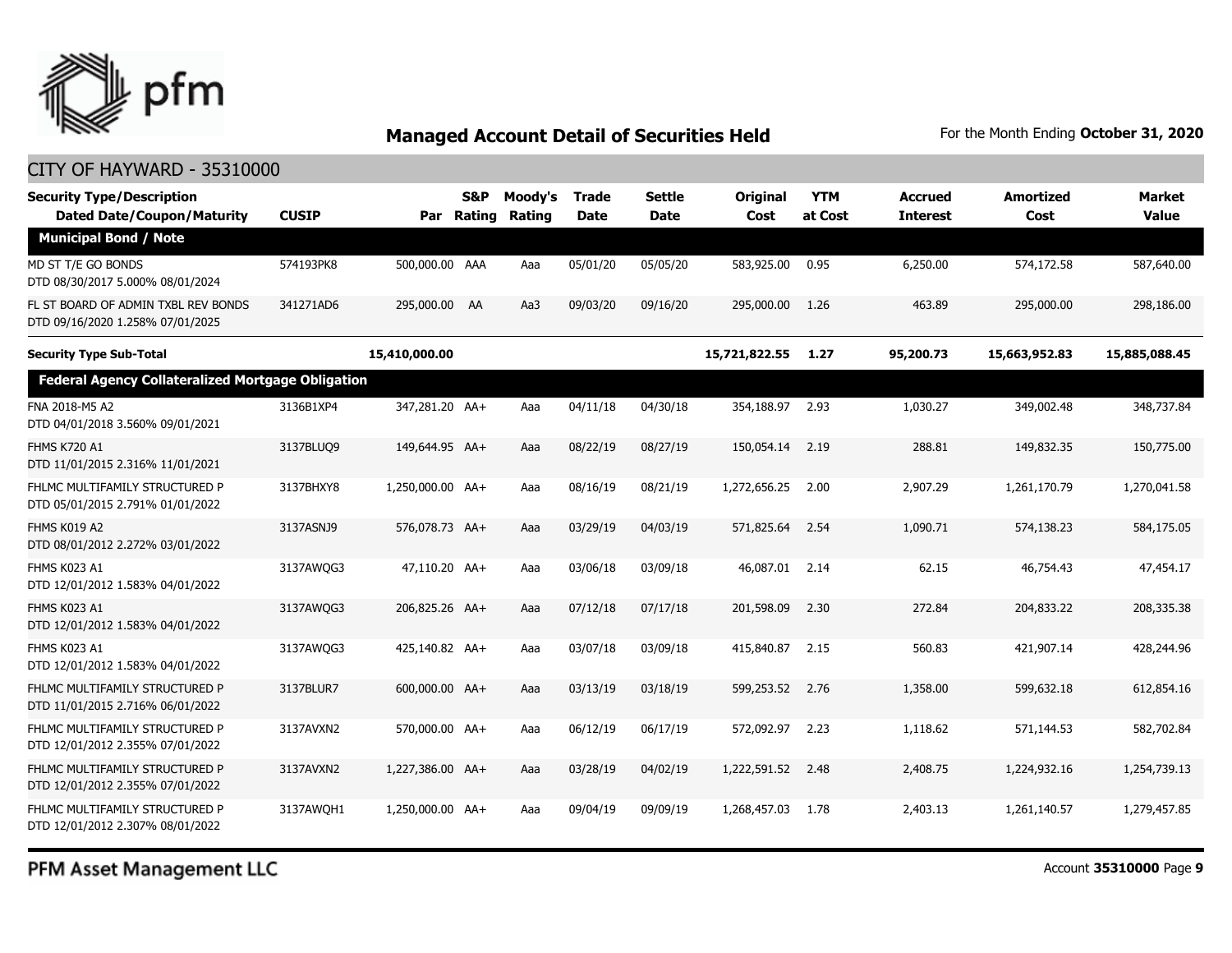

### CITY OF HAYWARD - 35310000

| <b>Security Type/Description</b><br><b>Dated Date/Coupon/Maturity</b>   | <b>CUSIP</b> | Par              | S&P<br>Rating | Moody's<br><b>Rating</b> | <b>Trade</b><br><b>Date</b> | <b>Settle</b><br>Date | Original<br>Cost | <b>YTM</b><br>at Cost | <b>Accrued</b><br><b>Interest</b> | <b>Amortized</b><br>Cost | <b>Market</b><br><b>Value</b> |
|-------------------------------------------------------------------------|--------------|------------------|---------------|--------------------------|-----------------------------|-----------------------|------------------|-----------------------|-----------------------------------|--------------------------|-------------------------------|
| <b>Municipal Bond / Note</b>                                            |              |                  |               |                          |                             |                       |                  |                       |                                   |                          |                               |
| MD ST T/E GO BONDS<br>DTD 08/30/2017 5.000% 08/01/2024                  | 574193PK8    | 500,000.00 AAA   |               | Aaa                      | 05/01/20                    | 05/05/20              | 583,925.00       | 0.95                  | 6,250.00                          | 574,172.58               | 587,640.00                    |
| FL ST BOARD OF ADMIN TXBL REV BONDS<br>DTD 09/16/2020 1.258% 07/01/2025 | 341271AD6    | 295,000.00 AA    |               | Aa3                      | 09/03/20                    | 09/16/20              | 295,000.00       | 1.26                  | 463.89                            | 295,000.00               | 298,186.00                    |
| <b>Security Type Sub-Total</b>                                          |              | 15,410,000.00    |               |                          |                             |                       | 15,721,822.55    | 1.27                  | 95,200.73                         | 15,663,952.83            | 15,885,088.45                 |
| <b>Federal Agency Collateralized Mortgage Obligation</b>                |              |                  |               |                          |                             |                       |                  |                       |                                   |                          |                               |
| FNA 2018-M5 A2<br>DTD 04/01/2018 3.560% 09/01/2021                      | 3136B1XP4    | 347,281.20 AA+   |               | Aaa                      | 04/11/18                    | 04/30/18              | 354,188.97       | 2.93                  | 1,030.27                          | 349,002.48               | 348,737.84                    |
| <b>FHMS K720 A1</b><br>DTD 11/01/2015 2.316% 11/01/2021                 | 3137BLUQ9    | 149,644.95 AA+   |               | Aaa                      | 08/22/19                    | 08/27/19              | 150,054.14       | 2.19                  | 288.81                            | 149,832.35               | 150,775.00                    |
| FHLMC MULTIFAMILY STRUCTURED P<br>DTD 05/01/2015 2.791% 01/01/2022      | 3137BHXY8    | 1,250,000.00 AA+ |               | Aaa                      | 08/16/19                    | 08/21/19              | 1,272,656.25     | 2.00                  | 2,907.29                          | 1,261,170.79             | 1,270,041.58                  |
| FHMS K019 A2<br>DTD 08/01/2012 2.272% 03/01/2022                        | 3137ASNJ9    | 576,078.73 AA+   |               | Aaa                      | 03/29/19                    | 04/03/19              | 571,825.64       | 2.54                  | 1,090.71                          | 574,138.23               | 584,175.05                    |
| FHMS K023 A1<br>DTD 12/01/2012 1.583% 04/01/2022                        | 3137AWQG3    | 47,110.20 AA+    |               | Aaa                      | 03/06/18                    | 03/09/18              | 46,087.01        | 2.14                  | 62.15                             | 46,754.43                | 47,454.17                     |
| <b>FHMS K023 A1</b><br>DTD 12/01/2012 1.583% 04/01/2022                 | 3137AWQG3    | 206,825.26 AA+   |               | Aaa                      | 07/12/18                    | 07/17/18              | 201,598.09       | 2.30                  | 272.84                            | 204,833.22               | 208,335.38                    |
| FHMS K023 A1<br>DTD 12/01/2012 1.583% 04/01/2022                        | 3137AWQG3    | 425,140.82 AA+   |               | Aaa                      | 03/07/18                    | 03/09/18              | 415,840.87       | 2.15                  | 560.83                            | 421,907.14               | 428,244.96                    |
| FHLMC MULTIFAMILY STRUCTURED P<br>DTD 11/01/2015 2.716% 06/01/2022      | 3137BLUR7    | 600,000.00 AA+   |               | Aaa                      | 03/13/19                    | 03/18/19              | 599,253.52       | 2.76                  | 1,358.00                          | 599,632.18               | 612,854.16                    |
| FHLMC MULTIFAMILY STRUCTURED P<br>DTD 12/01/2012 2.355% 07/01/2022      | 3137AVXN2    | 570,000.00 AA+   |               | Aaa                      | 06/12/19                    | 06/17/19              | 572,092.97       | 2.23                  | 1,118.62                          | 571,144.53               | 582,702.84                    |
| FHLMC MULTIFAMILY STRUCTURED P<br>DTD 12/01/2012 2.355% 07/01/2022      | 3137AVXN2    | 1,227,386.00 AA+ |               | Aaa                      | 03/28/19                    | 04/02/19              | 1,222,591.52     | 2.48                  | 2,408.75                          | 1,224,932.16             | 1,254,739.13                  |
| FHLMC MULTIFAMILY STRUCTURED P<br>DTD 12/01/2012 2.307% 08/01/2022      | 3137AWQH1    | 1,250,000.00 AA+ |               | Aaa                      | 09/04/19                    | 09/09/19              | 1,268,457.03     | 1.78                  | 2,403.13                          | 1,261,140.57             | 1,279,457.85                  |

PFM Asset Management LLC

Account **35310000** Page **9**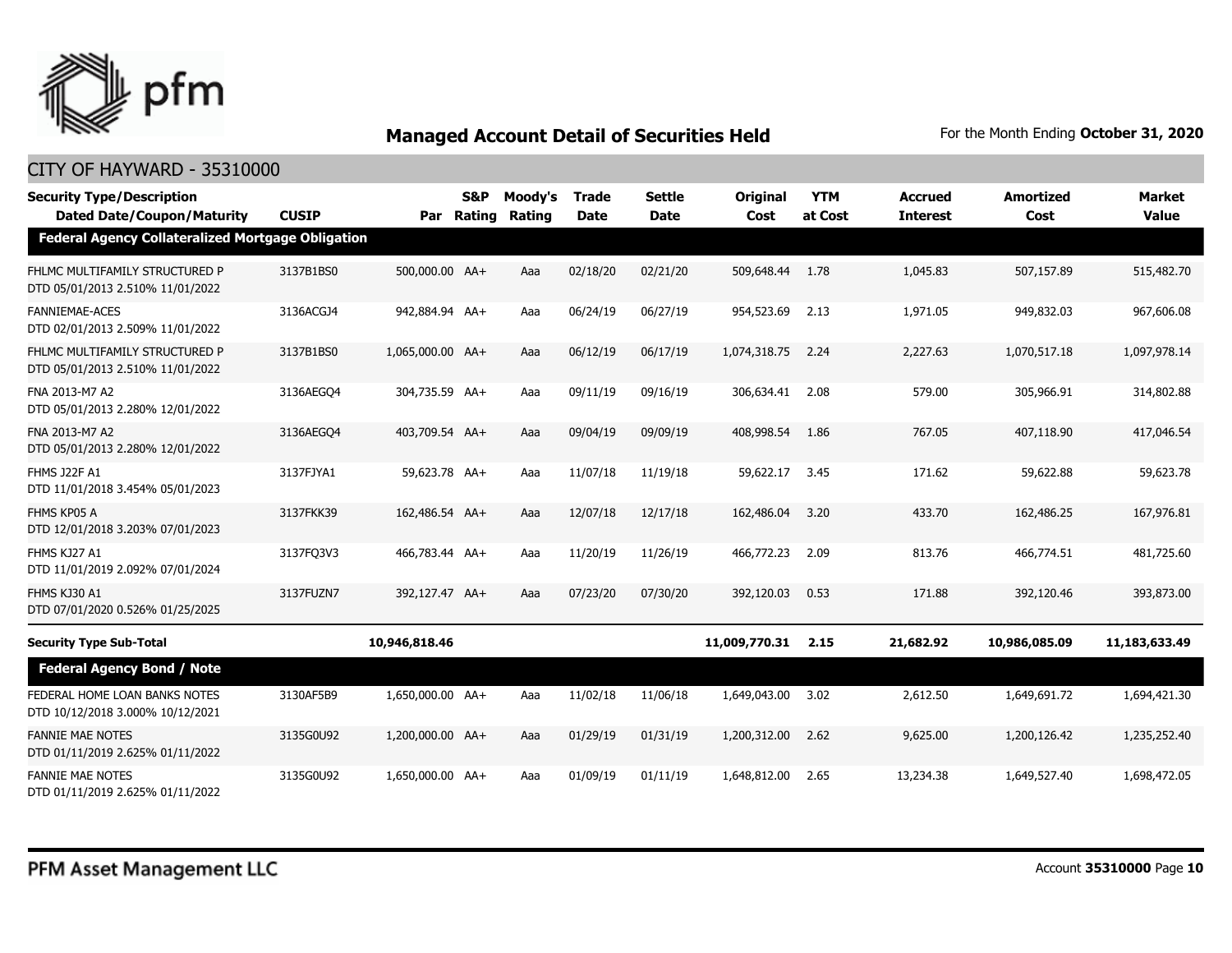

| <b>Security Type/Description</b><br><b>Dated Date/Coupon/Maturity</b> | <b>CUSIP</b> | Par              | S&P<br>Rating | Moody's<br>Rating | <b>Trade</b><br><b>Date</b> | <b>Settle</b><br><b>Date</b> | Original<br>Cost | <b>YTM</b><br>at Cost | <b>Accrued</b><br><b>Interest</b> | <b>Amortized</b><br>Cost | <b>Market</b><br><b>Value</b> |
|-----------------------------------------------------------------------|--------------|------------------|---------------|-------------------|-----------------------------|------------------------------|------------------|-----------------------|-----------------------------------|--------------------------|-------------------------------|
| <b>Federal Agency Collateralized Mortgage Obligation</b>              |              |                  |               |                   |                             |                              |                  |                       |                                   |                          |                               |
| FHLMC MULTIFAMILY STRUCTURED P<br>DTD 05/01/2013 2.510% 11/01/2022    | 3137B1BS0    | 500,000.00 AA+   |               | Aaa               | 02/18/20                    | 02/21/20                     | 509,648.44       | 1.78                  | 1,045.83                          | 507,157.89               | 515,482.70                    |
| <b>FANNIEMAE-ACES</b><br>DTD 02/01/2013 2.509% 11/01/2022             | 3136ACGJ4    | 942,884.94 AA+   |               | Aaa               | 06/24/19                    | 06/27/19                     | 954,523.69       | 2.13                  | 1,971.05                          | 949,832.03               | 967,606.08                    |
| FHLMC MULTIFAMILY STRUCTURED P<br>DTD 05/01/2013 2.510% 11/01/2022    | 3137B1BS0    | 1,065,000.00 AA+ |               | Aaa               | 06/12/19                    | 06/17/19                     | 1,074,318.75     | 2.24                  | 2,227.63                          | 1,070,517.18             | 1,097,978.14                  |
| FNA 2013-M7 A2<br>DTD 05/01/2013 2.280% 12/01/2022                    | 3136AEGO4    | 304,735.59 AA+   |               | Aaa               | 09/11/19                    | 09/16/19                     | 306,634.41       | 2.08                  | 579.00                            | 305,966.91               | 314,802.88                    |
| FNA 2013-M7 A2<br>DTD 05/01/2013 2.280% 12/01/2022                    | 3136AEGO4    | 403,709.54 AA+   |               | Aaa               | 09/04/19                    | 09/09/19                     | 408,998.54       | 1.86                  | 767.05                            | 407,118.90               | 417,046.54                    |
| <b>FHMS J22F A1</b><br>DTD 11/01/2018 3.454% 05/01/2023               | 3137FJYA1    | 59,623.78 AA+    |               | Aaa               | 11/07/18                    | 11/19/18                     | 59,622.17        | 3.45                  | 171.62                            | 59,622.88                | 59,623.78                     |
| FHMS KP05 A<br>DTD 12/01/2018 3.203% 07/01/2023                       | 3137FKK39    | 162,486.54 AA+   |               | Aaa               | 12/07/18                    | 12/17/18                     | 162,486.04       | 3.20                  | 433.70                            | 162,486.25               | 167,976.81                    |
| FHMS KJ27 A1<br>DTD 11/01/2019 2.092% 07/01/2024                      | 3137FQ3V3    | 466,783.44 AA+   |               | Aaa               | 11/20/19                    | 11/26/19                     | 466,772.23       | 2.09                  | 813.76                            | 466,774.51               | 481,725.60                    |
| FHMS KJ30 A1<br>DTD 07/01/2020 0.526% 01/25/2025                      | 3137FUZN7    | 392,127.47 AA+   |               | Aaa               | 07/23/20                    | 07/30/20                     | 392,120.03       | 0.53                  | 171.88                            | 392,120.46               | 393,873.00                    |
| <b>Security Type Sub-Total</b>                                        |              | 10,946,818.46    |               |                   |                             |                              | 11,009,770.31    | 2.15                  | 21,682.92                         | 10,986,085.09            | 11,183,633.49                 |
| <b>Federal Agency Bond / Note</b>                                     |              |                  |               |                   |                             |                              |                  |                       |                                   |                          |                               |
| FEDERAL HOME LOAN BANKS NOTES<br>DTD 10/12/2018 3.000% 10/12/2021     | 3130AF5B9    | 1,650,000.00 AA+ |               | Aaa               | 11/02/18                    | 11/06/18                     | 1,649,043.00     | 3.02                  | 2,612.50                          | 1,649,691.72             | 1,694,421.30                  |
| <b>FANNIE MAE NOTES</b><br>DTD 01/11/2019 2.625% 01/11/2022           | 3135G0U92    | 1,200,000.00 AA+ |               | Aaa               | 01/29/19                    | 01/31/19                     | 1,200,312.00     | 2.62                  | 9,625.00                          | 1,200,126.42             | 1,235,252.40                  |
| <b>FANNIE MAE NOTES</b><br>DTD 01/11/2019 2.625% 01/11/2022           | 3135G0U92    | 1,650,000.00 AA+ |               | Aaa               | 01/09/19                    | 01/11/19                     | 1,648,812.00     | 2.65                  | 13,234.38                         | 1,649,527,40             | 1,698,472.05                  |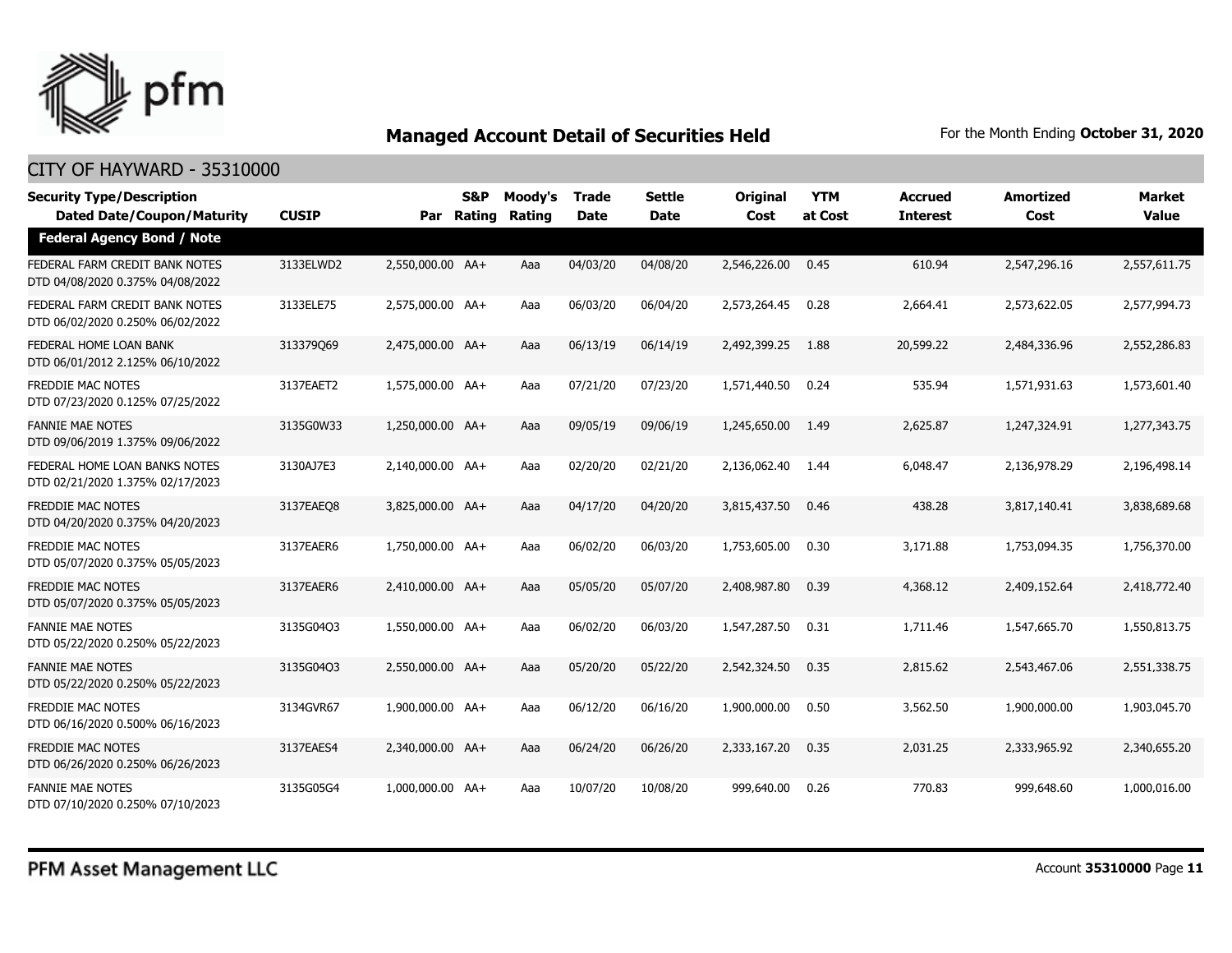

| <b>Security Type/Description</b>                                       |              |                  | S&P        | Moody's       | <b>Trade</b> | <b>Settle</b> | <b>Original</b> | <b>YTM</b> | <b>Accrued</b>  | <b>Amortized</b> | Market       |
|------------------------------------------------------------------------|--------------|------------------|------------|---------------|--------------|---------------|-----------------|------------|-----------------|------------------|--------------|
| <b>Dated Date/Coupon/Maturity</b><br><b>Federal Agency Bond / Note</b> | <b>CUSIP</b> |                  | Par Rating | <b>Rating</b> | Date         | <b>Date</b>   | Cost            | at Cost    | <b>Interest</b> | Cost             | <b>Value</b> |
|                                                                        |              |                  |            |               |              |               |                 |            |                 |                  |              |
| FEDERAL FARM CREDIT BANK NOTES<br>DTD 04/08/2020 0.375% 04/08/2022     | 3133ELWD2    | 2,550,000.00 AA+ |            | Aaa           | 04/03/20     | 04/08/20      | 2,546,226.00    | 0.45       | 610.94          | 2,547,296.16     | 2,557,611.75 |
| FEDERAL FARM CREDIT BANK NOTES<br>DTD 06/02/2020 0.250% 06/02/2022     | 3133ELE75    | 2,575,000.00 AA+ |            | Aaa           | 06/03/20     | 06/04/20      | 2,573,264.45    | 0.28       | 2,664.41        | 2,573,622.05     | 2,577,994.73 |
| FEDERAL HOME LOAN BANK<br>DTD 06/01/2012 2.125% 06/10/2022             | 313379069    | 2,475,000.00 AA+ |            | Aaa           | 06/13/19     | 06/14/19      | 2,492,399.25    | 1.88       | 20,599.22       | 2,484,336.96     | 2,552,286.83 |
| <b>FREDDIE MAC NOTES</b><br>DTD 07/23/2020 0.125% 07/25/2022           | 3137EAET2    | 1,575,000.00 AA+ |            | Aaa           | 07/21/20     | 07/23/20      | 1,571,440.50    | 0.24       | 535.94          | 1,571,931.63     | 1,573,601.40 |
| <b>FANNIE MAE NOTES</b><br>DTD 09/06/2019 1.375% 09/06/2022            | 3135G0W33    | 1,250,000.00 AA+ |            | Aaa           | 09/05/19     | 09/06/19      | 1,245,650.00    | 1.49       | 2,625.87        | 1,247,324.91     | 1,277,343.75 |
| FEDERAL HOME LOAN BANKS NOTES<br>DTD 02/21/2020 1.375% 02/17/2023      | 3130AJ7E3    | 2,140,000.00 AA+ |            | Aaa           | 02/20/20     | 02/21/20      | 2,136,062.40    | 1.44       | 6,048.47        | 2,136,978.29     | 2,196,498.14 |
| <b>FREDDIE MAC NOTES</b><br>DTD 04/20/2020 0.375% 04/20/2023           | 3137EAEO8    | 3,825,000.00 AA+ |            | Aaa           | 04/17/20     | 04/20/20      | 3,815,437.50    | 0.46       | 438.28          | 3,817,140.41     | 3,838,689.68 |
| <b>FREDDIE MAC NOTES</b><br>DTD 05/07/2020 0.375% 05/05/2023           | 3137EAER6    | 1,750,000.00 AA+ |            | Aaa           | 06/02/20     | 06/03/20      | 1,753,605.00    | 0.30       | 3,171.88        | 1,753,094.35     | 1,756,370.00 |
| <b>FREDDIE MAC NOTES</b><br>DTD 05/07/2020 0.375% 05/05/2023           | 3137EAER6    | 2.410.000.00 AA+ |            | Aaa           | 05/05/20     | 05/07/20      | 2,408,987.80    | 0.39       | 4,368.12        | 2,409,152.64     | 2,418,772,40 |
| <b>FANNIE MAE NOTES</b><br>DTD 05/22/2020 0.250% 05/22/2023            | 3135G04Q3    | 1,550,000.00 AA+ |            | Aaa           | 06/02/20     | 06/03/20      | 1,547,287.50    | 0.31       | 1,711.46        | 1,547,665,70     | 1,550,813.75 |
| <b>FANNIE MAE NOTES</b><br>DTD 05/22/2020 0.250% 05/22/2023            | 3135G04Q3    | 2,550,000.00 AA+ |            | Aaa           | 05/20/20     | 05/22/20      | 2,542,324.50    | 0.35       | 2,815.62        | 2,543,467.06     | 2,551,338.75 |
| <b>FREDDIE MAC NOTES</b><br>DTD 06/16/2020 0.500% 06/16/2023           | 3134GVR67    | 1,900,000.00 AA+ |            | Aaa           | 06/12/20     | 06/16/20      | 1,900,000.00    | 0.50       | 3,562.50        | 1,900,000.00     | 1,903,045.70 |
| <b>FREDDIE MAC NOTES</b><br>DTD 06/26/2020 0.250% 06/26/2023           | 3137EAES4    | 2.340.000.00 AA+ |            | Aaa           | 06/24/20     | 06/26/20      | 2,333,167,20    | 0.35       | 2,031.25        | 2,333,965,92     | 2,340,655,20 |
| <b>FANNIE MAE NOTES</b><br>DTD 07/10/2020 0.250% 07/10/2023            | 3135G05G4    | 1,000,000.00 AA+ |            | Aaa           | 10/07/20     | 10/08/20      | 999,640.00      | 0.26       | 770.83          | 999,648.60       | 1,000,016.00 |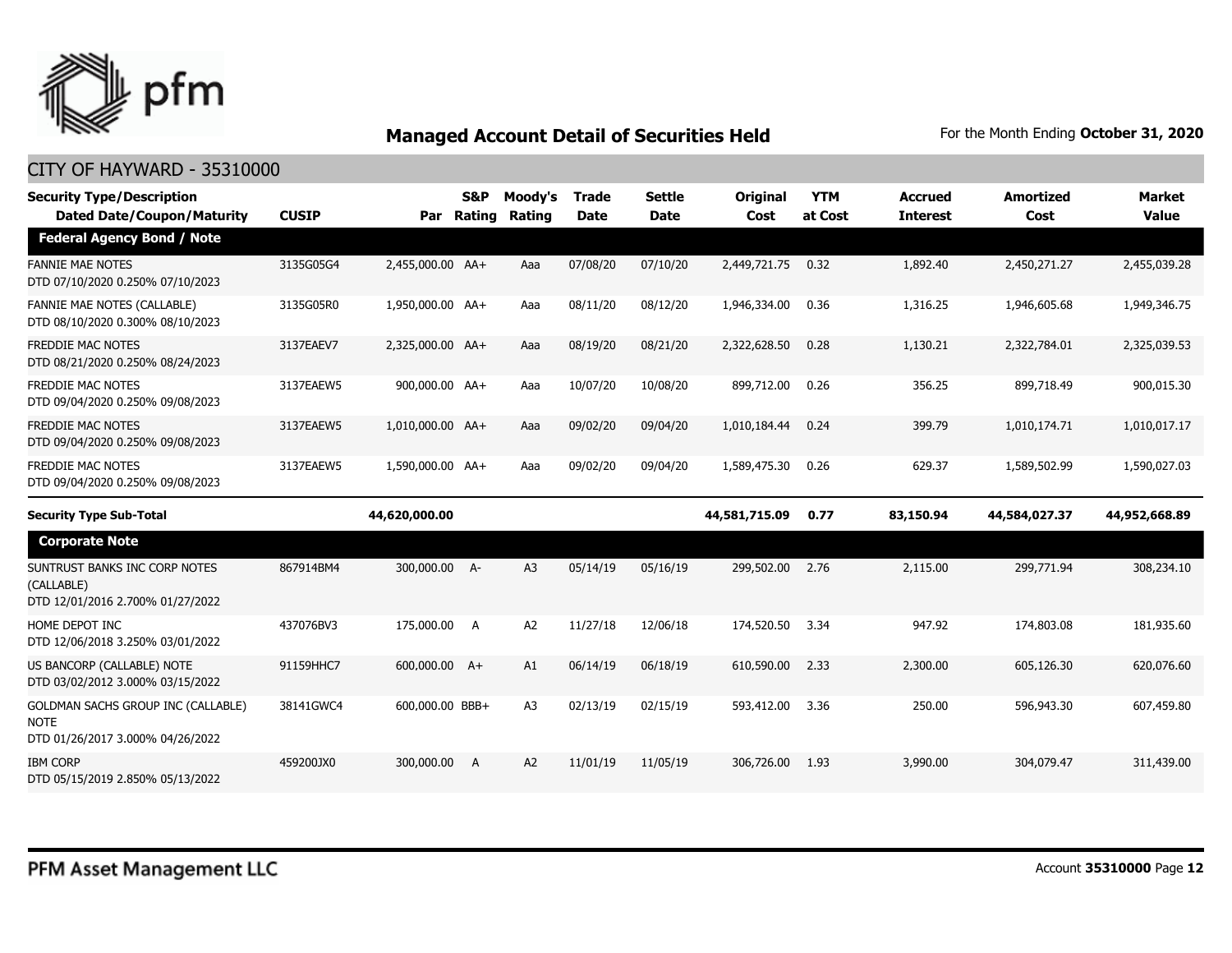

| <b>Security Type/Description</b><br><b>Dated Date/Coupon/Maturity</b>                        | <b>CUSIP</b> | Par              | <b>S&amp;P</b><br>Rating | Moody's<br>Rating | <b>Trade</b><br><b>Date</b> | <b>Settle</b><br><b>Date</b> | Original<br>Cost | <b>YTM</b><br>at Cost | <b>Accrued</b><br><b>Interest</b> | <b>Amortized</b><br>Cost | <b>Market</b><br><b>Value</b> |
|----------------------------------------------------------------------------------------------|--------------|------------------|--------------------------|-------------------|-----------------------------|------------------------------|------------------|-----------------------|-----------------------------------|--------------------------|-------------------------------|
| <b>Federal Agency Bond / Note</b>                                                            |              |                  |                          |                   |                             |                              |                  |                       |                                   |                          |                               |
| <b>FANNIE MAE NOTES</b><br>DTD 07/10/2020 0.250% 07/10/2023                                  | 3135G05G4    | 2,455,000.00 AA+ |                          | Aaa               | 07/08/20                    | 07/10/20                     | 2,449,721.75     | 0.32                  | 1,892.40                          | 2,450,271.27             | 2,455,039.28                  |
| <b>FANNIE MAE NOTES (CALLABLE)</b><br>DTD 08/10/2020 0.300% 08/10/2023                       | 3135G05R0    | 1,950,000.00 AA+ |                          | Aaa               | 08/11/20                    | 08/12/20                     | 1,946,334.00     | 0.36                  | 1,316.25                          | 1,946,605.68             | 1,949,346.75                  |
| <b>FREDDIE MAC NOTES</b><br>DTD 08/21/2020 0.250% 08/24/2023                                 | 3137EAEV7    | 2,325,000.00 AA+ |                          | Aaa               | 08/19/20                    | 08/21/20                     | 2,322,628.50     | 0.28                  | 1,130.21                          | 2,322,784.01             | 2,325,039.53                  |
| <b>FREDDIE MAC NOTES</b><br>DTD 09/04/2020 0.250% 09/08/2023                                 | 3137EAEW5    | 900,000.00 AA+   |                          | Aaa               | 10/07/20                    | 10/08/20                     | 899,712.00       | 0.26                  | 356.25                            | 899,718.49               | 900,015.30                    |
| <b>FREDDIE MAC NOTES</b><br>DTD 09/04/2020 0.250% 09/08/2023                                 | 3137EAEW5    | 1,010,000.00 AA+ |                          | Aaa               | 09/02/20                    | 09/04/20                     | 1,010,184,44     | 0.24                  | 399.79                            | 1,010,174.71             | 1,010,017.17                  |
| <b>FREDDIE MAC NOTES</b><br>DTD 09/04/2020 0.250% 09/08/2023                                 | 3137EAEW5    | 1,590,000.00 AA+ |                          | Aaa               | 09/02/20                    | 09/04/20                     | 1,589,475.30     | 0.26                  | 629.37                            | 1,589,502.99             | 1,590,027.03                  |
| <b>Security Type Sub-Total</b>                                                               |              | 44,620,000.00    |                          |                   |                             |                              | 44,581,715.09    | 0.77                  | 83,150.94                         | 44,584,027.37            | 44,952,668.89                 |
| <b>Corporate Note</b>                                                                        |              |                  |                          |                   |                             |                              |                  |                       |                                   |                          |                               |
| SUNTRUST BANKS INC CORP NOTES<br>(CALLABLE)<br>DTD 12/01/2016 2.700% 01/27/2022              | 867914BM4    | 300,000.00 A-    |                          | A <sub>3</sub>    | 05/14/19                    | 05/16/19                     | 299,502.00       | 2.76                  | 2,115.00                          | 299,771.94               | 308,234.10                    |
| HOME DEPOT INC<br>DTD 12/06/2018 3.250% 03/01/2022                                           | 437076BV3    | 175,000.00       | A                        | A2                | 11/27/18                    | 12/06/18                     | 174,520.50       | 3.34                  | 947.92                            | 174,803.08               | 181,935.60                    |
| US BANCORP (CALLABLE) NOTE<br>DTD 03/02/2012 3.000% 03/15/2022                               | 91159HHC7    | 600,000.00 A+    |                          | A1                | 06/14/19                    | 06/18/19                     | 610,590.00       | 2.33                  | 2,300.00                          | 605,126.30               | 620,076.60                    |
| <b>GOLDMAN SACHS GROUP INC (CALLABLE)</b><br><b>NOTE</b><br>DTD 01/26/2017 3.000% 04/26/2022 | 38141GWC4    | 600,000.00 BBB+  |                          | A <sub>3</sub>    | 02/13/19                    | 02/15/19                     | 593,412.00       | 3.36                  | 250.00                            | 596,943.30               | 607,459.80                    |
| <b>IBM CORP</b>                                                                              |              |                  |                          |                   |                             |                              |                  |                       |                                   |                          |                               |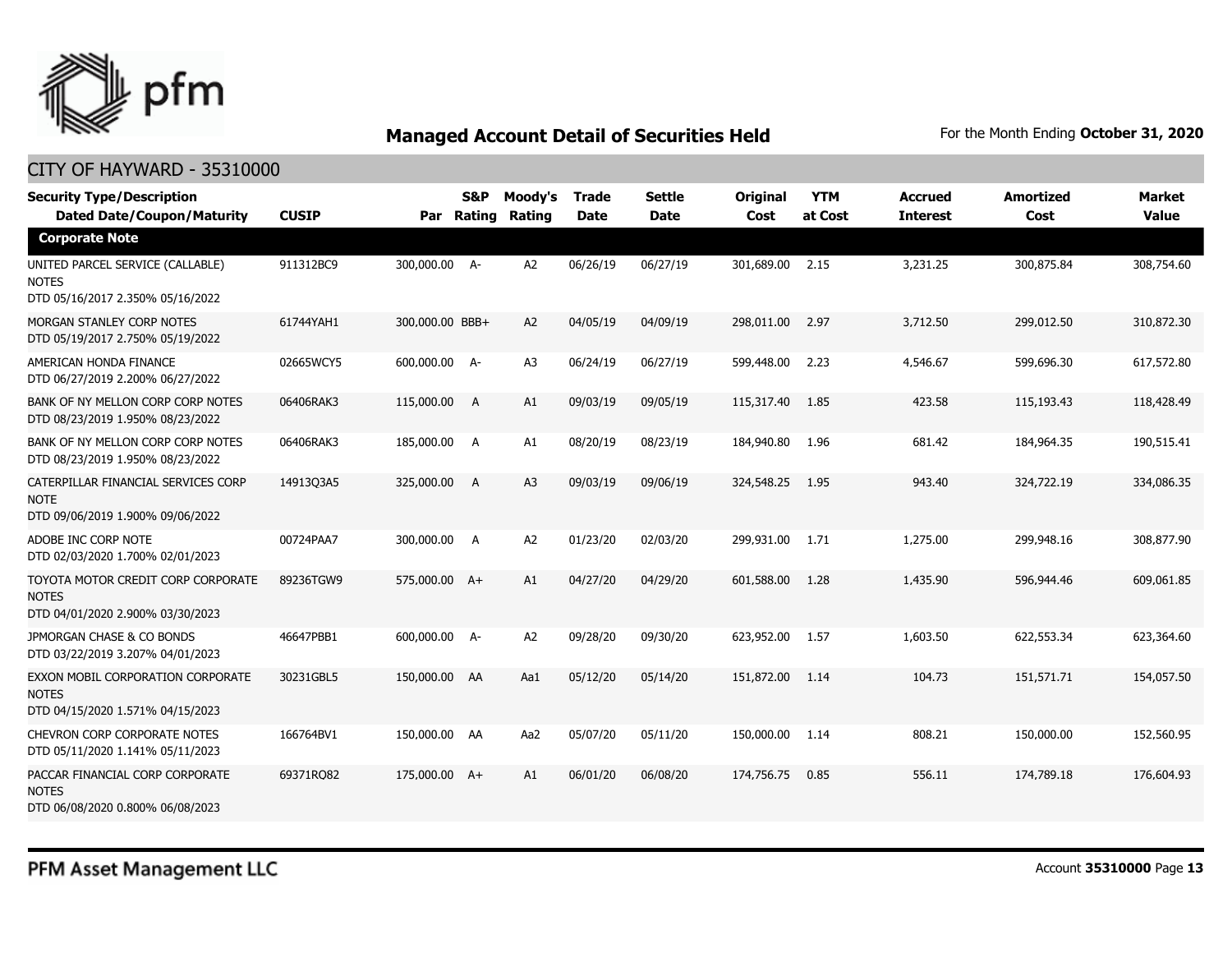

| <b>Security Type/Description</b><br><b>Dated Date/Coupon/Maturity</b>                  | <b>CUSIP</b> | Par             | S&P<br>Rating | Moody's<br>Rating | Trade<br><b>Date</b> | <b>Settle</b><br><b>Date</b> | Original<br>Cost | <b>YTM</b><br>at Cost | <b>Accrued</b><br><b>Interest</b> | <b>Amortized</b><br>Cost | <b>Market</b><br><b>Value</b> |
|----------------------------------------------------------------------------------------|--------------|-----------------|---------------|-------------------|----------------------|------------------------------|------------------|-----------------------|-----------------------------------|--------------------------|-------------------------------|
| <b>Corporate Note</b>                                                                  |              |                 |               |                   |                      |                              |                  |                       |                                   |                          |                               |
| UNITED PARCEL SERVICE (CALLABLE)<br><b>NOTES</b><br>DTD 05/16/2017 2.350% 05/16/2022   | 911312BC9    | 300,000.00 A-   |               | A <sub>2</sub>    | 06/26/19             | 06/27/19                     | 301,689.00       | 2.15                  | 3,231.25                          | 300,875.84               | 308,754.60                    |
| MORGAN STANLEY CORP NOTES<br>DTD 05/19/2017 2.750% 05/19/2022                          | 61744YAH1    | 300,000.00 BBB+ |               | A2                | 04/05/19             | 04/09/19                     | 298,011.00       | 2.97                  | 3,712.50                          | 299,012.50               | 310,872.30                    |
| AMERICAN HONDA FINANCE<br>DTD 06/27/2019 2.200% 06/27/2022                             | 02665WCY5    | 600,000.00 A-   |               | A <sub>3</sub>    | 06/24/19             | 06/27/19                     | 599,448.00       | 2.23                  | 4,546.67                          | 599,696.30               | 617,572.80                    |
| BANK OF NY MELLON CORP CORP NOTES<br>DTD 08/23/2019 1.950% 08/23/2022                  | 06406RAK3    | 115,000.00      | A             | A1                | 09/03/19             | 09/05/19                     | 115,317.40       | 1.85                  | 423.58                            | 115,193.43               | 118,428.49                    |
| BANK OF NY MELLON CORP CORP NOTES<br>DTD 08/23/2019 1.950% 08/23/2022                  | 06406RAK3    | 185,000.00      | A             | A1                | 08/20/19             | 08/23/19                     | 184,940.80       | 1.96                  | 681.42                            | 184,964.35               | 190,515.41                    |
| CATERPILLAR FINANCIAL SERVICES CORP<br><b>NOTE</b><br>DTD 09/06/2019 1.900% 09/06/2022 | 14913Q3A5    | 325,000.00      | A             | A <sub>3</sub>    | 09/03/19             | 09/06/19                     | 324,548.25       | 1.95                  | 943.40                            | 324,722.19               | 334,086.35                    |
| ADOBE INC CORP NOTE<br>DTD 02/03/2020 1.700% 02/01/2023                                | 00724PAA7    | 300,000.00      | A             | A <sub>2</sub>    | 01/23/20             | 02/03/20                     | 299,931.00       | 1.71                  | 1,275.00                          | 299,948.16               | 308,877.90                    |
| TOYOTA MOTOR CREDIT CORP CORPORATE<br><b>NOTES</b><br>DTD 04/01/2020 2.900% 03/30/2023 | 89236TGW9    | 575,000.00 A+   |               | A1                | 04/27/20             | 04/29/20                     | 601,588.00       | 1.28                  | 1,435.90                          | 596,944.46               | 609,061.85                    |
| JPMORGAN CHASE & CO BONDS<br>DTD 03/22/2019 3.207% 04/01/2023                          | 46647PBB1    | 600,000.00 A-   |               | A <sub>2</sub>    | 09/28/20             | 09/30/20                     | 623,952.00       | 1.57                  | 1,603.50                          | 622,553.34               | 623,364.60                    |
| EXXON MOBIL CORPORATION CORPORATE<br><b>NOTES</b><br>DTD 04/15/2020 1.571% 04/15/2023  | 30231GBL5    | 150,000.00 AA   |               | Aa1               | 05/12/20             | 05/14/20                     | 151,872.00       | 1.14                  | 104.73                            | 151,571.71               | 154,057.50                    |
| <b>CHEVRON CORP CORPORATE NOTES</b><br>DTD 05/11/2020 1.141% 05/11/2023                | 166764BV1    | 150,000.00 AA   |               | Aa2               | 05/07/20             | 05/11/20                     | 150,000.00       | 1.14                  | 808.21                            | 150,000.00               | 152,560.95                    |
| PACCAR FINANCIAL CORP CORPORATE<br><b>NOTES</b><br>DTD 06/08/2020 0.800% 06/08/2023    | 69371RO82    | 175,000.00 A+   |               | A1                | 06/01/20             | 06/08/20                     | 174,756,75       | 0.85                  | 556.11                            | 174,789.18               | 176,604.93                    |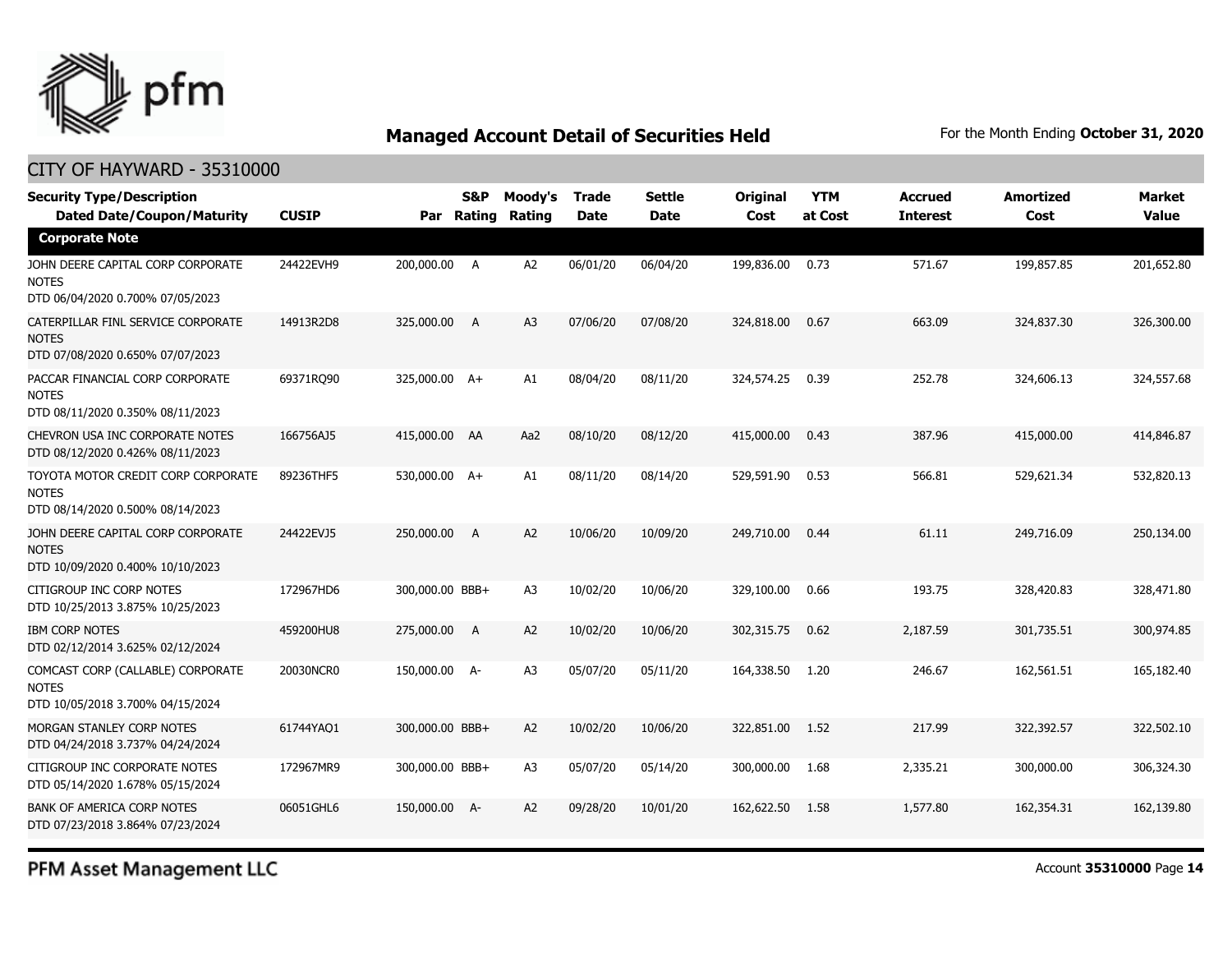

| <b>Security Type/Description</b><br><b>Dated Date/Coupon/Maturity</b>                  | <b>CUSIP</b> |                 | S&P | Moody's<br>Par Rating Rating | <b>Trade</b><br><b>Date</b> | <b>Settle</b><br><b>Date</b> | Original<br>Cost | <b>YTM</b><br>at Cost | <b>Accrued</b><br><b>Interest</b> | <b>Amortized</b><br>Cost | <b>Market</b><br><b>Value</b> |
|----------------------------------------------------------------------------------------|--------------|-----------------|-----|------------------------------|-----------------------------|------------------------------|------------------|-----------------------|-----------------------------------|--------------------------|-------------------------------|
| <b>Corporate Note</b>                                                                  |              |                 |     |                              |                             |                              |                  |                       |                                   |                          |                               |
| JOHN DEERE CAPITAL CORP CORPORATE<br><b>NOTES</b><br>DTD 06/04/2020 0.700% 07/05/2023  | 24422EVH9    | 200,000.00 A    |     | A2                           | 06/01/20                    | 06/04/20                     | 199,836.00       | 0.73                  | 571.67                            | 199,857.85               | 201,652.80                    |
| CATERPILLAR FINL SERVICE CORPORATE<br><b>NOTES</b><br>DTD 07/08/2020 0.650% 07/07/2023 | 14913R2D8    | 325,000.00      | A   | A <sub>3</sub>               | 07/06/20                    | 07/08/20                     | 324,818,00       | 0.67                  | 663.09                            | 324,837,30               | 326,300,00                    |
| PACCAR FINANCIAL CORP CORPORATE<br><b>NOTES</b><br>DTD 08/11/2020 0.350% 08/11/2023    | 69371RQ90    | 325,000.00 A+   |     | A1                           | 08/04/20                    | 08/11/20                     | 324,574.25       | 0.39                  | 252.78                            | 324,606.13               | 324,557.68                    |
| CHEVRON USA INC CORPORATE NOTES<br>DTD 08/12/2020 0.426% 08/11/2023                    | 166756AJ5    | 415,000.00 AA   |     | Aa2                          | 08/10/20                    | 08/12/20                     | 415,000.00       | 0.43                  | 387.96                            | 415,000.00               | 414,846.87                    |
| TOYOTA MOTOR CREDIT CORP CORPORATE<br><b>NOTES</b><br>DTD 08/14/2020 0.500% 08/14/2023 | 89236THF5    | 530,000.00 A+   |     | A1                           | 08/11/20                    | 08/14/20                     | 529,591.90       | 0.53                  | 566.81                            | 529,621.34               | 532,820.13                    |
| JOHN DEERE CAPITAL CORP CORPORATE<br><b>NOTES</b><br>DTD 10/09/2020 0.400% 10/10/2023  | 24422EVJ5    | 250,000.00      | A   | A <sub>2</sub>               | 10/06/20                    | 10/09/20                     | 249,710.00       | 0.44                  | 61.11                             | 249,716.09               | 250,134.00                    |
| CITIGROUP INC CORP NOTES<br>DTD 10/25/2013 3.875% 10/25/2023                           | 172967HD6    | 300,000.00 BBB+ |     | A <sub>3</sub>               | 10/02/20                    | 10/06/20                     | 329,100.00       | 0.66                  | 193.75                            | 328,420.83               | 328,471.80                    |
| <b>IBM CORP NOTES</b><br>DTD 02/12/2014 3.625% 02/12/2024                              | 459200HU8    | 275,000.00      | A   | A <sub>2</sub>               | 10/02/20                    | 10/06/20                     | 302,315.75       | 0.62                  | 2,187.59                          | 301,735.51               | 300,974.85                    |
| COMCAST CORP (CALLABLE) CORPORATE<br><b>NOTES</b><br>DTD 10/05/2018 3.700% 04/15/2024  | 20030NCR0    | 150,000.00 A-   |     | A <sub>3</sub>               | 05/07/20                    | 05/11/20                     | 164,338.50       | 1.20                  | 246.67                            | 162,561.51               | 165,182.40                    |
| MORGAN STANLEY CORP NOTES<br>DTD 04/24/2018 3.737% 04/24/2024                          | 61744YAQ1    | 300,000.00 BBB+ |     | A <sub>2</sub>               | 10/02/20                    | 10/06/20                     | 322,851.00       | 1.52                  | 217.99                            | 322,392.57               | 322,502.10                    |
| CITIGROUP INC CORPORATE NOTES<br>DTD 05/14/2020 1.678% 05/15/2024                      | 172967MR9    | 300,000.00 BBB+ |     | A <sub>3</sub>               | 05/07/20                    | 05/14/20                     | 300,000.00       | 1.68                  | 2,335.21                          | 300,000.00               | 306,324.30                    |
| <b>BANK OF AMERICA CORP NOTES</b><br>DTD 07/23/2018 3.864% 07/23/2024                  | 06051GHL6    | 150,000.00 A-   |     | A2                           | 09/28/20                    | 10/01/20                     | 162,622.50       | 1.58                  | 1,577.80                          | 162,354.31               | 162,139.80                    |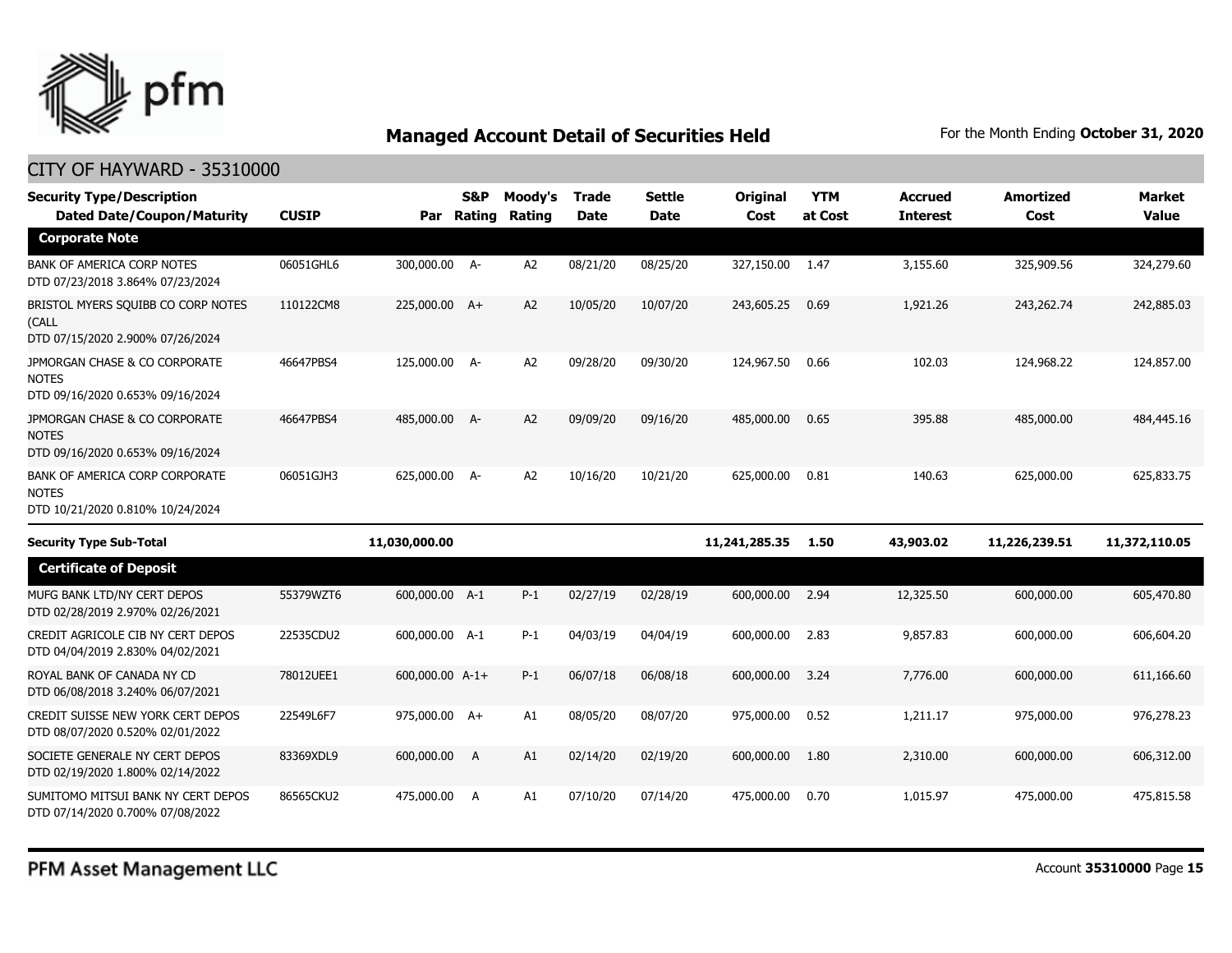

| <b>Security Type/Description</b><br><b>Dated Date/Coupon/Maturity</b>              | <b>CUSIP</b> | Par             | <b>S&amp;P</b><br>Rating | Moody's<br>Rating | <b>Trade</b><br><b>Date</b> | <b>Settle</b><br><b>Date</b> | Original<br>Cost | <b>YTM</b><br>at Cost | <b>Accrued</b><br><b>Interest</b> | <b>Amortized</b><br>Cost | <b>Market</b><br><b>Value</b> |
|------------------------------------------------------------------------------------|--------------|-----------------|--------------------------|-------------------|-----------------------------|------------------------------|------------------|-----------------------|-----------------------------------|--------------------------|-------------------------------|
| <b>Corporate Note</b>                                                              |              |                 |                          |                   |                             |                              |                  |                       |                                   |                          |                               |
| <b>BANK OF AMERICA CORP NOTES</b><br>DTD 07/23/2018 3.864% 07/23/2024              | 06051GHL6    | 300,000.00 A-   |                          | A <sub>2</sub>    | 08/21/20                    | 08/25/20                     | 327,150.00       | 1.47                  | 3,155.60                          | 325,909.56               | 324,279.60                    |
| BRISTOL MYERS SQUIBB CO CORP NOTES<br>(CALL<br>DTD 07/15/2020 2.900% 07/26/2024    | 110122CM8    | 225,000.00 A+   |                          | A2                | 10/05/20                    | 10/07/20                     | 243,605.25       | 0.69                  | 1,921.26                          | 243,262.74               | 242,885.03                    |
| JPMORGAN CHASE & CO CORPORATE<br><b>NOTES</b><br>DTD 09/16/2020 0.653% 09/16/2024  | 46647PBS4    | 125,000.00      | - A-                     | A <sub>2</sub>    | 09/28/20                    | 09/30/20                     | 124,967.50       | 0.66                  | 102.03                            | 124,968.22               | 124,857.00                    |
| JPMORGAN CHASE & CO CORPORATE<br><b>NOTES</b><br>DTD 09/16/2020 0.653% 09/16/2024  | 46647PBS4    | 485,000.00 A-   |                          | A <sub>2</sub>    | 09/09/20                    | 09/16/20                     | 485,000.00       | 0.65                  | 395.88                            | 485,000.00               | 484,445.16                    |
| BANK OF AMERICA CORP CORPORATE<br><b>NOTES</b><br>DTD 10/21/2020 0.810% 10/24/2024 | 06051GJH3    | 625,000.00 A-   |                          | A2                | 10/16/20                    | 10/21/20                     | 625,000.00       | 0.81                  | 140.63                            | 625,000.00               | 625,833.75                    |
| <b>Security Type Sub-Total</b>                                                     |              | 11,030,000.00   |                          |                   |                             |                              | 11,241,285.35    | 1.50                  | 43,903.02                         | 11,226,239.51            | 11,372,110.05                 |
| <b>Certificate of Deposit</b>                                                      |              |                 |                          |                   |                             |                              |                  |                       |                                   |                          |                               |
| MUFG BANK LTD/NY CERT DEPOS<br>DTD 02/28/2019 2.970% 02/26/2021                    | 55379WZT6    | 600,000.00 A-1  |                          | $P-1$             | 02/27/19                    | 02/28/19                     | 600,000.00       | 2.94                  | 12,325.50                         | 600,000.00               | 605,470.80                    |
| CREDIT AGRICOLE CIB NY CERT DEPOS<br>DTD 04/04/2019 2.830% 04/02/2021              | 22535CDU2    | 600,000.00 A-1  |                          | $P-1$             | 04/03/19                    | 04/04/19                     | 600,000.00       | 2.83                  | 9,857.83                          | 600,000.00               | 606,604.20                    |
| ROYAL BANK OF CANADA NY CD<br>DTD 06/08/2018 3.240% 06/07/2021                     | 78012UEE1    | 600,000.00 A-1+ |                          | $P-1$             | 06/07/18                    | 06/08/18                     | 600,000,00       | 3.24                  | 7,776.00                          | 600,000.00               | 611,166.60                    |
| CREDIT SUISSE NEW YORK CERT DEPOS<br>DTD 08/07/2020 0.520% 02/01/2022              | 22549L6F7    | 975,000.00 A+   |                          | A1                | 08/05/20                    | 08/07/20                     | 975,000.00       | 0.52                  | 1,211.17                          | 975,000.00               | 976,278.23                    |
| SOCIETE GENERALE NY CERT DEPOS<br>DTD 02/19/2020 1.800% 02/14/2022                 | 83369XDL9    | 600,000.00      | A                        | A1                | 02/14/20                    | 02/19/20                     | 600,000.00       | 1.80                  | 2,310.00                          | 600,000.00               | 606,312.00                    |
| SUMITOMO MITSUI BANK NY CERT DEPOS<br>DTD 07/14/2020 0.700% 07/08/2022             | 86565CKU2    | 475,000.00      | A                        | A1                | 07/10/20                    | 07/14/20                     | 475,000.00       | 0.70                  | 1,015.97                          | 475,000.00               | 475,815.58                    |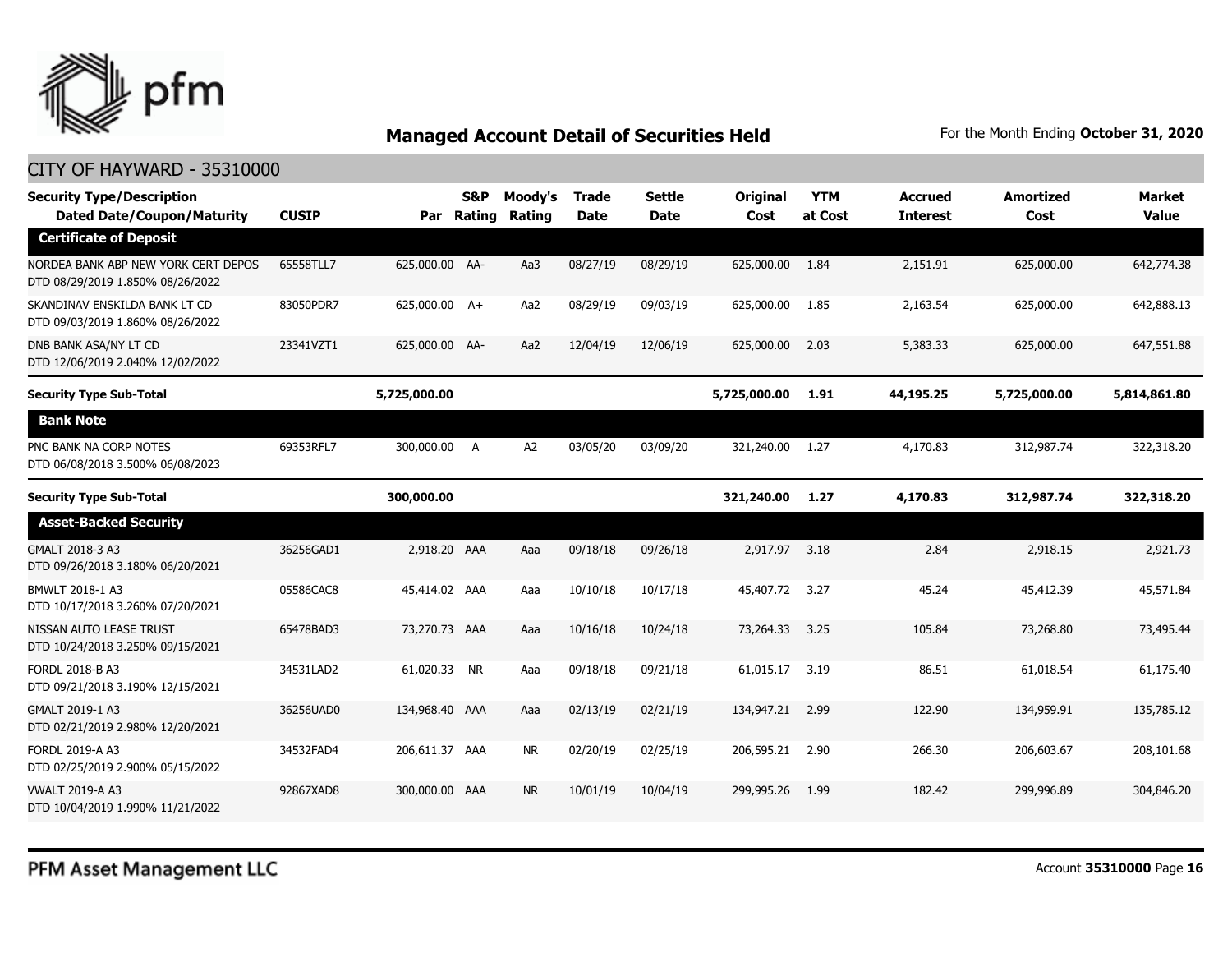

| <b>Security Type/Description</b><br><b>Dated Date/Coupon/Maturity</b>   | <b>CUSIP</b> | Par            | S&P<br>Rating | Moody's<br>Rating | <b>Trade</b><br><b>Date</b> | <b>Settle</b><br><b>Date</b> | Original<br>Cost | <b>YTM</b><br>at Cost | <b>Accrued</b><br><b>Interest</b> | <b>Amortized</b><br>Cost | <b>Market</b><br>Value |
|-------------------------------------------------------------------------|--------------|----------------|---------------|-------------------|-----------------------------|------------------------------|------------------|-----------------------|-----------------------------------|--------------------------|------------------------|
| <b>Certificate of Deposit</b>                                           |              |                |               |                   |                             |                              |                  |                       |                                   |                          |                        |
| NORDEA BANK ABP NEW YORK CERT DEPOS<br>DTD 08/29/2019 1.850% 08/26/2022 | 65558TLL7    | 625,000.00 AA- |               | Aa3               | 08/27/19                    | 08/29/19                     | 625,000.00 1.84  |                       | 2,151.91                          | 625,000.00               | 642,774.38             |
| SKANDINAV ENSKILDA BANK LT CD<br>DTD 09/03/2019 1.860% 08/26/2022       | 83050PDR7    | 625,000.00 A+  |               | Aa2               | 08/29/19                    | 09/03/19                     | 625,000.00       | 1.85                  | 2,163.54                          | 625,000.00               | 642,888.13             |
| DNB BANK ASA/NY LT CD<br>DTD 12/06/2019 2.040% 12/02/2022               | 23341VZT1    | 625,000.00 AA- |               | Aa2               | 12/04/19                    | 12/06/19                     | 625,000.00       | 2.03                  | 5,383.33                          | 625,000.00               | 647,551.88             |
| <b>Security Type Sub-Total</b>                                          |              | 5,725,000.00   |               |                   |                             |                              | 5,725,000.00     | 1.91                  | 44,195.25                         | 5,725,000.00             | 5,814,861.80           |
| <b>Bank Note</b>                                                        |              |                |               |                   |                             |                              |                  |                       |                                   |                          |                        |
| PNC BANK NA CORP NOTES<br>DTD 06/08/2018 3.500% 06/08/2023              | 69353RFL7    | 300,000.00 A   |               | A2                | 03/05/20                    | 03/09/20                     | 321,240.00 1.27  |                       | 4,170.83                          | 312,987.74               | 322,318.20             |
| <b>Security Type Sub-Total</b>                                          |              | 300,000.00     |               |                   |                             |                              | 321,240.00       | 1.27                  | 4,170.83                          | 312,987.74               | 322,318.20             |
| <b>Asset-Backed Security</b>                                            |              |                |               |                   |                             |                              |                  |                       |                                   |                          |                        |
| GMALT 2018-3 A3<br>DTD 09/26/2018 3.180% 06/20/2021                     | 36256GAD1    | 2,918.20 AAA   |               | Aaa               | 09/18/18                    | 09/26/18                     | 2,917.97 3.18    |                       | 2.84                              | 2,918.15                 | 2,921.73               |
| BMWLT 2018-1 A3<br>DTD 10/17/2018 3.260% 07/20/2021                     | 05586CAC8    | 45,414.02 AAA  |               | Aaa               | 10/10/18                    | 10/17/18                     | 45,407.72 3.27   |                       | 45.24                             | 45,412.39                | 45,571.84              |
| NISSAN AUTO LEASE TRUST<br>DTD 10/24/2018 3.250% 09/15/2021             | 65478BAD3    | 73,270,73 AAA  |               | Aaa               | 10/16/18                    | 10/24/18                     | 73,264.33        | 3.25                  | 105.84                            | 73,268.80                | 73,495.44              |
| FORDL 2018-B A3<br>DTD 09/21/2018 3.190% 12/15/2021                     | 34531LAD2    | 61,020.33 NR   |               | Aaa               | 09/18/18                    | 09/21/18                     | 61,015.17        | 3.19                  | 86.51                             | 61,018.54                | 61,175.40              |
| GMALT 2019-1 A3<br>DTD 02/21/2019 2.980% 12/20/2021                     | 36256UAD0    | 134,968,40 AAA |               | Aaa               | 02/13/19                    | 02/21/19                     | 134,947.21       | 2.99                  | 122.90                            | 134,959.91               | 135,785.12             |
| FORDL 2019-A A3<br>DTD 02/25/2019 2.900% 05/15/2022                     | 34532FAD4    | 206,611.37 AAA |               | <b>NR</b>         | 02/20/19                    | 02/25/19                     | 206,595.21       | 2.90                  | 266.30                            | 206,603.67               | 208,101.68             |
| <b>VWALT 2019-A A3</b><br>DTD 10/04/2019 1.990% 11/21/2022              | 92867XAD8    | 300,000.00 AAA |               | <b>NR</b>         | 10/01/19                    | 10/04/19                     | 299,995.26       | 1.99                  | 182.42                            | 299,996.89               | 304,846.20             |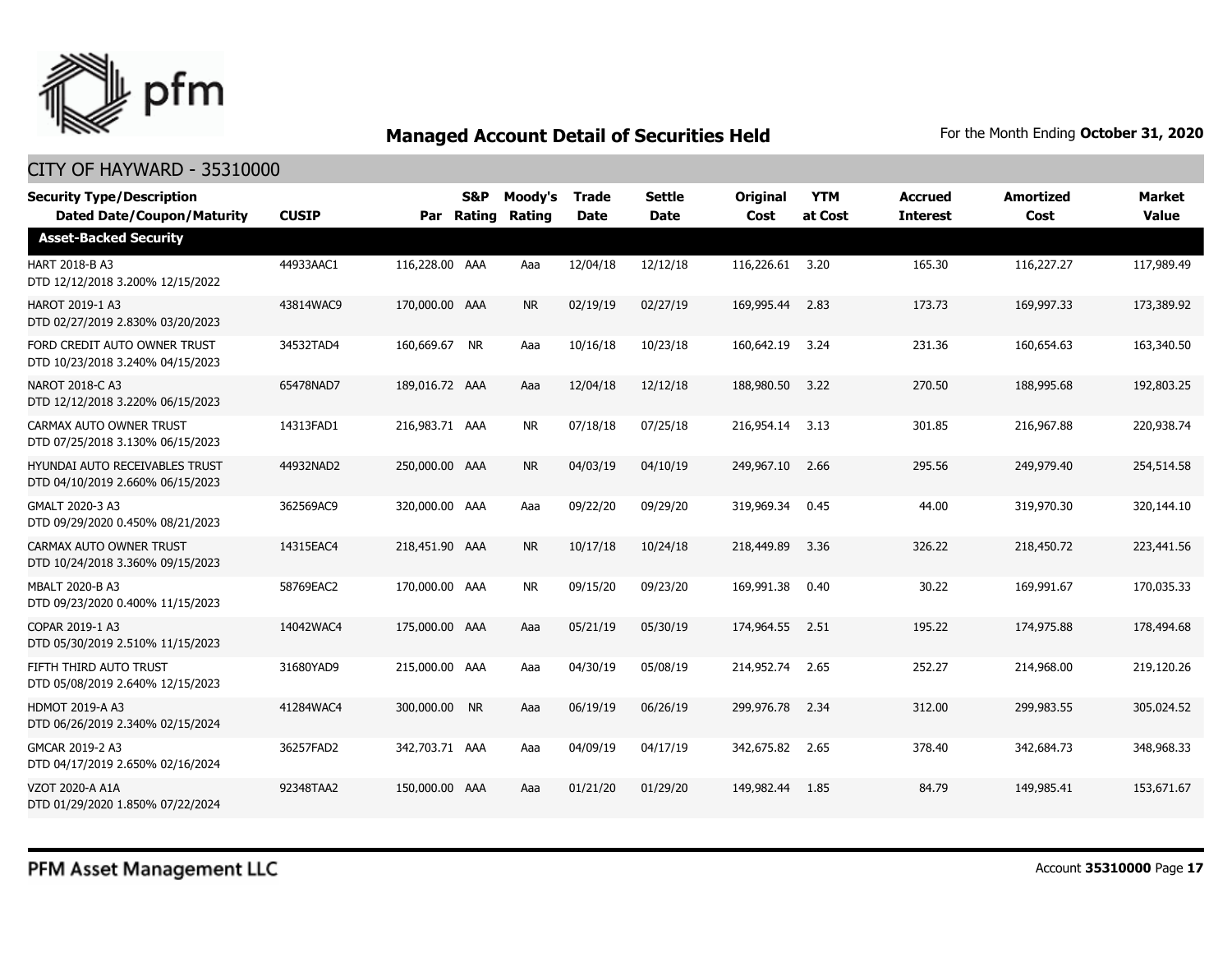

| <b>Security Type/Description</b><br><b>Dated Date/Coupon/Maturity</b>     | <b>CUSIP</b> |                | S&P<br>Par Rating | Moody's<br>Rating | <b>Trade</b><br><b>Date</b> | <b>Settle</b><br>Date | <b>Original</b><br>Cost | <b>YTM</b><br>at Cost | <b>Accrued</b><br><b>Interest</b> | <b>Amortized</b><br>Cost | <b>Market</b><br><b>Value</b> |
|---------------------------------------------------------------------------|--------------|----------------|-------------------|-------------------|-----------------------------|-----------------------|-------------------------|-----------------------|-----------------------------------|--------------------------|-------------------------------|
| <b>Asset-Backed Security</b>                                              |              |                |                   |                   |                             |                       |                         |                       |                                   |                          |                               |
| HART 2018-B A3<br>DTD 12/12/2018 3.200% 12/15/2022                        | 44933AAC1    | 116,228.00 AAA |                   | Aaa               | 12/04/18                    | 12/12/18              | 116,226.61              | 3.20                  | 165.30                            | 116,227.27               | 117,989.49                    |
| <b>HAROT 2019-1 A3</b><br>DTD 02/27/2019 2.830% 03/20/2023                | 43814WAC9    | 170,000.00 AAA |                   | <b>NR</b>         | 02/19/19                    | 02/27/19              | 169,995.44              | 2.83                  | 173.73                            | 169,997.33               | 173,389.92                    |
| FORD CREDIT AUTO OWNER TRUST<br>DTD 10/23/2018 3.240% 04/15/2023          | 34532TAD4    | 160,669.67 NR  |                   | Aaa               | 10/16/18                    | 10/23/18              | 160,642.19              | 3.24                  | 231.36                            | 160,654.63               | 163,340.50                    |
| NAROT 2018-C A3<br>DTD 12/12/2018 3.220% 06/15/2023                       | 65478NAD7    | 189,016.72 AAA |                   | Aaa               | 12/04/18                    | 12/12/18              | 188,980.50              | 3.22                  | 270.50                            | 188,995.68               | 192,803.25                    |
| CARMAX AUTO OWNER TRUST<br>DTD 07/25/2018 3.130% 06/15/2023               | 14313FAD1    | 216,983.71 AAA |                   | <b>NR</b>         | 07/18/18                    | 07/25/18              | 216,954.14              | 3.13                  | 301.85                            | 216,967.88               | 220,938.74                    |
| <b>HYUNDAI AUTO RECEIVABLES TRUST</b><br>DTD 04/10/2019 2.660% 06/15/2023 | 44932NAD2    | 250,000.00 AAA |                   | <b>NR</b>         | 04/03/19                    | 04/10/19              | 249,967.10              | 2.66                  | 295.56                            | 249,979.40               | 254,514.58                    |
| GMALT 2020-3 A3<br>DTD 09/29/2020 0.450% 08/21/2023                       | 362569AC9    | 320,000.00 AAA |                   | Aaa               | 09/22/20                    | 09/29/20              | 319,969.34              | 0.45                  | 44.00                             | 319,970.30               | 320,144.10                    |
| CARMAX AUTO OWNER TRUST<br>DTD 10/24/2018 3.360% 09/15/2023               | 14315EAC4    | 218,451.90 AAA |                   | <b>NR</b>         | 10/17/18                    | 10/24/18              | 218,449.89              | 3.36                  | 326.22                            | 218,450.72               | 223,441.56                    |
| MBALT 2020-B A3<br>DTD 09/23/2020 0.400% 11/15/2023                       | 58769EAC2    | 170,000.00 AAA |                   | <b>NR</b>         | 09/15/20                    | 09/23/20              | 169,991.38              | 0.40                  | 30.22                             | 169,991.67               | 170,035.33                    |
| COPAR 2019-1 A3<br>DTD 05/30/2019 2.510% 11/15/2023                       | 14042WAC4    | 175,000.00 AAA |                   | Aaa               | 05/21/19                    | 05/30/19              | 174,964.55              | 2.51                  | 195.22                            | 174,975.88               | 178,494.68                    |
| FIFTH THIRD AUTO TRUST<br>DTD 05/08/2019 2.640% 12/15/2023                | 31680YAD9    | 215,000.00 AAA |                   | Aaa               | 04/30/19                    | 05/08/19              | 214,952.74              | 2.65                  | 252.27                            | 214,968.00               | 219,120.26                    |
| <b>HDMOT 2019-A A3</b><br>DTD 06/26/2019 2.340% 02/15/2024                | 41284WAC4    | 300,000.00 NR  |                   | Aaa               | 06/19/19                    | 06/26/19              | 299,976.78              | 2.34                  | 312.00                            | 299,983.55               | 305,024.52                    |
| GMCAR 2019-2 A3<br>DTD 04/17/2019 2.650% 02/16/2024                       | 36257FAD2    | 342,703.71 AAA |                   | Aaa               | 04/09/19                    | 04/17/19              | 342,675.82              | 2.65                  | 378.40                            | 342,684.73               | 348,968.33                    |
| VZOT 2020-A A1A<br>DTD 01/29/2020 1.850% 07/22/2024                       | 92348TAA2    | 150,000.00 AAA |                   | Aaa               | 01/21/20                    | 01/29/20              | 149,982,44              | 1.85                  | 84.79                             | 149,985.41               | 153,671.67                    |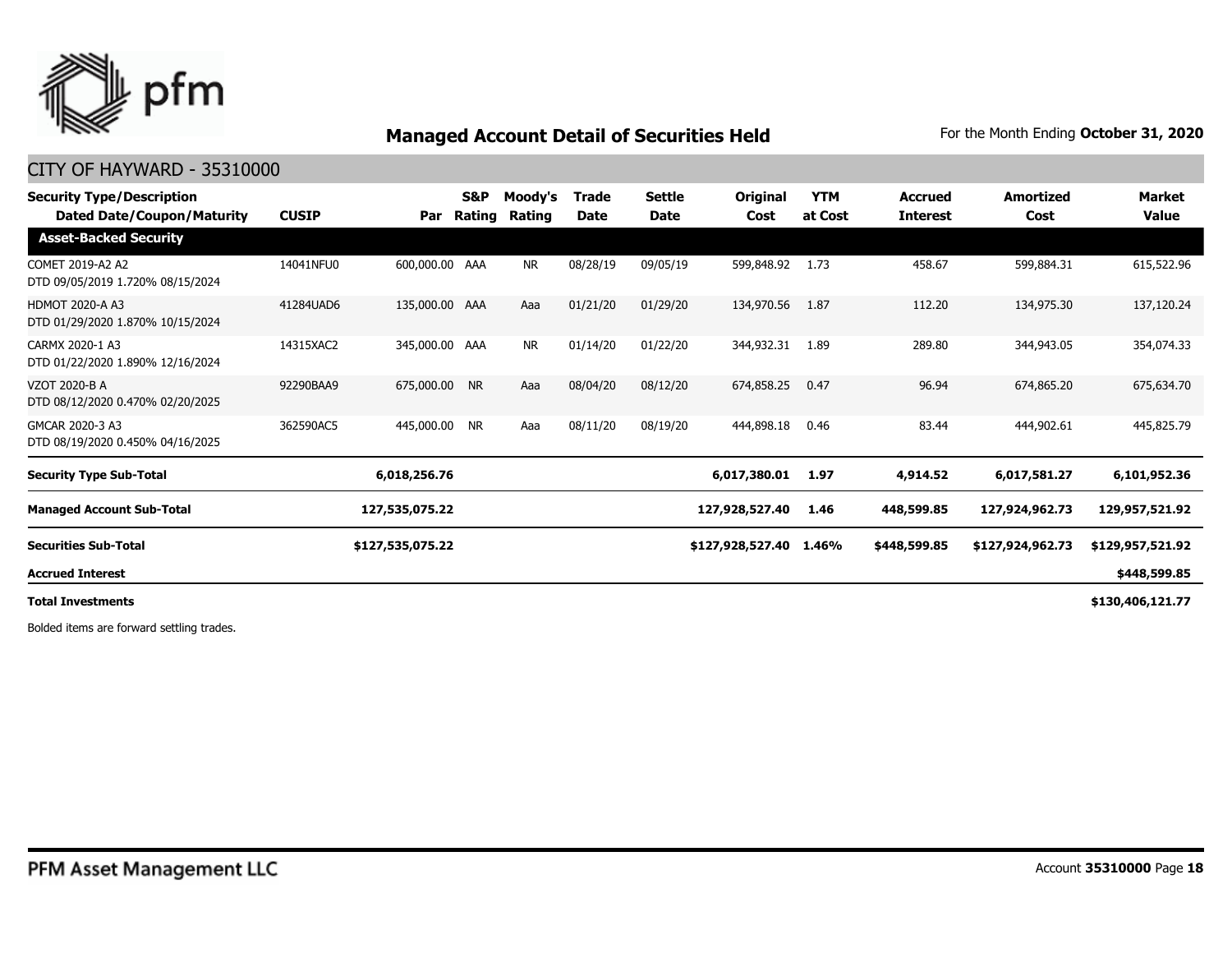

### CITY OF HAYWARD - 35310000

| <b>Security Type/Description</b><br>Dated Date/Coupon/Maturity | <b>CUSIP</b> | Par              | S&P<br>Rating | Moody's<br>Rating | Trade<br>Date | <b>Settle</b><br><b>Date</b> | Original<br>Cost | <b>YTM</b><br>at Cost | <b>Accrued</b><br><b>Interest</b> | <b>Amortized</b><br>Cost | <b>Market</b><br>Value |
|----------------------------------------------------------------|--------------|------------------|---------------|-------------------|---------------|------------------------------|------------------|-----------------------|-----------------------------------|--------------------------|------------------------|
| <b>Asset-Backed Security</b>                                   |              |                  |               |                   |               |                              |                  |                       |                                   |                          |                        |
| COMET 2019-A2 A2<br>DTD 09/05/2019 1.720% 08/15/2024           | 14041NFU0    | 600,000.00 AAA   |               | NR.               | 08/28/19      | 09/05/19                     | 599,848.92       | 1.73                  | 458.67                            | 599,884.31               | 615,522.96             |
| <b>HDMOT 2020-A A3</b><br>DTD 01/29/2020 1.870% 10/15/2024     | 41284UAD6    | 135,000.00 AAA   |               | Aaa               | 01/21/20      | 01/29/20                     | 134,970.56       | 1.87                  | 112.20                            | 134,975.30               | 137,120.24             |
| CARMX 2020-1 A3<br>DTD 01/22/2020 1.890% 12/16/2024            | 14315XAC2    | 345,000.00 AAA   |               | NR.               | 01/14/20      | 01/22/20                     | 344,932.31       | 1.89                  | 289.80                            | 344,943.05               | 354,074.33             |
| VZOT 2020-B A<br>DTD 08/12/2020 0.470% 02/20/2025              | 92290BAA9    | 675,000.00 NR    |               | Aaa               | 08/04/20      | 08/12/20                     | 674,858.25       | 0.47                  | 96.94                             | 674,865.20               | 675,634.70             |
| GMCAR 2020-3 A3<br>DTD 08/19/2020 0.450% 04/16/2025            | 362590AC5    | 445,000.00       | <b>NR</b>     | Aaa               | 08/11/20      | 08/19/20                     | 444,898.18       | 0.46                  | 83.44                             | 444,902.61               | 445,825.79             |
| <b>Security Type Sub-Total</b>                                 |              | 6,018,256.76     |               |                   |               |                              | 6,017,380.01     | 1.97                  | 4,914.52                          | 6,017,581.27             | 6,101,952.36           |
| <b>Managed Account Sub-Total</b>                               |              | 127,535,075.22   |               |                   |               |                              | 127,928,527.40   | 1.46                  | 448,599.85                        | 127,924,962.73           | 129,957,521.92         |
| <b>Securities Sub-Total</b>                                    |              | \$127,535,075.22 |               |                   |               |                              | \$127,928,527.40 | 1.46%                 | \$448,599.85                      | \$127,924,962.73         | \$129,957,521.92       |
| <b>Accrued Interest</b>                                        |              |                  |               |                   |               |                              |                  |                       |                                   |                          | \$448,599.85           |
| <b>Total Investments</b>                                       |              |                  |               |                   |               |                              |                  |                       |                                   |                          | \$130,406,121.77       |

Bolded items are forward settling trades.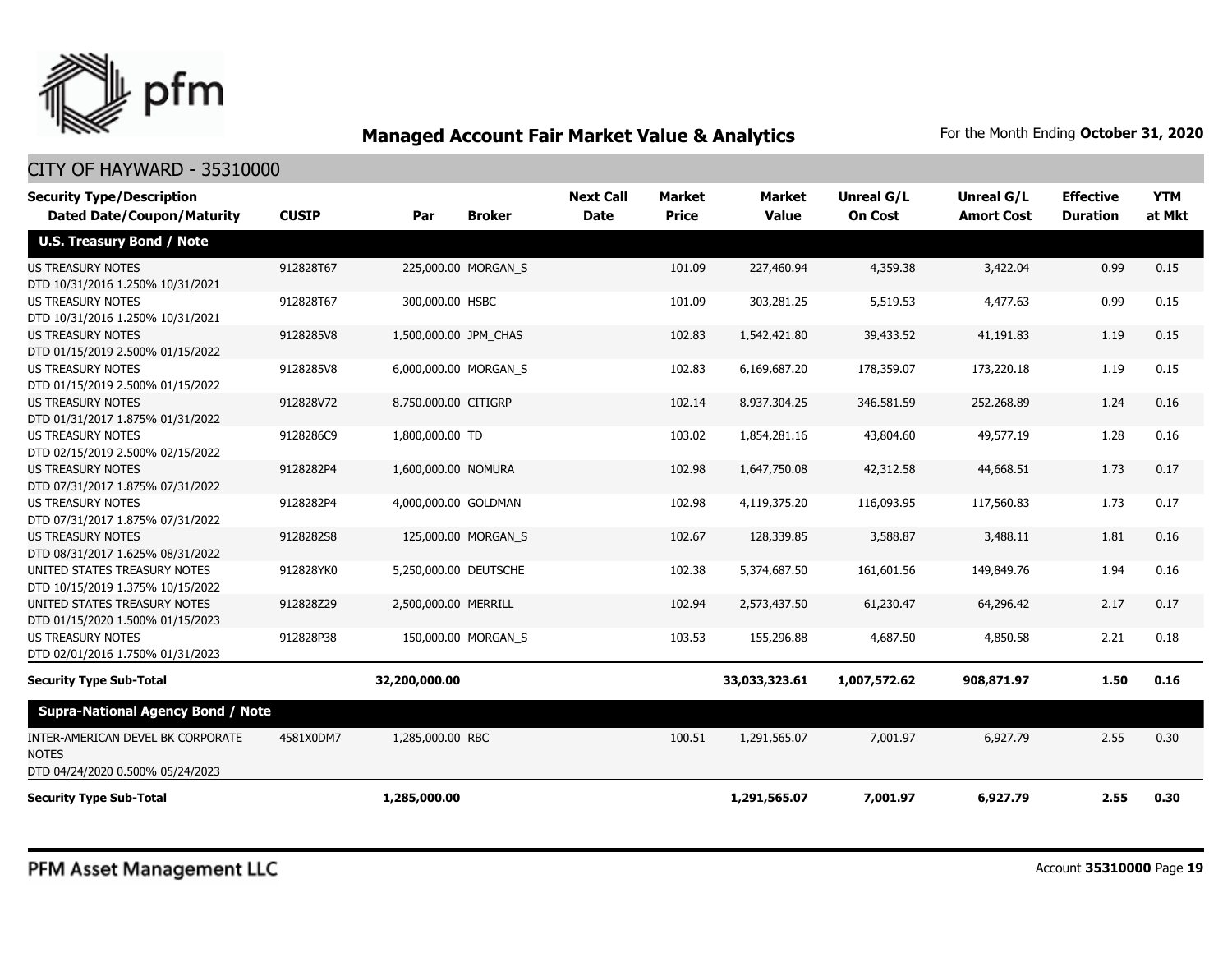

| <b>Security Type/Description</b><br><b>Dated Date/Coupon/Maturity</b>                 | <b>CUSIP</b> | Par                   | <b>Broker</b>       | <b>Next Call</b><br><b>Date</b> | <b>Market</b><br><b>Price</b> | <b>Market</b><br><b>Value</b> | <b>Unreal G/L</b><br><b>On Cost</b> | Unreal G/L<br><b>Amort Cost</b> | <b>Effective</b><br><b>Duration</b> | <b>YTM</b><br>at Mkt |
|---------------------------------------------------------------------------------------|--------------|-----------------------|---------------------|---------------------------------|-------------------------------|-------------------------------|-------------------------------------|---------------------------------|-------------------------------------|----------------------|
| <b>U.S. Treasury Bond / Note</b>                                                      |              |                       |                     |                                 |                               |                               |                                     |                                 |                                     |                      |
| <b>US TREASURY NOTES</b><br>DTD 10/31/2016 1.250% 10/31/2021                          | 912828T67    |                       | 225,000.00 MORGAN S |                                 | 101.09                        | 227,460.94                    | 4,359.38                            | 3,422.04                        | 0.99                                | 0.15                 |
| <b>US TREASURY NOTES</b><br>DTD 10/31/2016 1.250% 10/31/2021                          | 912828T67    | 300,000.00 HSBC       |                     |                                 | 101.09                        | 303,281.25                    | 5,519.53                            | 4,477.63                        | 0.99                                | 0.15                 |
| <b>US TREASURY NOTES</b><br>DTD 01/15/2019 2.500% 01/15/2022                          | 9128285V8    | 1,500,000.00 JPM CHAS |                     |                                 | 102.83                        | 1,542,421.80                  | 39,433.52                           | 41,191.83                       | 1.19                                | 0.15                 |
| <b>US TREASURY NOTES</b><br>DTD 01/15/2019 2.500% 01/15/2022                          | 9128285V8    | 6,000,000.00 MORGAN_S |                     |                                 | 102.83                        | 6,169,687.20                  | 178,359.07                          | 173,220.18                      | 1.19                                | 0.15                 |
| US TREASURY NOTES<br>DTD 01/31/2017 1.875% 01/31/2022                                 | 912828V72    | 8,750,000.00 CITIGRP  |                     |                                 | 102.14                        | 8,937,304.25                  | 346,581.59                          | 252,268.89                      | 1.24                                | 0.16                 |
| <b>US TREASURY NOTES</b><br>DTD 02/15/2019 2.500% 02/15/2022                          | 9128286C9    | 1,800,000.00 TD       |                     |                                 | 103.02                        | 1,854,281.16                  | 43,804.60                           | 49,577.19                       | 1.28                                | 0.16                 |
| <b>US TREASURY NOTES</b><br>DTD 07/31/2017 1.875% 07/31/2022                          | 9128282P4    | 1,600,000.00 NOMURA   |                     |                                 | 102.98                        | 1,647,750.08                  | 42,312.58                           | 44,668.51                       | 1.73                                | 0.17                 |
| <b>US TREASURY NOTES</b><br>DTD 07/31/2017 1.875% 07/31/2022                          | 9128282P4    | 4,000,000.00 GOLDMAN  |                     |                                 | 102.98                        | 4,119,375.20                  | 116,093.95                          | 117,560.83                      | 1.73                                | 0.17                 |
| <b>US TREASURY NOTES</b><br>DTD 08/31/2017 1.625% 08/31/2022                          | 9128282S8    |                       | 125,000.00 MORGAN_S |                                 | 102.67                        | 128,339.85                    | 3,588.87                            | 3,488.11                        | 1.81                                | 0.16                 |
| UNITED STATES TREASURY NOTES<br>DTD 10/15/2019 1.375% 10/15/2022                      | 912828YK0    | 5,250,000.00 DEUTSCHE |                     |                                 | 102.38                        | 5,374,687.50                  | 161,601.56                          | 149,849.76                      | 1.94                                | 0.16                 |
| UNITED STATES TREASURY NOTES<br>DTD 01/15/2020 1.500% 01/15/2023                      | 912828Z29    | 2,500,000.00 MERRILL  |                     |                                 | 102.94                        | 2,573,437.50                  | 61,230.47                           | 64,296.42                       | 2.17                                | 0.17                 |
| <b>US TREASURY NOTES</b><br>DTD 02/01/2016 1.750% 01/31/2023                          | 912828P38    |                       | 150,000.00 MORGAN S |                                 | 103.53                        | 155,296.88                    | 4,687.50                            | 4,850.58                        | 2.21                                | 0.18                 |
| <b>Security Type Sub-Total</b>                                                        |              | 32,200,000.00         |                     |                                 |                               | 33,033,323.61                 | 1,007,572.62                        | 908,871.97                      | 1.50                                | 0.16                 |
| <b>Supra-National Agency Bond / Note</b>                                              |              |                       |                     |                                 |                               |                               |                                     |                                 |                                     |                      |
| INTER-AMERICAN DEVEL BK CORPORATE<br><b>NOTES</b><br>DTD 04/24/2020 0.500% 05/24/2023 | 4581X0DM7    | 1,285,000.00 RBC      |                     |                                 | 100.51                        | 1,291,565.07                  | 7,001.97                            | 6,927.79                        | 2.55                                | 0.30                 |
| <b>Security Type Sub-Total</b>                                                        |              | 1,285,000.00          |                     |                                 |                               | 1,291,565.07                  | 7,001.97                            | 6,927.79                        | 2.55                                | 0.30                 |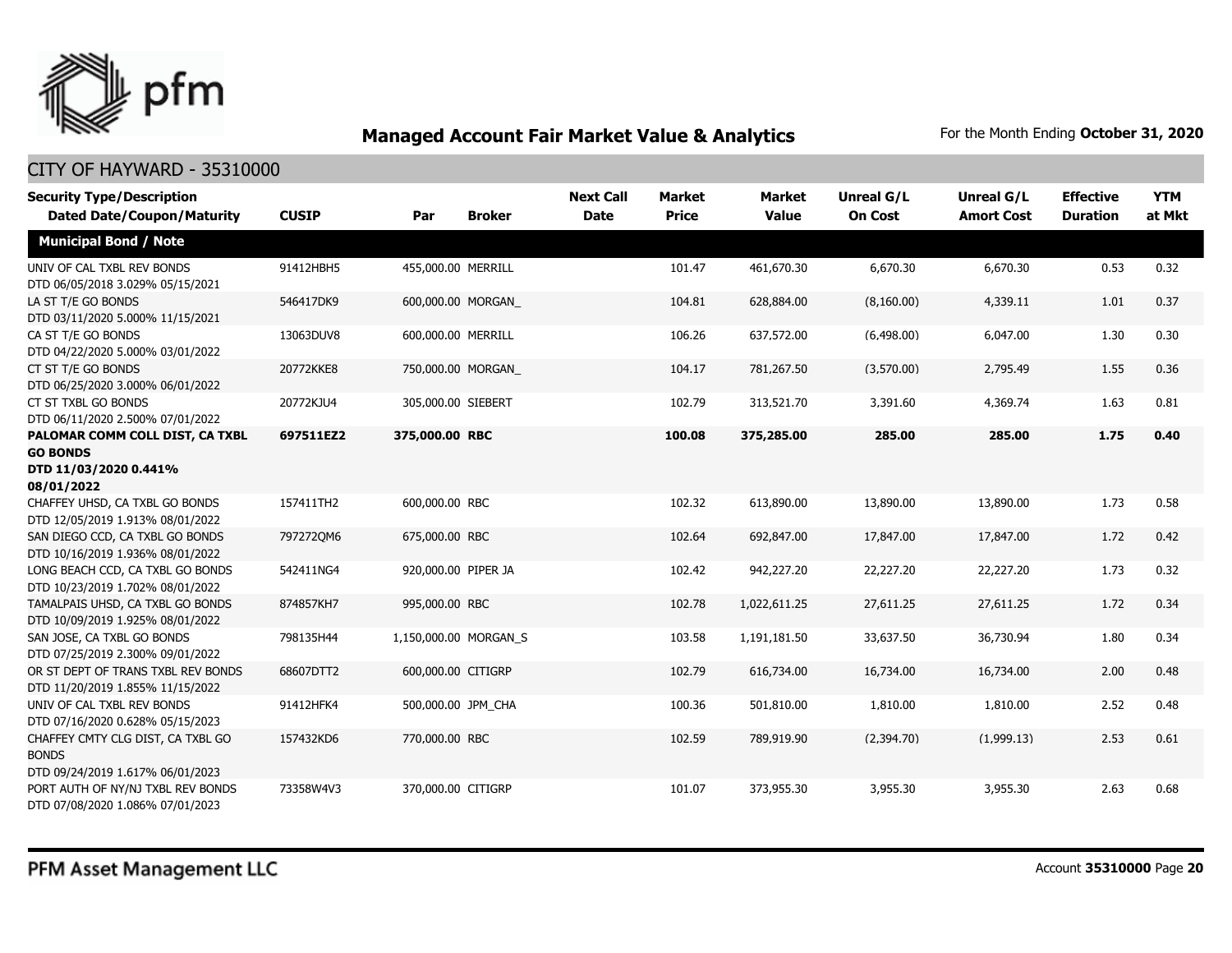

| <b>Security Type/Description</b><br><b>Dated Date/Coupon/Maturity</b>                     | <b>CUSIP</b> | Par                   | <b>Broker</b> | <b>Next Call</b><br><b>Date</b> | <b>Market</b><br><b>Price</b> | <b>Market</b><br><b>Value</b> | <b>Unreal G/L</b><br><b>On Cost</b> | Unreal G/L<br><b>Amort Cost</b> | <b>Effective</b><br><b>Duration</b> | <b>YTM</b><br>at Mkt |
|-------------------------------------------------------------------------------------------|--------------|-----------------------|---------------|---------------------------------|-------------------------------|-------------------------------|-------------------------------------|---------------------------------|-------------------------------------|----------------------|
| <b>Municipal Bond / Note</b>                                                              |              |                       |               |                                 |                               |                               |                                     |                                 |                                     |                      |
| UNIV OF CAL TXBL REV BONDS<br>DTD 06/05/2018 3.029% 05/15/2021                            | 91412HBH5    | 455,000.00 MERRILL    |               |                                 | 101.47                        | 461,670.30                    | 6,670.30                            | 6,670.30                        | 0.53                                | 0.32                 |
| LA ST T/E GO BONDS<br>DTD 03/11/2020 5.000% 11/15/2021                                    | 546417DK9    | 600,000.00 MORGAN     |               |                                 | 104.81                        | 628,884.00                    | (8,160.00)                          | 4,339.11                        | 1.01                                | 0.37                 |
| CA ST T/E GO BONDS<br>DTD 04/22/2020 5.000% 03/01/2022                                    | 13063DUV8    | 600,000.00 MERRILL    |               |                                 | 106.26                        | 637,572.00                    | (6,498.00)                          | 6,047.00                        | 1.30                                | 0.30                 |
| CT ST T/E GO BONDS<br>DTD 06/25/2020 3.000% 06/01/2022                                    | 20772KKE8    | 750,000.00 MORGAN     |               |                                 | 104.17                        | 781,267.50                    | (3,570.00)                          | 2,795.49                        | 1.55                                | 0.36                 |
| CT ST TXBL GO BONDS<br>DTD 06/11/2020 2.500% 07/01/2022                                   | 20772KJU4    | 305,000.00 SIEBERT    |               |                                 | 102.79                        | 313,521.70                    | 3,391.60                            | 4,369.74                        | 1.63                                | 0.81                 |
| PALOMAR COMM COLL DIST, CA TXBL<br><b>GO BONDS</b><br>DTD 11/03/2020 0.441%<br>08/01/2022 | 697511EZ2    | 375,000.00 RBC        |               |                                 | 100.08                        | 375,285.00                    | 285.00                              | 285.00                          | 1.75                                | 0.40                 |
| CHAFFEY UHSD, CA TXBL GO BONDS<br>DTD 12/05/2019 1.913% 08/01/2022                        | 157411TH2    | 600,000.00 RBC        |               |                                 | 102.32                        | 613,890.00                    | 13,890.00                           | 13,890.00                       | 1.73                                | 0.58                 |
| SAN DIEGO CCD, CA TXBL GO BONDS<br>DTD 10/16/2019 1.936% 08/01/2022                       | 797272QM6    | 675,000.00 RBC        |               |                                 | 102.64                        | 692,847.00                    | 17,847.00                           | 17,847.00                       | 1.72                                | 0.42                 |
| LONG BEACH CCD, CA TXBL GO BONDS<br>DTD 10/23/2019 1.702% 08/01/2022                      | 542411NG4    | 920,000.00 PIPER JA   |               |                                 | 102.42                        | 942,227.20                    | 22,227.20                           | 22,227.20                       | 1.73                                | 0.32                 |
| TAMALPAIS UHSD, CA TXBL GO BONDS<br>DTD 10/09/2019 1.925% 08/01/2022                      | 874857KH7    | 995,000.00 RBC        |               |                                 | 102.78                        | 1,022,611.25                  | 27,611.25                           | 27,611.25                       | 1.72                                | 0.34                 |
| SAN JOSE, CA TXBL GO BONDS<br>DTD 07/25/2019 2.300% 09/01/2022                            | 798135H44    | 1,150,000.00 MORGAN_S |               |                                 | 103.58                        | 1,191,181.50                  | 33,637.50                           | 36,730.94                       | 1.80                                | 0.34                 |
| OR ST DEPT OF TRANS TXBL REV BONDS<br>DTD 11/20/2019 1.855% 11/15/2022                    | 68607DTT2    | 600,000.00 CITIGRP    |               |                                 | 102.79                        | 616,734.00                    | 16,734.00                           | 16,734.00                       | 2.00                                | 0.48                 |
| UNIV OF CAL TXBL REV BONDS<br>DTD 07/16/2020 0.628% 05/15/2023                            | 91412HFK4    | 500,000.00 JPM_CHA    |               |                                 | 100.36                        | 501,810.00                    | 1,810.00                            | 1,810.00                        | 2.52                                | 0.48                 |
| CHAFFEY CMTY CLG DIST, CA TXBL GO<br><b>BONDS</b><br>DTD 09/24/2019 1.617% 06/01/2023     | 157432KD6    | 770,000.00 RBC        |               |                                 | 102.59                        | 789,919.90                    | (2,394.70)                          | (1,999.13)                      | 2.53                                | 0.61                 |
| PORT AUTH OF NY/NJ TXBL REV BONDS<br>DTD 07/08/2020 1.086% 07/01/2023                     | 73358W4V3    | 370,000.00 CITIGRP    |               |                                 | 101.07                        | 373,955.30                    | 3,955.30                            | 3,955.30                        | 2.63                                | 0.68                 |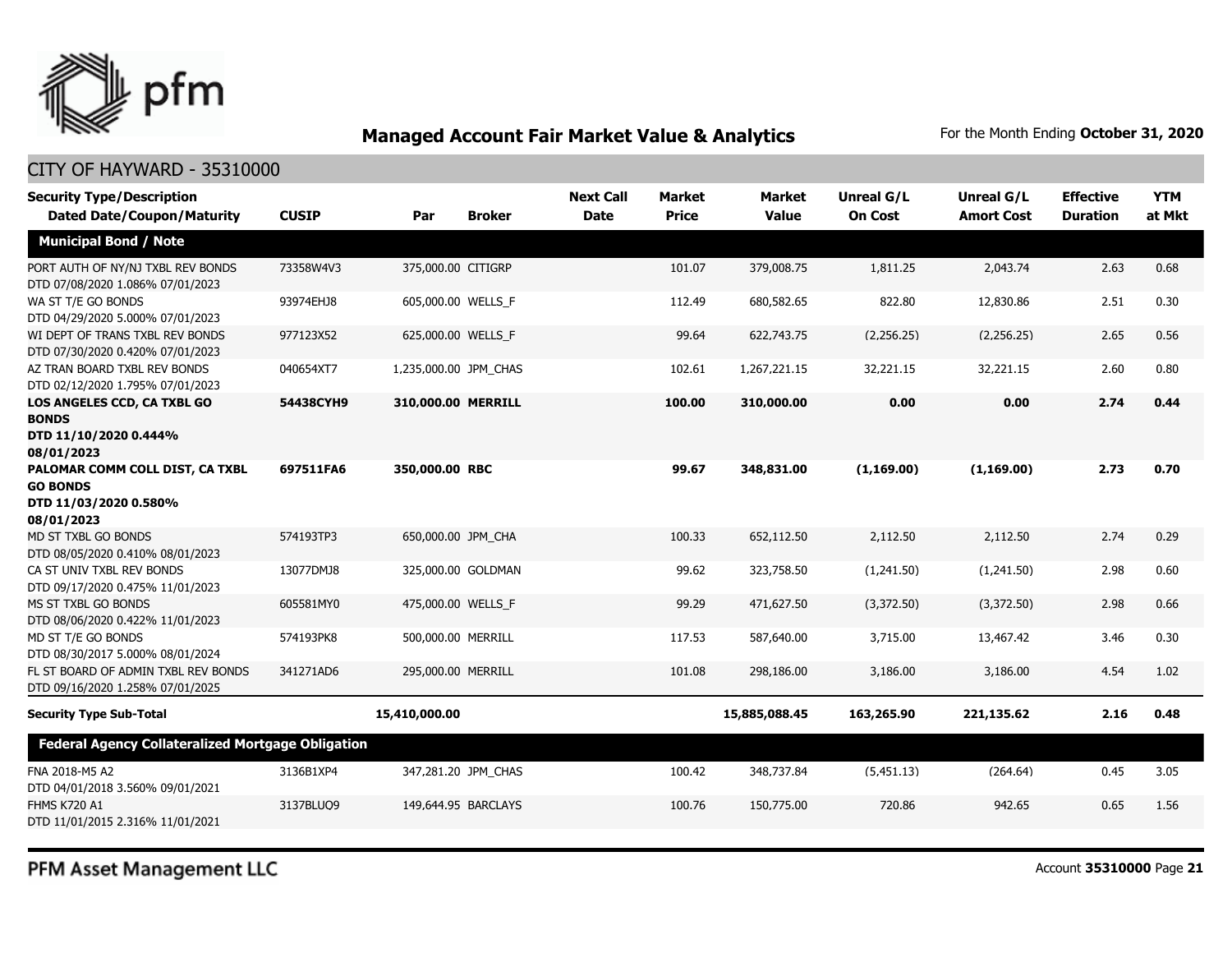

| <b>Security Type/Description</b><br><b>Dated Date/Coupon/Maturity</b>                     | <b>CUSIP</b> | Par                   | <b>Broker</b>       | <b>Next Call</b><br><b>Date</b> | <b>Market</b><br><b>Price</b> | <b>Market</b><br><b>Value</b> | <b>Unreal G/L</b><br><b>On Cost</b> | <b>Unreal G/L</b><br><b>Amort Cost</b> | <b>Effective</b><br><b>Duration</b> | <b>YTM</b><br>at Mkt |
|-------------------------------------------------------------------------------------------|--------------|-----------------------|---------------------|---------------------------------|-------------------------------|-------------------------------|-------------------------------------|----------------------------------------|-------------------------------------|----------------------|
| <b>Municipal Bond / Note</b>                                                              |              |                       |                     |                                 |                               |                               |                                     |                                        |                                     |                      |
| PORT AUTH OF NY/NJ TXBL REV BONDS<br>DTD 07/08/2020 1.086% 07/01/2023                     | 73358W4V3    | 375,000.00 CITIGRP    |                     |                                 | 101.07                        | 379,008.75                    | 1,811.25                            | 2,043.74                               | 2.63                                | 0.68                 |
| WA ST T/E GO BONDS<br>DTD 04/29/2020 5.000% 07/01/2023                                    | 93974EHJ8    | 605,000.00 WELLS F    |                     |                                 | 112.49                        | 680,582.65                    | 822.80                              | 12,830.86                              | 2.51                                | 0.30                 |
| WI DEPT OF TRANS TXBL REV BONDS<br>DTD 07/30/2020 0.420% 07/01/2023                       | 977123X52    | 625,000.00 WELLS_F    |                     |                                 | 99.64                         | 622,743.75                    | (2,256.25)                          | (2,256.25)                             | 2.65                                | 0.56                 |
| AZ TRAN BOARD TXBL REV BONDS<br>DTD 02/12/2020 1.795% 07/01/2023                          | 040654XT7    | 1,235,000.00 JPM_CHAS |                     |                                 | 102.61                        | 1,267,221.15                  | 32,221.15                           | 32,221.15                              | 2.60                                | 0.80                 |
| LOS ANGELES CCD, CA TXBL GO<br><b>BONDS</b><br>DTD 11/10/2020 0.444%<br>08/01/2023        | 54438CYH9    | 310,000.00 MERRILL    |                     |                                 | 100.00                        | 310,000.00                    | 0.00                                | 0.00                                   | 2.74                                | 0.44                 |
| PALOMAR COMM COLL DIST, CA TXBL<br><b>GO BONDS</b><br>DTD 11/03/2020 0.580%<br>08/01/2023 | 697511FA6    | 350,000.00 RBC        |                     |                                 | 99.67                         | 348,831.00                    | (1, 169.00)                         | (1, 169.00)                            | 2.73                                | 0.70                 |
| MD ST TXBL GO BONDS<br>DTD 08/05/2020 0.410% 08/01/2023                                   | 574193TP3    | 650,000.00 JPM_CHA    |                     |                                 | 100.33                        | 652,112.50                    | 2,112.50                            | 2,112.50                               | 2.74                                | 0.29                 |
| CA ST UNIV TXBL REV BONDS<br>DTD 09/17/2020 0.475% 11/01/2023                             | 13077DMJ8    |                       | 325,000.00 GOLDMAN  |                                 | 99.62                         | 323,758.50                    | (1,241.50)                          | (1,241.50)                             | 2.98                                | 0.60                 |
| MS ST TXBL GO BONDS<br>DTD 08/06/2020 0.422% 11/01/2023                                   | 605581MY0    | 475,000.00 WELLS F    |                     |                                 | 99.29                         | 471,627.50                    | (3.372.50)                          | (3.372.50)                             | 2.98                                | 0.66                 |
| MD ST T/E GO BONDS<br>DTD 08/30/2017 5.000% 08/01/2024                                    | 574193PK8    | 500,000.00 MERRILL    |                     |                                 | 117.53                        | 587,640.00                    | 3,715.00                            | 13,467.42                              | 3.46                                | 0.30                 |
| FL ST BOARD OF ADMIN TXBL REV BONDS<br>DTD 09/16/2020 1.258% 07/01/2025                   | 341271AD6    | 295,000.00 MERRILL    |                     |                                 | 101.08                        | 298,186.00                    | 3,186.00                            | 3,186.00                               | 4.54                                | 1.02                 |
| <b>Security Type Sub-Total</b>                                                            |              | 15,410,000.00         |                     |                                 |                               | 15,885,088.45                 | 163,265.90                          | 221,135.62                             | 2.16                                | 0.48                 |
| <b>Federal Agency Collateralized Mortgage Obligation</b>                                  |              |                       |                     |                                 |                               |                               |                                     |                                        |                                     |                      |
| FNA 2018-M5 A2<br>DTD 04/01/2018 3.560% 09/01/2021                                        | 3136B1XP4    |                       | 347,281.20 JPM CHAS |                                 | 100.42                        | 348,737.84                    | (5,451.13)                          | (264.64)                               | 0.45                                | 3.05                 |
| <b>FHMS K720 A1</b><br>DTD 11/01/2015 2.316% 11/01/2021                                   | 3137BLUQ9    | 149,644.95 BARCLAYS   |                     |                                 | 100.76                        | 150,775.00                    | 720.86                              | 942.65                                 | 0.65                                | 1.56                 |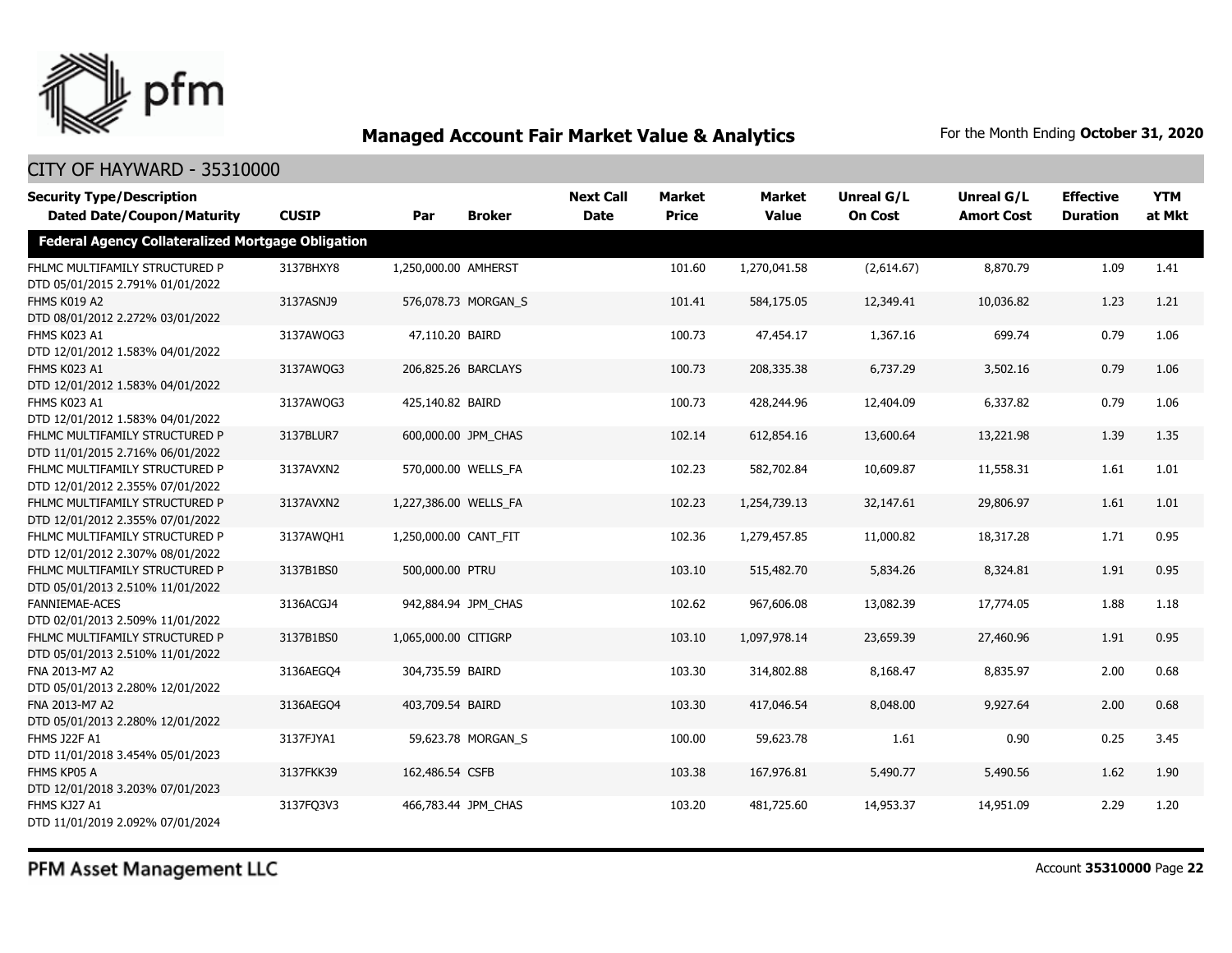

### CITY OF HAYWARD - 35310000

| <b>Security Type/Description</b><br><b>Dated Date/Coupon/Maturity</b> | <b>CUSIP</b> | Par                   | <b>Broker</b>       | <b>Next Call</b><br><b>Date</b> | <b>Market</b><br><b>Price</b> | <b>Market</b><br><b>Value</b> | <b>Unreal G/L</b><br><b>On Cost</b> | Unreal G/L<br><b>Amort Cost</b> | <b>Effective</b><br><b>Duration</b> | <b>YTM</b><br>at Mkt |
|-----------------------------------------------------------------------|--------------|-----------------------|---------------------|---------------------------------|-------------------------------|-------------------------------|-------------------------------------|---------------------------------|-------------------------------------|----------------------|
| <b>Federal Agency Collateralized Mortgage Obligation</b>              |              |                       |                     |                                 |                               |                               |                                     |                                 |                                     |                      |
| FHLMC MULTIFAMILY STRUCTURED P<br>DTD 05/01/2015 2.791% 01/01/2022    | 3137BHXY8    | 1,250,000.00 AMHERST  |                     |                                 | 101.60                        | 1,270,041.58                  | (2,614.67)                          | 8,870.79                        | 1.09                                | 1.41                 |
| FHMS K019 A2<br>DTD 08/01/2012 2.272% 03/01/2022                      | 3137ASNJ9    |                       | 576,078.73 MORGAN S |                                 | 101.41                        | 584,175.05                    | 12,349.41                           | 10,036.82                       | 1.23                                | 1.21                 |
| FHMS K023 A1<br>DTD 12/01/2012 1.583% 04/01/2022                      | 3137AWQG3    | 47,110.20 BAIRD       |                     |                                 | 100.73                        | 47,454.17                     | 1,367.16                            | 699.74                          | 0.79                                | 1.06                 |
| FHMS K023 A1<br>DTD 12/01/2012 1.583% 04/01/2022                      | 3137AWQG3    |                       | 206,825.26 BARCLAYS |                                 | 100.73                        | 208,335.38                    | 6,737.29                            | 3,502.16                        | 0.79                                | 1.06                 |
| FHMS K023 A1<br>DTD 12/01/2012 1.583% 04/01/2022                      | 3137AWQG3    | 425,140.82 BAIRD      |                     |                                 | 100.73                        | 428,244.96                    | 12,404.09                           | 6,337.82                        | 0.79                                | 1.06                 |
| FHLMC MULTIFAMILY STRUCTURED P<br>DTD 11/01/2015 2.716% 06/01/2022    | 3137BLUR7    |                       | 600,000.00 JPM_CHAS |                                 | 102.14                        | 612,854.16                    | 13,600.64                           | 13,221.98                       | 1.39                                | 1.35                 |
| FHLMC MULTIFAMILY STRUCTURED P<br>DTD 12/01/2012 2.355% 07/01/2022    | 3137AVXN2    |                       | 570,000.00 WELLS_FA |                                 | 102.23                        | 582,702.84                    | 10,609.87                           | 11,558.31                       | 1.61                                | 1.01                 |
| FHLMC MULTIFAMILY STRUCTURED P<br>DTD 12/01/2012 2.355% 07/01/2022    | 3137AVXN2    | 1,227,386.00 WELLS FA |                     |                                 | 102.23                        | 1,254,739.13                  | 32,147.61                           | 29,806.97                       | 1.61                                | 1.01                 |
| FHLMC MULTIFAMILY STRUCTURED P<br>DTD 12/01/2012 2.307% 08/01/2022    | 3137AWQH1    | 1,250,000.00 CANT FIT |                     |                                 | 102.36                        | 1,279,457.85                  | 11,000.82                           | 18,317.28                       | 1.71                                | 0.95                 |
| FHLMC MULTIFAMILY STRUCTURED P<br>DTD 05/01/2013 2.510% 11/01/2022    | 3137B1BS0    | 500,000.00 PTRU       |                     |                                 | 103.10                        | 515,482.70                    | 5,834.26                            | 8,324.81                        | 1.91                                | 0.95                 |
| <b>FANNIEMAE-ACES</b><br>DTD 02/01/2013 2.509% 11/01/2022             | 3136ACGJ4    |                       | 942,884.94 JPM CHAS |                                 | 102.62                        | 967,606.08                    | 13,082.39                           | 17,774.05                       | 1.88                                | 1.18                 |
| FHLMC MULTIFAMILY STRUCTURED P<br>DTD 05/01/2013 2.510% 11/01/2022    | 3137B1BS0    | 1,065,000.00 CITIGRP  |                     |                                 | 103.10                        | 1,097,978.14                  | 23,659.39                           | 27,460.96                       | 1.91                                | 0.95                 |
| FNA 2013-M7 A2<br>DTD 05/01/2013 2.280% 12/01/2022                    | 3136AEGO4    | 304,735.59 BAIRD      |                     |                                 | 103.30                        | 314,802.88                    | 8,168.47                            | 8,835.97                        | 2.00                                | 0.68                 |
| FNA 2013-M7 A2<br>DTD 05/01/2013 2.280% 12/01/2022                    | 3136AEGO4    | 403,709.54 BAIRD      |                     |                                 | 103.30                        | 417,046.54                    | 8,048.00                            | 9,927.64                        | 2.00                                | 0.68                 |
| <b>FHMS J22F A1</b><br>DTD 11/01/2018 3.454% 05/01/2023               | 3137FJYA1    |                       | 59,623.78 MORGAN_S  |                                 | 100.00                        | 59,623.78                     | 1.61                                | 0.90                            | 0.25                                | 3.45                 |
| FHMS KP05 A<br>DTD 12/01/2018 3.203% 07/01/2023                       | 3137FKK39    | 162,486.54 CSFB       |                     |                                 | 103.38                        | 167,976.81                    | 5,490.77                            | 5,490.56                        | 1.62                                | 1.90                 |
| FHMS KJ27 A1<br>DTD 11/01/2019 2.092% 07/01/2024                      | 3137FQ3V3    |                       | 466,783.44 JPM CHAS |                                 | 103.20                        | 481,725.60                    | 14,953.37                           | 14,951.09                       | 2.29                                | 1.20                 |

PFM Asset Management LLC

Account **35310000** Page **22**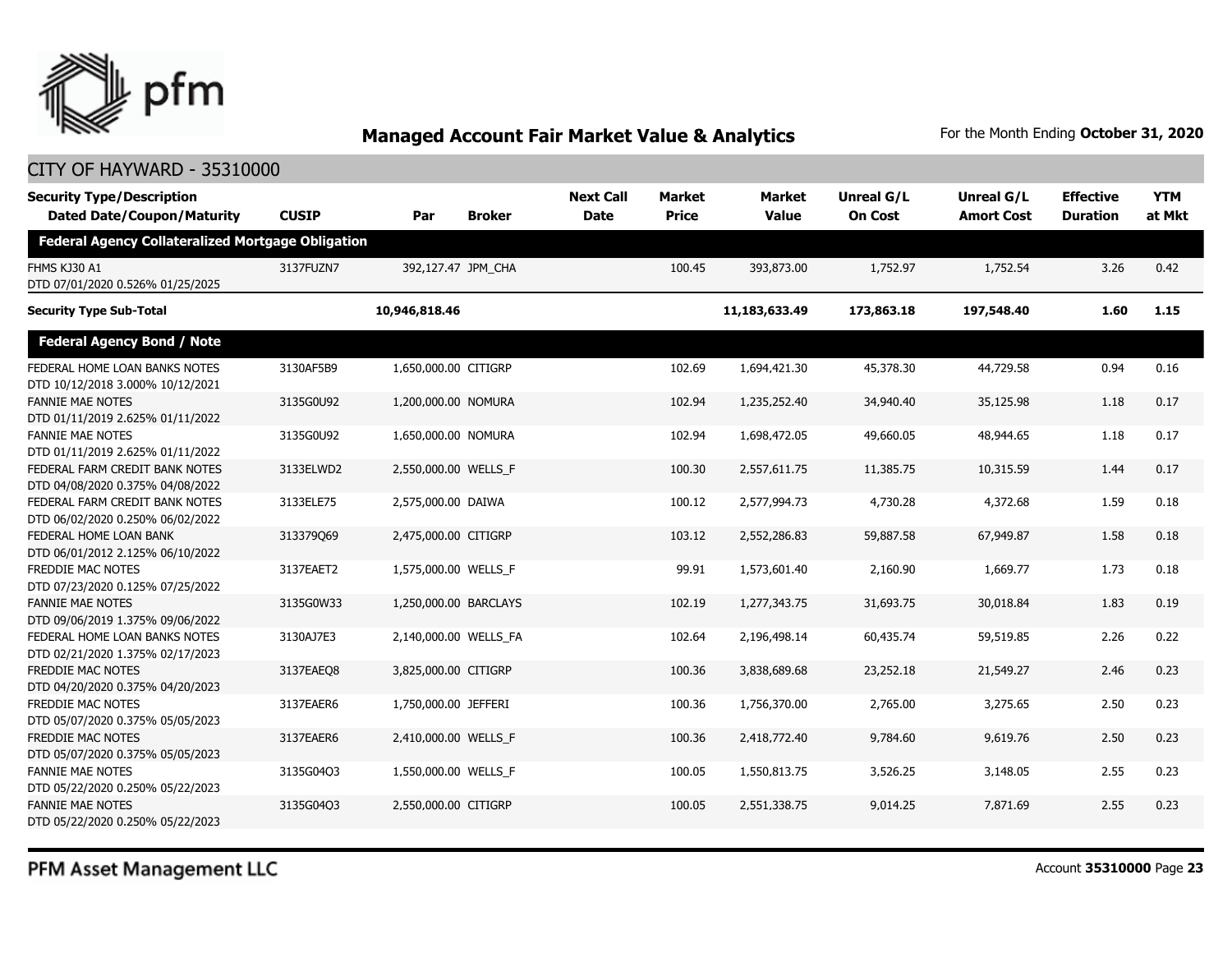

### CITY OF HAYWARD - 35310000

| <b>Security Type/Description</b><br><b>Dated Date/Coupon/Maturity</b> | <b>CUSIP</b> | Par                   | <b>Broker</b> | <b>Next Call</b><br><b>Date</b> | <b>Market</b><br><b>Price</b> | <b>Market</b><br><b>Value</b> | Unreal G/L<br><b>On Cost</b> | <b>Unreal G/L</b><br><b>Amort Cost</b> | <b>Effective</b><br><b>Duration</b> | <b>YTM</b><br>at Mkt |
|-----------------------------------------------------------------------|--------------|-----------------------|---------------|---------------------------------|-------------------------------|-------------------------------|------------------------------|----------------------------------------|-------------------------------------|----------------------|
| <b>Federal Agency Collateralized Mortgage Obligation</b>              |              |                       |               |                                 |                               |                               |                              |                                        |                                     |                      |
| FHMS KJ30 A1<br>DTD 07/01/2020 0.526% 01/25/2025                      | 3137FUZN7    | 392,127.47 JPM_CHA    |               |                                 | 100.45                        | 393,873.00                    | 1,752.97                     | 1,752.54                               | 3.26                                | 0.42                 |
| <b>Security Type Sub-Total</b>                                        |              | 10,946,818.46         |               |                                 |                               | 11,183,633.49                 | 173,863.18                   | 197,548.40                             | 1.60                                | 1.15                 |
| <b>Federal Agency Bond / Note</b>                                     |              |                       |               |                                 |                               |                               |                              |                                        |                                     |                      |
| FEDERAL HOME LOAN BANKS NOTES<br>DTD 10/12/2018 3.000% 10/12/2021     | 3130AF5B9    | 1,650,000.00 CITIGRP  |               |                                 | 102.69                        | 1,694,421.30                  | 45,378.30                    | 44,729.58                              | 0.94                                | 0.16                 |
| <b>FANNIE MAE NOTES</b><br>DTD 01/11/2019 2.625% 01/11/2022           | 3135G0U92    | 1,200,000.00 NOMURA   |               |                                 | 102.94                        | 1,235,252.40                  | 34,940.40                    | 35,125.98                              | 1.18                                | 0.17                 |
| <b>FANNIE MAE NOTES</b><br>DTD 01/11/2019 2.625% 01/11/2022           | 3135G0U92    | 1,650,000.00 NOMURA   |               |                                 | 102.94                        | 1,698,472.05                  | 49,660.05                    | 48,944.65                              | 1.18                                | 0.17                 |
| FEDERAL FARM CREDIT BANK NOTES<br>DTD 04/08/2020 0.375% 04/08/2022    | 3133ELWD2    | 2,550,000.00 WELLS_F  |               |                                 | 100.30                        | 2,557,611.75                  | 11,385.75                    | 10,315.59                              | 1.44                                | 0.17                 |
| FEDERAL FARM CREDIT BANK NOTES<br>DTD 06/02/2020 0.250% 06/02/2022    | 3133ELE75    | 2,575,000.00 DAIWA    |               |                                 | 100.12                        | 2,577,994.73                  | 4,730.28                     | 4,372.68                               | 1.59                                | 0.18                 |
| FEDERAL HOME LOAN BANK<br>DTD 06/01/2012 2.125% 06/10/2022            | 313379Q69    | 2,475,000.00 CITIGRP  |               |                                 | 103.12                        | 2,552,286.83                  | 59,887.58                    | 67,949.87                              | 1.58                                | 0.18                 |
| FREDDIE MAC NOTES<br>DTD 07/23/2020 0.125% 07/25/2022                 | 3137EAET2    | 1,575,000.00 WELLS_F  |               |                                 | 99.91                         | 1,573,601.40                  | 2,160.90                     | 1,669.77                               | 1.73                                | 0.18                 |
| <b>FANNIE MAE NOTES</b><br>DTD 09/06/2019 1.375% 09/06/2022           | 3135G0W33    | 1,250,000.00 BARCLAYS |               |                                 | 102.19                        | 1,277,343.75                  | 31,693.75                    | 30,018.84                              | 1.83                                | 0.19                 |
| FEDERAL HOME LOAN BANKS NOTES<br>DTD 02/21/2020 1.375% 02/17/2023     | 3130AJ7E3    | 2,140,000.00 WELLS FA |               |                                 | 102.64                        | 2,196,498.14                  | 60,435.74                    | 59,519.85                              | 2.26                                | 0.22                 |
| <b>FREDDIE MAC NOTES</b><br>DTD 04/20/2020 0.375% 04/20/2023          | 3137EAEO8    | 3,825,000.00 CITIGRP  |               |                                 | 100.36                        | 3,838,689.68                  | 23,252.18                    | 21,549.27                              | 2.46                                | 0.23                 |
| FREDDIE MAC NOTES<br>DTD 05/07/2020 0.375% 05/05/2023                 | 3137EAER6    | 1,750,000.00 JEFFERI  |               |                                 | 100.36                        | 1,756,370.00                  | 2,765.00                     | 3,275.65                               | 2.50                                | 0.23                 |
| <b>FREDDIE MAC NOTES</b><br>DTD 05/07/2020 0.375% 05/05/2023          | 3137EAER6    | 2,410,000.00 WELLS_F  |               |                                 | 100.36                        | 2,418,772.40                  | 9,784.60                     | 9,619.76                               | 2.50                                | 0.23                 |
| <b>FANNIE MAE NOTES</b><br>DTD 05/22/2020 0.250% 05/22/2023           | 3135G04Q3    | 1,550,000.00 WELLS_F  |               |                                 | 100.05                        | 1,550,813.75                  | 3,526.25                     | 3,148.05                               | 2.55                                | 0.23                 |
| <b>FANNIE MAE NOTES</b><br>DTD 05/22/2020 0.250% 05/22/2023           | 3135G04O3    | 2,550,000.00 CITIGRP  |               |                                 | 100.05                        | 2,551,338.75                  | 9.014.25                     | 7,871.69                               | 2.55                                | 0.23                 |

PFM Asset Management LLC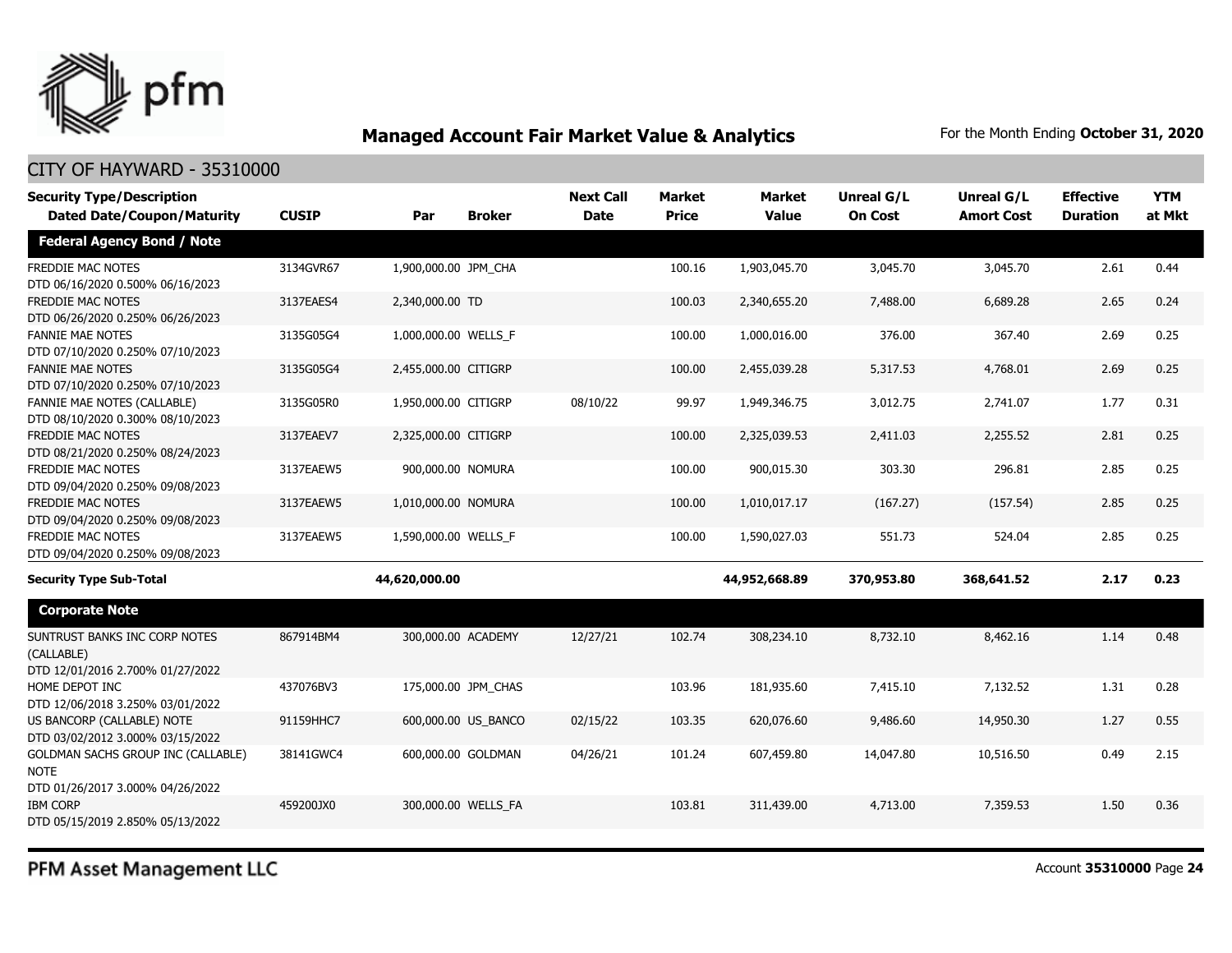

| <b>Security Type/Description</b><br><b>Dated Date/Coupon/Maturity</b>                        | <b>CUSIP</b> | Par                  | <b>Broker</b>       | <b>Next Call</b><br><b>Date</b> | <b>Market</b><br><b>Price</b> | <b>Market</b><br><b>Value</b> | <b>Unreal G/L</b><br><b>On Cost</b> | Unreal G/L<br><b>Amort Cost</b> | <b>Effective</b><br><b>Duration</b> | <b>YTM</b><br>at Mkt |
|----------------------------------------------------------------------------------------------|--------------|----------------------|---------------------|---------------------------------|-------------------------------|-------------------------------|-------------------------------------|---------------------------------|-------------------------------------|----------------------|
| <b>Federal Agency Bond / Note</b>                                                            |              |                      |                     |                                 |                               |                               |                                     |                                 |                                     |                      |
| <b>FREDDIE MAC NOTES</b><br>DTD 06/16/2020 0.500% 06/16/2023                                 | 3134GVR67    | 1,900,000.00 JPM_CHA |                     |                                 | 100.16                        | 1,903,045.70                  | 3,045.70                            | 3,045.70                        | 2.61                                | 0.44                 |
| <b>FREDDIE MAC NOTES</b><br>DTD 06/26/2020 0.250% 06/26/2023                                 | 3137EAES4    | 2,340,000.00 TD      |                     |                                 | 100.03                        | 2,340,655.20                  | 7,488.00                            | 6,689.28                        | 2.65                                | 0.24                 |
| <b>FANNIE MAE NOTES</b><br>DTD 07/10/2020 0.250% 07/10/2023                                  | 3135G05G4    | 1,000,000.00 WELLS_F |                     |                                 | 100.00                        | 1,000,016.00                  | 376.00                              | 367.40                          | 2.69                                | 0.25                 |
| <b>FANNIE MAE NOTES</b><br>DTD 07/10/2020 0.250% 07/10/2023                                  | 3135G05G4    | 2,455,000.00 CITIGRP |                     |                                 | 100.00                        | 2,455,039.28                  | 5,317.53                            | 4,768.01                        | 2.69                                | 0.25                 |
| FANNIE MAE NOTES (CALLABLE)<br>DTD 08/10/2020 0.300% 08/10/2023                              | 3135G05R0    | 1,950,000.00 CITIGRP |                     | 08/10/22                        | 99.97                         | 1,949,346.75                  | 3,012.75                            | 2,741.07                        | 1.77                                | 0.31                 |
| FREDDIE MAC NOTES<br>DTD 08/21/2020 0.250% 08/24/2023                                        | 3137EAEV7    | 2,325,000.00 CITIGRP |                     |                                 | 100.00                        | 2,325,039.53                  | 2,411.03                            | 2,255.52                        | 2.81                                | 0.25                 |
| <b>FREDDIE MAC NOTES</b><br>DTD 09/04/2020 0.250% 09/08/2023                                 | 3137EAEW5    | 900,000.00 NOMURA    |                     |                                 | 100.00                        | 900,015.30                    | 303.30                              | 296.81                          | 2.85                                | 0.25                 |
| FREDDIE MAC NOTES<br>DTD 09/04/2020 0.250% 09/08/2023                                        | 3137EAEW5    | 1,010,000.00 NOMURA  |                     |                                 | 100.00                        | 1,010,017.17                  | (167.27)                            | (157.54)                        | 2.85                                | 0.25                 |
| <b>FREDDIE MAC NOTES</b><br>DTD 09/04/2020 0.250% 09/08/2023                                 | 3137EAEW5    | 1,590,000.00 WELLS F |                     |                                 | 100.00                        | 1,590,027.03                  | 551.73                              | 524.04                          | 2.85                                | 0.25                 |
| <b>Security Type Sub-Total</b>                                                               |              | 44,620,000.00        |                     |                                 |                               | 44,952,668.89                 | 370,953.80                          | 368,641.52                      | 2.17                                | 0.23                 |
| <b>Corporate Note</b>                                                                        |              |                      |                     |                                 |                               |                               |                                     |                                 |                                     |                      |
| SUNTRUST BANKS INC CORP NOTES<br>(CALLABLE)<br>DTD 12/01/2016 2.700% 01/27/2022              | 867914BM4    | 300,000.00 ACADEMY   |                     | 12/27/21                        | 102.74                        | 308,234.10                    | 8,732.10                            | 8,462.16                        | 1.14                                | 0.48                 |
| HOME DEPOT INC<br>DTD 12/06/2018 3.250% 03/01/2022                                           | 437076BV3    |                      | 175,000.00 JPM CHAS |                                 | 103.96                        | 181,935.60                    | 7,415.10                            | 7,132.52                        | 1.31                                | 0.28                 |
| US BANCORP (CALLABLE) NOTE<br>DTD 03/02/2012 3.000% 03/15/2022                               | 91159HHC7    |                      | 600,000.00 US_BANCO | 02/15/22                        | 103.35                        | 620,076.60                    | 9,486.60                            | 14,950.30                       | 1.27                                | 0.55                 |
| <b>GOLDMAN SACHS GROUP INC (CALLABLE)</b><br><b>NOTE</b><br>DTD 01/26/2017 3.000% 04/26/2022 | 38141GWC4    |                      | 600,000.00 GOLDMAN  | 04/26/21                        | 101.24                        | 607,459.80                    | 14,047.80                           | 10,516.50                       | 0.49                                | 2.15                 |
| <b>IBM CORP</b><br>DTD 05/15/2019 2.850% 05/13/2022                                          | 459200JX0    |                      | 300,000.00 WELLS FA |                                 | 103.81                        | 311,439.00                    | 4,713.00                            | 7,359.53                        | 1.50                                | 0.36                 |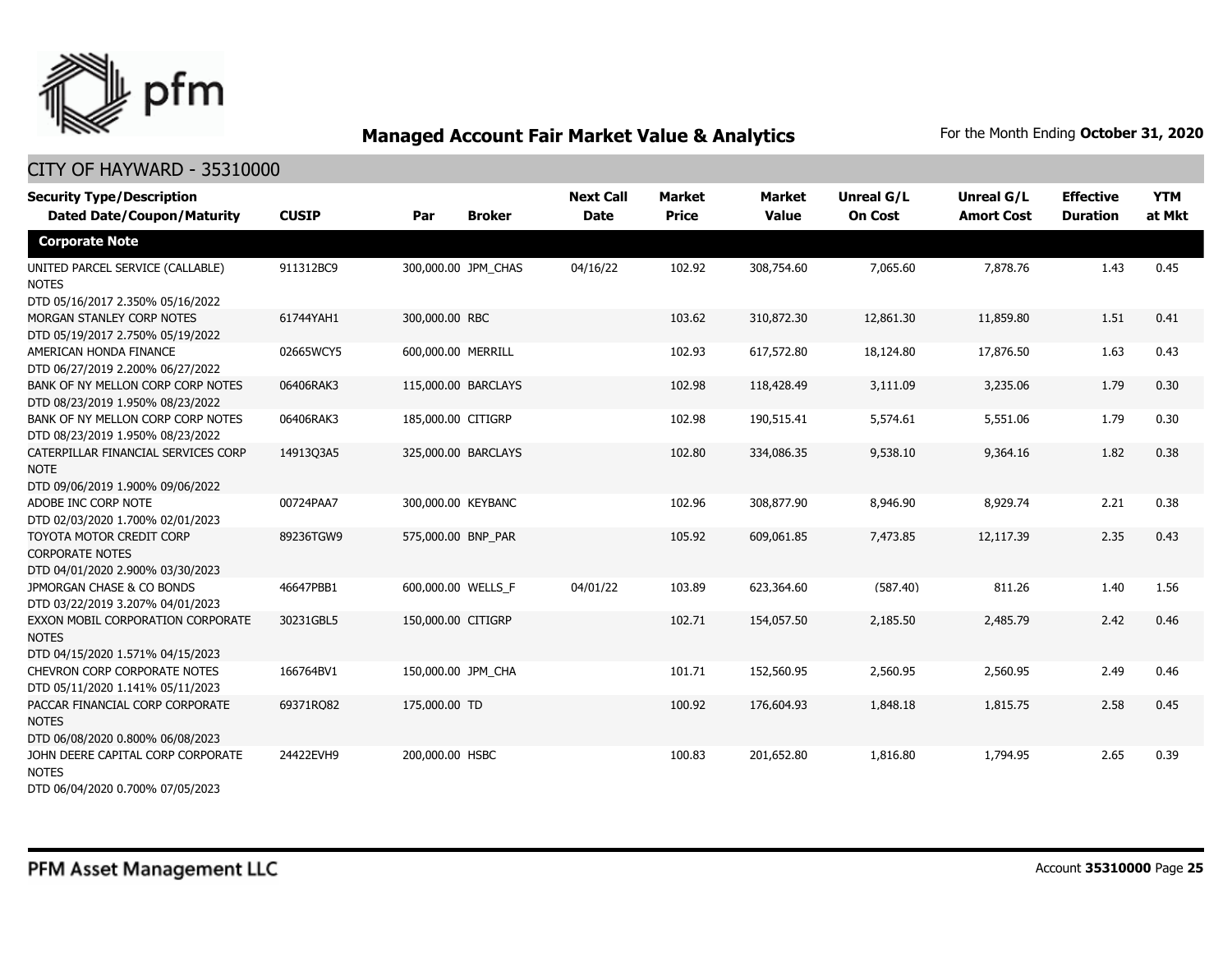

| <b>Security Type/Description</b><br><b>Dated Date/Coupon/Maturity</b>                  | <b>CUSIP</b> | Par                 | <b>Broker</b>       | <b>Next Call</b><br><b>Date</b> | <b>Market</b><br><b>Price</b> | <b>Market</b><br><b>Value</b> | <b>Unreal G/L</b><br><b>On Cost</b> | Unreal G/L<br><b>Amort Cost</b> | <b>Effective</b><br><b>Duration</b> | <b>YTM</b><br>at Mkt |
|----------------------------------------------------------------------------------------|--------------|---------------------|---------------------|---------------------------------|-------------------------------|-------------------------------|-------------------------------------|---------------------------------|-------------------------------------|----------------------|
| <b>Corporate Note</b>                                                                  |              |                     |                     |                                 |                               |                               |                                     |                                 |                                     |                      |
| UNITED PARCEL SERVICE (CALLABLE)<br><b>NOTES</b><br>DTD 05/16/2017 2.350% 05/16/2022   | 911312BC9    |                     | 300,000.00 JPM_CHAS | 04/16/22                        | 102.92                        | 308,754.60                    | 7,065.60                            | 7,878.76                        | 1.43                                | 0.45                 |
| MORGAN STANLEY CORP NOTES<br>DTD 05/19/2017 2.750% 05/19/2022                          | 61744YAH1    | 300,000.00 RBC      |                     |                                 | 103.62                        | 310,872.30                    | 12,861.30                           | 11,859.80                       | 1.51                                | 0.41                 |
| AMERICAN HONDA FINANCE<br>DTD 06/27/2019 2.200% 06/27/2022                             | 02665WCY5    | 600,000.00 MERRILL  |                     |                                 | 102.93                        | 617,572.80                    | 18,124.80                           | 17,876.50                       | 1.63                                | 0.43                 |
| BANK OF NY MELLON CORP CORP NOTES<br>DTD 08/23/2019 1.950% 08/23/2022                  | 06406RAK3    | 115,000.00 BARCLAYS |                     |                                 | 102.98                        | 118,428.49                    | 3,111.09                            | 3,235.06                        | 1.79                                | 0.30                 |
| BANK OF NY MELLON CORP CORP NOTES<br>DTD 08/23/2019 1.950% 08/23/2022                  | 06406RAK3    | 185,000.00 CITIGRP  |                     |                                 | 102.98                        | 190,515.41                    | 5,574.61                            | 5,551.06                        | 1.79                                | 0.30                 |
| CATERPILLAR FINANCIAL SERVICES CORP<br><b>NOTE</b><br>DTD 09/06/2019 1.900% 09/06/2022 | 14913Q3A5    |                     | 325,000.00 BARCLAYS |                                 | 102.80                        | 334,086.35                    | 9,538.10                            | 9,364.16                        | 1.82                                | 0.38                 |
| ADOBE INC CORP NOTE<br>DTD 02/03/2020 1.700% 02/01/2023                                | 00724PAA7    | 300,000.00 KEYBANC  |                     |                                 | 102.96                        | 308,877.90                    | 8,946.90                            | 8,929.74                        | 2.21                                | 0.38                 |
| TOYOTA MOTOR CREDIT CORP<br><b>CORPORATE NOTES</b><br>DTD 04/01/2020 2.900% 03/30/2023 | 89236TGW9    | 575,000.00 BNP_PAR  |                     |                                 | 105.92                        | 609,061.85                    | 7,473.85                            | 12,117.39                       | 2.35                                | 0.43                 |
| JPMORGAN CHASE & CO BONDS<br>DTD 03/22/2019 3.207% 04/01/2023                          | 46647PBB1    | 600,000.00 WELLS F  |                     | 04/01/22                        | 103.89                        | 623,364.60                    | (587.40)                            | 811.26                          | 1.40                                | 1.56                 |
| EXXON MOBIL CORPORATION CORPORATE<br><b>NOTES</b><br>DTD 04/15/2020 1.571% 04/15/2023  | 30231GBL5    | 150,000.00 CITIGRP  |                     |                                 | 102.71                        | 154,057.50                    | 2,185.50                            | 2,485.79                        | 2.42                                | 0.46                 |
| CHEVRON CORP CORPORATE NOTES<br>DTD 05/11/2020 1.141% 05/11/2023                       | 166764BV1    | 150,000.00 JPM CHA  |                     |                                 | 101.71                        | 152,560.95                    | 2,560.95                            | 2,560.95                        | 2.49                                | 0.46                 |
| PACCAR FINANCIAL CORP CORPORATE<br><b>NOTES</b><br>DTD 06/08/2020 0.800% 06/08/2023    | 69371RQ82    | 175,000.00 TD       |                     |                                 | 100.92                        | 176,604.93                    | 1,848.18                            | 1,815.75                        | 2.58                                | 0.45                 |
| JOHN DEERE CAPITAL CORP CORPORATE<br><b>NOTES</b><br>DTD 06/04/2020 0.700% 07/05/2023  | 24422EVH9    | 200,000.00 HSBC     |                     |                                 | 100.83                        | 201,652.80                    | 1,816.80                            | 1,794.95                        | 2.65                                | 0.39                 |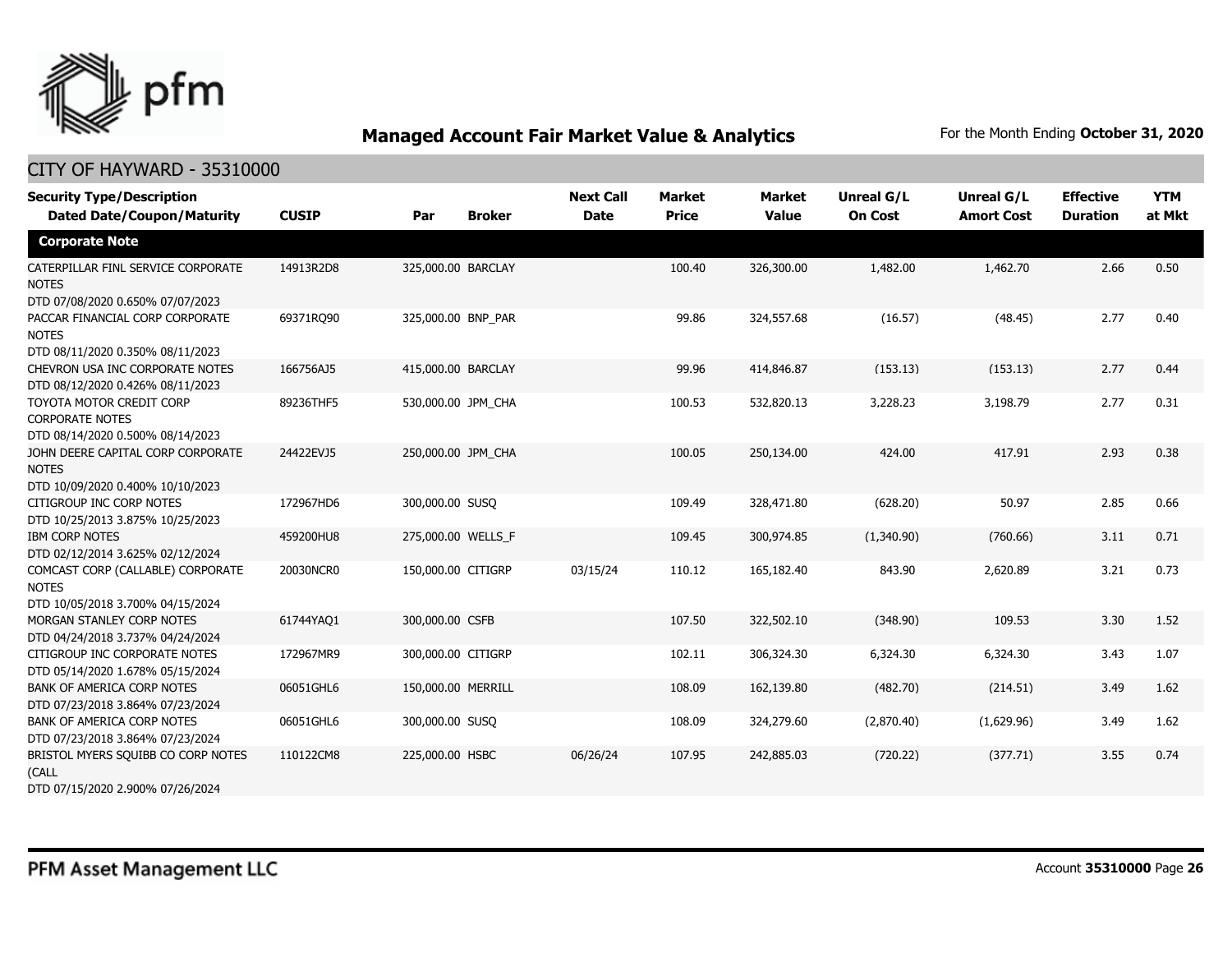

| <b>Security Type/Description</b><br><b>Dated Date/Coupon/Maturity</b>                  | <b>CUSIP</b> | Par                | <b>Broker</b> | <b>Next Call</b><br><b>Date</b> | <b>Market</b><br><b>Price</b> | <b>Market</b><br><b>Value</b> | <b>Unreal G/L</b><br><b>On Cost</b> | Unreal G/L<br><b>Amort Cost</b> | <b>Effective</b><br><b>Duration</b> | <b>YTM</b><br>at Mkt |
|----------------------------------------------------------------------------------------|--------------|--------------------|---------------|---------------------------------|-------------------------------|-------------------------------|-------------------------------------|---------------------------------|-------------------------------------|----------------------|
| <b>Corporate Note</b>                                                                  |              |                    |               |                                 |                               |                               |                                     |                                 |                                     |                      |
| CATERPILLAR FINL SERVICE CORPORATE<br><b>NOTES</b><br>DTD 07/08/2020 0.650% 07/07/2023 | 14913R2D8    | 325,000.00 BARCLAY |               |                                 | 100.40                        | 326,300.00                    | 1,482.00                            | 1,462.70                        | 2.66                                | 0.50                 |
| PACCAR FINANCIAL CORP CORPORATE<br><b>NOTES</b><br>DTD 08/11/2020 0.350% 08/11/2023    | 69371RQ90    | 325,000.00 BNP_PAR |               |                                 | 99.86                         | 324,557.68                    | (16.57)                             | (48.45)                         | 2.77                                | 0.40                 |
| CHEVRON USA INC CORPORATE NOTES<br>DTD 08/12/2020 0.426% 08/11/2023                    | 166756AJ5    | 415,000.00 BARCLAY |               |                                 | 99.96                         | 414,846.87                    | (153.13)                            | (153.13)                        | 2.77                                | 0.44                 |
| TOYOTA MOTOR CREDIT CORP<br><b>CORPORATE NOTES</b><br>DTD 08/14/2020 0.500% 08/14/2023 | 89236THF5    | 530,000.00 JPM CHA |               |                                 | 100.53                        | 532,820.13                    | 3,228.23                            | 3,198.79                        | 2.77                                | 0.31                 |
| JOHN DEERE CAPITAL CORP CORPORATE<br><b>NOTES</b><br>DTD 10/09/2020 0.400% 10/10/2023  | 24422EVJ5    | 250,000.00 JPM CHA |               |                                 | 100.05                        | 250,134.00                    | 424.00                              | 417.91                          | 2.93                                | 0.38                 |
| CITIGROUP INC CORP NOTES<br>DTD 10/25/2013 3.875% 10/25/2023                           | 172967HD6    | 300,000.00 SUSQ    |               |                                 | 109.49                        | 328,471.80                    | (628.20)                            | 50.97                           | 2.85                                | 0.66                 |
| <b>IBM CORP NOTES</b><br>DTD 02/12/2014 3.625% 02/12/2024                              | 459200HU8    | 275,000.00 WELLS_F |               |                                 | 109.45                        | 300,974.85                    | (1,340.90)                          | (760.66)                        | 3.11                                | 0.71                 |
| COMCAST CORP (CALLABLE) CORPORATE<br><b>NOTES</b><br>DTD 10/05/2018 3.700% 04/15/2024  | 20030NCR0    | 150,000.00 CITIGRP |               | 03/15/24                        | 110.12                        | 165,182.40                    | 843.90                              | 2,620.89                        | 3.21                                | 0.73                 |
| MORGAN STANLEY CORP NOTES<br>DTD 04/24/2018 3.737% 04/24/2024                          | 61744YAQ1    | 300,000.00 CSFB    |               |                                 | 107.50                        | 322,502.10                    | (348.90)                            | 109.53                          | 3.30                                | 1.52                 |
| CITIGROUP INC CORPORATE NOTES<br>DTD 05/14/2020 1.678% 05/15/2024                      | 172967MR9    | 300,000.00 CITIGRP |               |                                 | 102.11                        | 306,324.30                    | 6,324.30                            | 6,324.30                        | 3.43                                | 1.07                 |
| <b>BANK OF AMERICA CORP NOTES</b><br>DTD 07/23/2018 3.864% 07/23/2024                  | 06051GHL6    | 150,000.00 MERRILL |               |                                 | 108.09                        | 162,139.80                    | (482.70)                            | (214.51)                        | 3.49                                | 1.62                 |
| BANK OF AMERICA CORP NOTES<br>DTD 07/23/2018 3.864% 07/23/2024                         | 06051GHL6    | 300,000.00 SUSQ    |               |                                 | 108.09                        | 324,279.60                    | (2,870.40)                          | (1,629.96)                      | 3.49                                | 1.62                 |
| BRISTOL MYERS SQUIBB CO CORP NOTES<br>(CALL<br>DTD 07/15/2020 2.900% 07/26/2024        | 110122CM8    | 225,000.00 HSBC    |               | 06/26/24                        | 107.95                        | 242,885.03                    | (720.22)                            | (377.71)                        | 3.55                                | 0.74                 |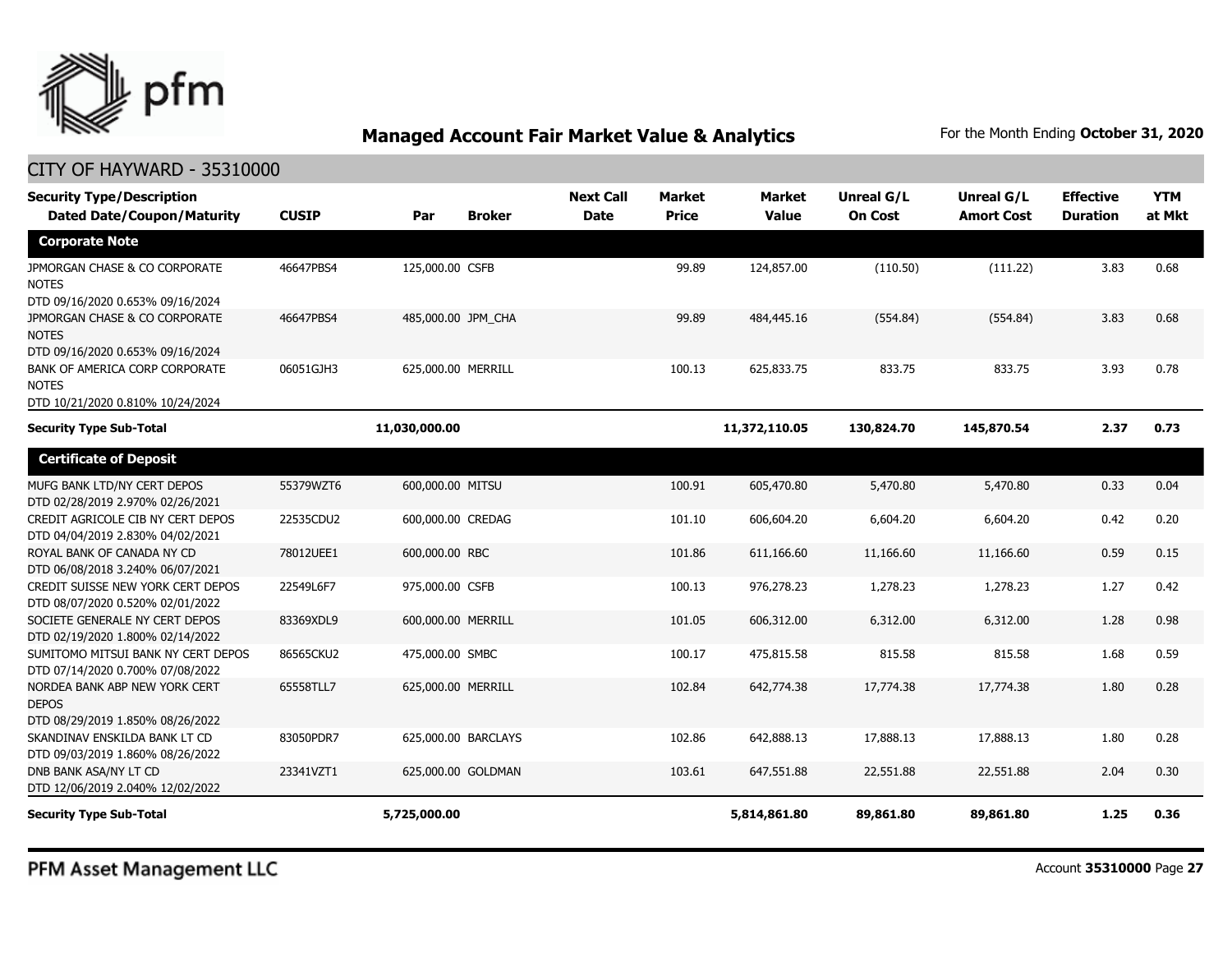

| <b>Security Type/Description</b><br><b>Dated Date/Coupon/Maturity</b>              | <b>CUSIP</b> | Par                 | <b>Broker</b> | <b>Next Call</b><br><b>Date</b> | <b>Market</b><br><b>Price</b> | <b>Market</b><br><b>Value</b> | Unreal G/L<br><b>On Cost</b> | Unreal G/L<br><b>Amort Cost</b> | <b>Effective</b><br><b>Duration</b> | <b>YTM</b><br>at Mkt |
|------------------------------------------------------------------------------------|--------------|---------------------|---------------|---------------------------------|-------------------------------|-------------------------------|------------------------------|---------------------------------|-------------------------------------|----------------------|
| <b>Corporate Note</b>                                                              |              |                     |               |                                 |                               |                               |                              |                                 |                                     |                      |
| JPMORGAN CHASE & CO CORPORATE<br><b>NOTES</b><br>DTD 09/16/2020 0.653% 09/16/2024  | 46647PBS4    | 125,000.00 CSFB     |               |                                 | 99.89                         | 124,857.00                    | (110.50)                     | (111.22)                        | 3.83                                | 0.68                 |
| JPMORGAN CHASE & CO CORPORATE<br><b>NOTES</b><br>DTD 09/16/2020 0.653% 09/16/2024  | 46647PBS4    | 485,000.00 JPM CHA  |               |                                 | 99.89                         | 484,445.16                    | (554.84)                     | (554.84)                        | 3.83                                | 0.68                 |
| BANK OF AMERICA CORP CORPORATE<br><b>NOTES</b><br>DTD 10/21/2020 0.810% 10/24/2024 | 06051GJH3    | 625,000.00 MERRILL  |               |                                 | 100.13                        | 625,833.75                    | 833.75                       | 833.75                          | 3.93                                | 0.78                 |
| <b>Security Type Sub-Total</b>                                                     |              | 11,030,000.00       |               |                                 |                               | 11,372,110.05                 | 130,824.70                   | 145,870.54                      | 2.37                                | 0.73                 |
| <b>Certificate of Deposit</b>                                                      |              |                     |               |                                 |                               |                               |                              |                                 |                                     |                      |
| MUFG BANK LTD/NY CERT DEPOS<br>DTD 02/28/2019 2.970% 02/26/2021                    | 55379WZT6    | 600,000.00 MITSU    |               |                                 | 100.91                        | 605,470.80                    | 5,470.80                     | 5,470.80                        | 0.33                                | 0.04                 |
| CREDIT AGRICOLE CIB NY CERT DEPOS<br>DTD 04/04/2019 2.830% 04/02/2021              | 22535CDU2    | 600,000.00 CREDAG   |               |                                 | 101.10                        | 606,604.20                    | 6,604.20                     | 6,604.20                        | 0.42                                | 0.20                 |
| ROYAL BANK OF CANADA NY CD<br>DTD 06/08/2018 3.240% 06/07/2021                     | 78012UEE1    | 600,000.00 RBC      |               |                                 | 101.86                        | 611,166.60                    | 11,166.60                    | 11,166,60                       | 0.59                                | 0.15                 |
| CREDIT SUISSE NEW YORK CERT DEPOS<br>DTD 08/07/2020 0.520% 02/01/2022              | 22549L6F7    | 975,000.00 CSFB     |               |                                 | 100.13                        | 976,278.23                    | 1,278.23                     | 1,278.23                        | 1.27                                | 0.42                 |
| SOCIETE GENERALE NY CERT DEPOS<br>DTD 02/19/2020 1.800% 02/14/2022                 | 83369XDL9    | 600,000.00 MERRILL  |               |                                 | 101.05                        | 606,312.00                    | 6,312.00                     | 6,312.00                        | 1.28                                | 0.98                 |
| SUMITOMO MITSUI BANK NY CERT DEPOS<br>DTD 07/14/2020 0.700% 07/08/2022             | 86565CKU2    | 475,000.00 SMBC     |               |                                 | 100.17                        | 475,815.58                    | 815.58                       | 815.58                          | 1.68                                | 0.59                 |
| NORDEA BANK ABP NEW YORK CERT<br><b>DEPOS</b><br>DTD 08/29/2019 1.850% 08/26/2022  | 65558TLL7    | 625,000.00 MERRILL  |               |                                 | 102.84                        | 642,774.38                    | 17,774.38                    | 17,774.38                       | 1.80                                | 0.28                 |
| SKANDINAV ENSKILDA BANK LT CD<br>DTD 09/03/2019 1.860% 08/26/2022                  | 83050PDR7    | 625,000.00 BARCLAYS |               |                                 | 102.86                        | 642,888.13                    | 17,888.13                    | 17,888.13                       | 1.80                                | 0.28                 |
| DNB BANK ASA/NY LT CD<br>DTD 12/06/2019 2.040% 12/02/2022                          | 23341VZT1    | 625,000.00 GOLDMAN  |               |                                 | 103.61                        | 647,551.88                    | 22,551.88                    | 22,551.88                       | 2.04                                | 0.30                 |
| <b>Security Type Sub-Total</b>                                                     |              | 5,725,000.00        |               |                                 |                               | 5,814,861.80                  | 89,861.80                    | 89,861.80                       | 1.25                                | 0.36                 |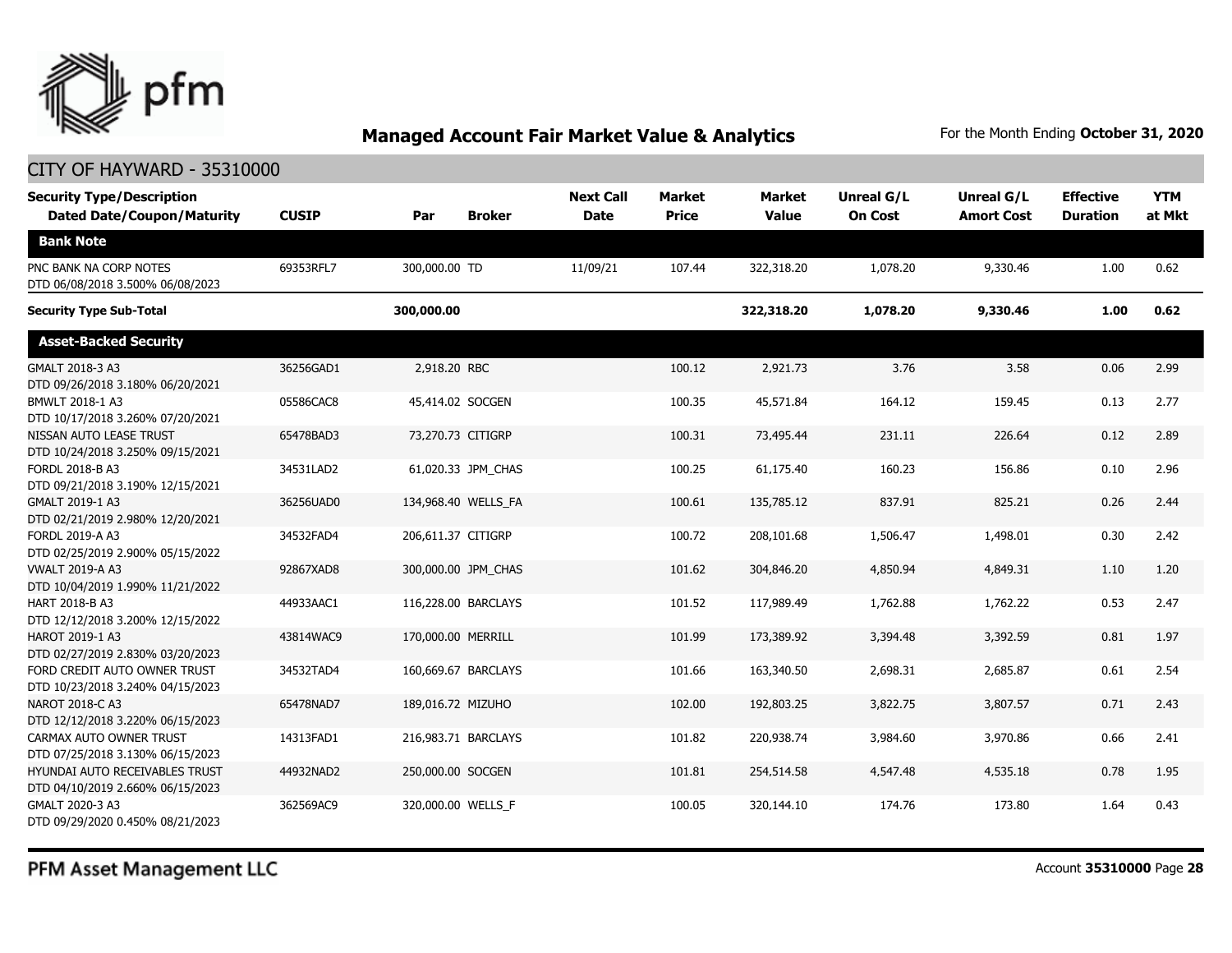

### CITY OF HAYWARD - 35310000

| <b>Security Type/Description</b><br><b>Dated Date/Coupon/Maturity</b> | <b>CUSIP</b> | Par                | <b>Broker</b>       | <b>Next Call</b><br><b>Date</b> | <b>Market</b><br><b>Price</b> | <b>Market</b><br><b>Value</b> | Unreal G/L<br><b>On Cost</b> | <b>Unreal G/L</b><br><b>Amort Cost</b> | <b>Effective</b><br><b>Duration</b> | <b>YTM</b><br>at Mkt |
|-----------------------------------------------------------------------|--------------|--------------------|---------------------|---------------------------------|-------------------------------|-------------------------------|------------------------------|----------------------------------------|-------------------------------------|----------------------|
| <b>Bank Note</b>                                                      |              |                    |                     |                                 |                               |                               |                              |                                        |                                     |                      |
| PNC BANK NA CORP NOTES<br>DTD 06/08/2018 3.500% 06/08/2023            | 69353RFL7    | 300,000.00 TD      |                     | 11/09/21                        | 107.44                        | 322,318.20                    | 1,078.20                     | 9,330.46                               | 1.00                                | 0.62                 |
| <b>Security Type Sub-Total</b>                                        |              | 300,000.00         |                     |                                 |                               | 322,318.20                    | 1,078.20                     | 9,330.46                               | 1.00                                | 0.62                 |
| <b>Asset-Backed Security</b>                                          |              |                    |                     |                                 |                               |                               |                              |                                        |                                     |                      |
| GMALT 2018-3 A3<br>DTD 09/26/2018 3.180% 06/20/2021                   | 36256GAD1    | 2,918.20 RBC       |                     |                                 | 100.12                        | 2,921.73                      | 3.76                         | 3.58                                   | 0.06                                | 2.99                 |
| BMWLT 2018-1 A3<br>DTD 10/17/2018 3.260% 07/20/2021                   | 05586CAC8    | 45,414.02 SOCGEN   |                     |                                 | 100.35                        | 45,571.84                     | 164.12                       | 159.45                                 | 0.13                                | 2.77                 |
| NISSAN AUTO LEASE TRUST<br>DTD 10/24/2018 3.250% 09/15/2021           | 65478BAD3    | 73,270.73 CITIGRP  |                     |                                 | 100.31                        | 73,495.44                     | 231.11                       | 226.64                                 | 0.12                                | 2.89                 |
| <b>FORDL 2018-B A3</b><br>DTD 09/21/2018 3.190% 12/15/2021            | 34531LAD2    |                    | 61,020.33 JPM_CHAS  |                                 | 100.25                        | 61,175.40                     | 160.23                       | 156.86                                 | 0.10                                | 2.96                 |
| GMALT 2019-1 A3<br>DTD 02/21/2019 2.980% 12/20/2021                   | 36256UAD0    |                    | 134,968.40 WELLS FA |                                 | 100.61                        | 135,785.12                    | 837.91                       | 825.21                                 | 0.26                                | 2.44                 |
| FORDL 2019-A A3<br>DTD 02/25/2019 2.900% 05/15/2022                   | 34532FAD4    | 206,611.37 CITIGRP |                     |                                 | 100.72                        | 208,101.68                    | 1,506.47                     | 1,498.01                               | 0.30                                | 2.42                 |
| <b>VWALT 2019-A A3</b><br>DTD 10/04/2019 1.990% 11/21/2022            | 92867XAD8    |                    | 300,000.00 JPM_CHAS |                                 | 101.62                        | 304,846.20                    | 4,850.94                     | 4,849.31                               | 1.10                                | 1.20                 |
| HART 2018-B A3<br>DTD 12/12/2018 3.200% 12/15/2022                    | 44933AAC1    |                    | 116,228.00 BARCLAYS |                                 | 101.52                        | 117,989.49                    | 1,762.88                     | 1,762.22                               | 0.53                                | 2.47                 |
| HAROT 2019-1 A3<br>DTD 02/27/2019 2.830% 03/20/2023                   | 43814WAC9    | 170,000.00 MERRILL |                     |                                 | 101.99                        | 173,389.92                    | 3,394.48                     | 3,392.59                               | 0.81                                | 1.97                 |
| FORD CREDIT AUTO OWNER TRUST<br>DTD 10/23/2018 3.240% 04/15/2023      | 34532TAD4    |                    | 160,669.67 BARCLAYS |                                 | 101.66                        | 163,340.50                    | 2,698.31                     | 2,685.87                               | 0.61                                | 2.54                 |
| NAROT 2018-C A3<br>DTD 12/12/2018 3.220% 06/15/2023                   | 65478NAD7    | 189,016.72 MIZUHO  |                     |                                 | 102.00                        | 192,803.25                    | 3,822.75                     | 3,807.57                               | 0.71                                | 2.43                 |
| CARMAX AUTO OWNER TRUST<br>DTD 07/25/2018 3.130% 06/15/2023           | 14313FAD1    |                    | 216,983.71 BARCLAYS |                                 | 101.82                        | 220,938.74                    | 3,984.60                     | 3,970.86                               | 0.66                                | 2.41                 |
| HYUNDAI AUTO RECEIVABLES TRUST<br>DTD 04/10/2019 2.660% 06/15/2023    | 44932NAD2    | 250,000.00 SOCGEN  |                     |                                 | 101.81                        | 254,514.58                    | 4,547.48                     | 4,535.18                               | 0.78                                | 1.95                 |
| GMALT 2020-3 A3<br>DTD 09/29/2020 0.450% 08/21/2023                   | 362569AC9    | 320,000.00 WELLS F |                     |                                 | 100.05                        | 320,144.10                    | 174.76                       | 173.80                                 | 1.64                                | 0.43                 |

PFM Asset Management LLC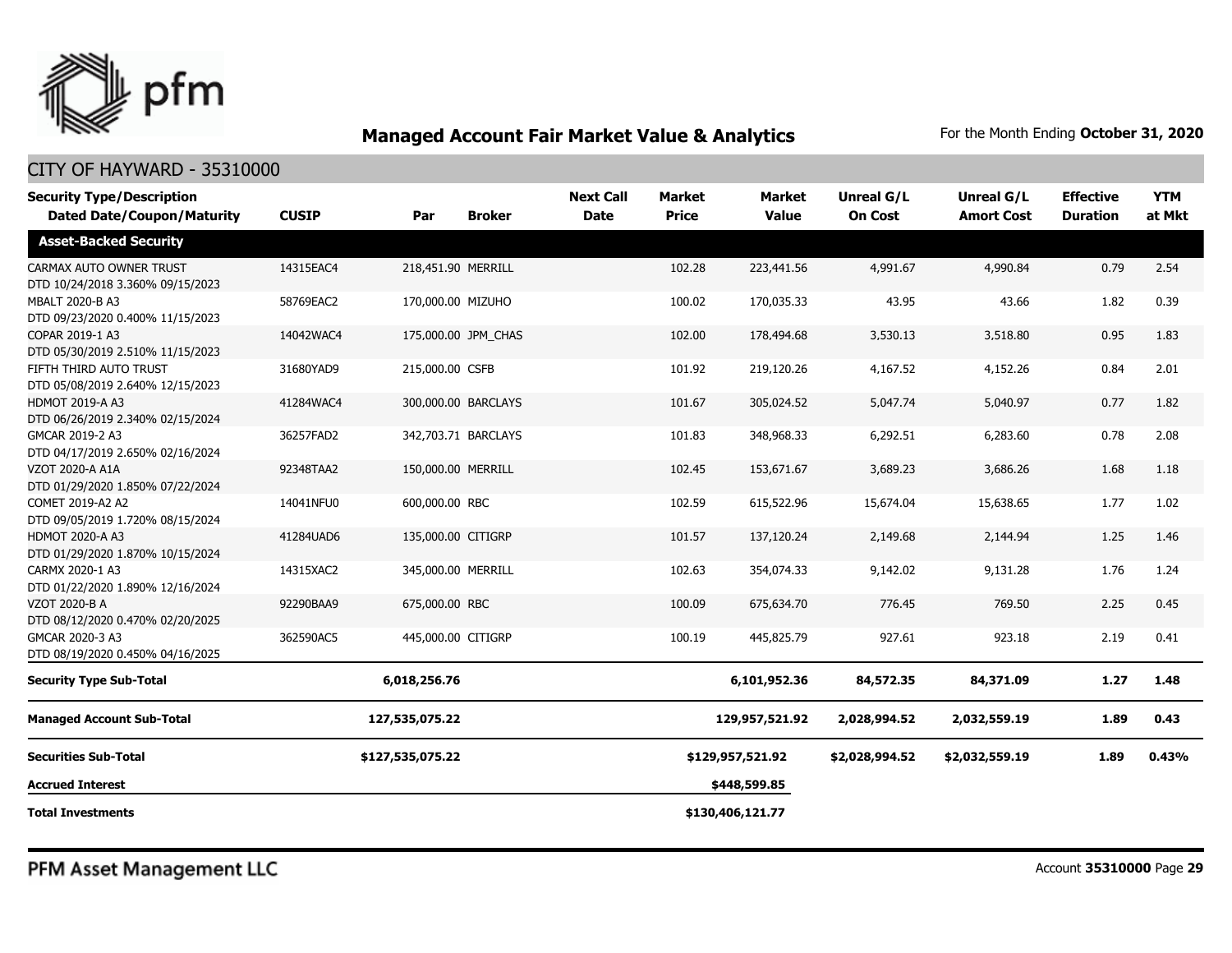

### CITY OF HAYWARD - 35310000

| <b>Security Type/Description</b><br><b>Dated Date/Coupon/Maturity</b> | <b>CUSIP</b> | Par                 | <b>Broker</b>       | <b>Next Call</b><br><b>Date</b> | <b>Market</b><br><b>Price</b> | <b>Market</b><br><b>Value</b> | Unreal G/L<br><b>On Cost</b> | Unreal G/L<br><b>Amort Cost</b> | <b>Effective</b><br><b>Duration</b> | <b>YTM</b><br>at Mkt |
|-----------------------------------------------------------------------|--------------|---------------------|---------------------|---------------------------------|-------------------------------|-------------------------------|------------------------------|---------------------------------|-------------------------------------|----------------------|
| <b>Asset-Backed Security</b>                                          |              |                     |                     |                                 |                               |                               |                              |                                 |                                     |                      |
| CARMAX AUTO OWNER TRUST<br>DTD 10/24/2018 3.360% 09/15/2023           | 14315EAC4    | 218,451.90 MERRILL  |                     |                                 | 102.28                        | 223,441.56                    | 4,991.67                     | 4,990.84                        | 0.79                                | 2.54                 |
| MBALT 2020-B A3<br>DTD 09/23/2020 0.400% 11/15/2023                   | 58769EAC2    | 170,000.00 MIZUHO   |                     |                                 | 100.02                        | 170,035.33                    | 43.95                        | 43.66                           | 1.82                                | 0.39                 |
| COPAR 2019-1 A3<br>DTD 05/30/2019 2.510% 11/15/2023                   | 14042WAC4    | 175,000.00 JPM_CHAS |                     |                                 | 102.00                        | 178,494.68                    | 3,530.13                     | 3,518.80                        | 0.95                                | 1.83                 |
| FIFTH THIRD AUTO TRUST<br>DTD 05/08/2019 2.640% 12/15/2023            | 31680YAD9    | 215,000.00 CSFB     |                     |                                 | 101.92                        | 219,120.26                    | 4,167.52                     | 4,152.26                        | 0.84                                | 2.01                 |
| <b>HDMOT 2019-A A3</b><br>DTD 06/26/2019 2.340% 02/15/2024            | 41284WAC4    |                     | 300,000.00 BARCLAYS |                                 | 101.67                        | 305,024.52                    | 5,047.74                     | 5,040.97                        | 0.77                                | 1.82                 |
| GMCAR 2019-2 A3<br>DTD 04/17/2019 2.650% 02/16/2024                   | 36257FAD2    |                     | 342,703.71 BARCLAYS |                                 | 101.83                        | 348,968.33                    | 6,292.51                     | 6,283.60                        | 0.78                                | 2.08                 |
| VZOT 2020-A A1A<br>DTD 01/29/2020 1.850% 07/22/2024                   | 92348TAA2    | 150,000.00 MERRILL  |                     |                                 | 102.45                        | 153,671.67                    | 3,689.23                     | 3,686.26                        | 1.68                                | 1.18                 |
| COMET 2019-A2 A2<br>DTD 09/05/2019 1.720% 08/15/2024                  | 14041NFU0    | 600,000.00 RBC      |                     |                                 | 102.59                        | 615,522.96                    | 15,674.04                    | 15,638.65                       | 1.77                                | 1.02                 |
| <b>HDMOT 2020-A A3</b><br>DTD 01/29/2020 1.870% 10/15/2024            | 41284UAD6    | 135,000.00 CITIGRP  |                     |                                 | 101.57                        | 137,120.24                    | 2,149.68                     | 2,144.94                        | 1.25                                | 1.46                 |
| CARMX 2020-1 A3<br>DTD 01/22/2020 1.890% 12/16/2024                   | 14315XAC2    | 345,000.00 MERRILL  |                     |                                 | 102.63                        | 354,074.33                    | 9,142.02                     | 9,131.28                        | 1.76                                | 1.24                 |
| VZOT 2020-B A<br>DTD 08/12/2020 0.470% 02/20/2025                     | 92290BAA9    | 675,000.00 RBC      |                     |                                 | 100.09                        | 675,634.70                    | 776.45                       | 769.50                          | 2.25                                | 0.45                 |
| GMCAR 2020-3 A3<br>DTD 08/19/2020 0.450% 04/16/2025                   | 362590AC5    | 445,000.00 CITIGRP  |                     |                                 | 100.19                        | 445,825.79                    | 927.61                       | 923.18                          | 2.19                                | 0.41                 |
| <b>Security Type Sub-Total</b>                                        |              | 6,018,256.76        |                     |                                 |                               | 6,101,952.36                  | 84,572.35                    | 84,371.09                       | 1.27                                | 1.48                 |
| <b>Managed Account Sub-Total</b>                                      |              | 127,535,075.22      |                     |                                 |                               | 129,957,521.92                | 2,028,994.52                 | 2,032,559.19                    | 1.89                                | 0.43                 |
| <b>Securities Sub-Total</b>                                           |              | \$127,535,075.22    |                     |                                 |                               | \$129,957,521.92              | \$2,028,994.52               | \$2,032,559.19                  | 1.89                                | 0.43%                |
| <b>Accrued Interest</b>                                               |              |                     |                     |                                 |                               | \$448,599.85                  |                              |                                 |                                     |                      |
| <b>Total Investments</b>                                              |              |                     |                     |                                 |                               | \$130,406,121.77              |                              |                                 |                                     |                      |

PFM Asset Management LLC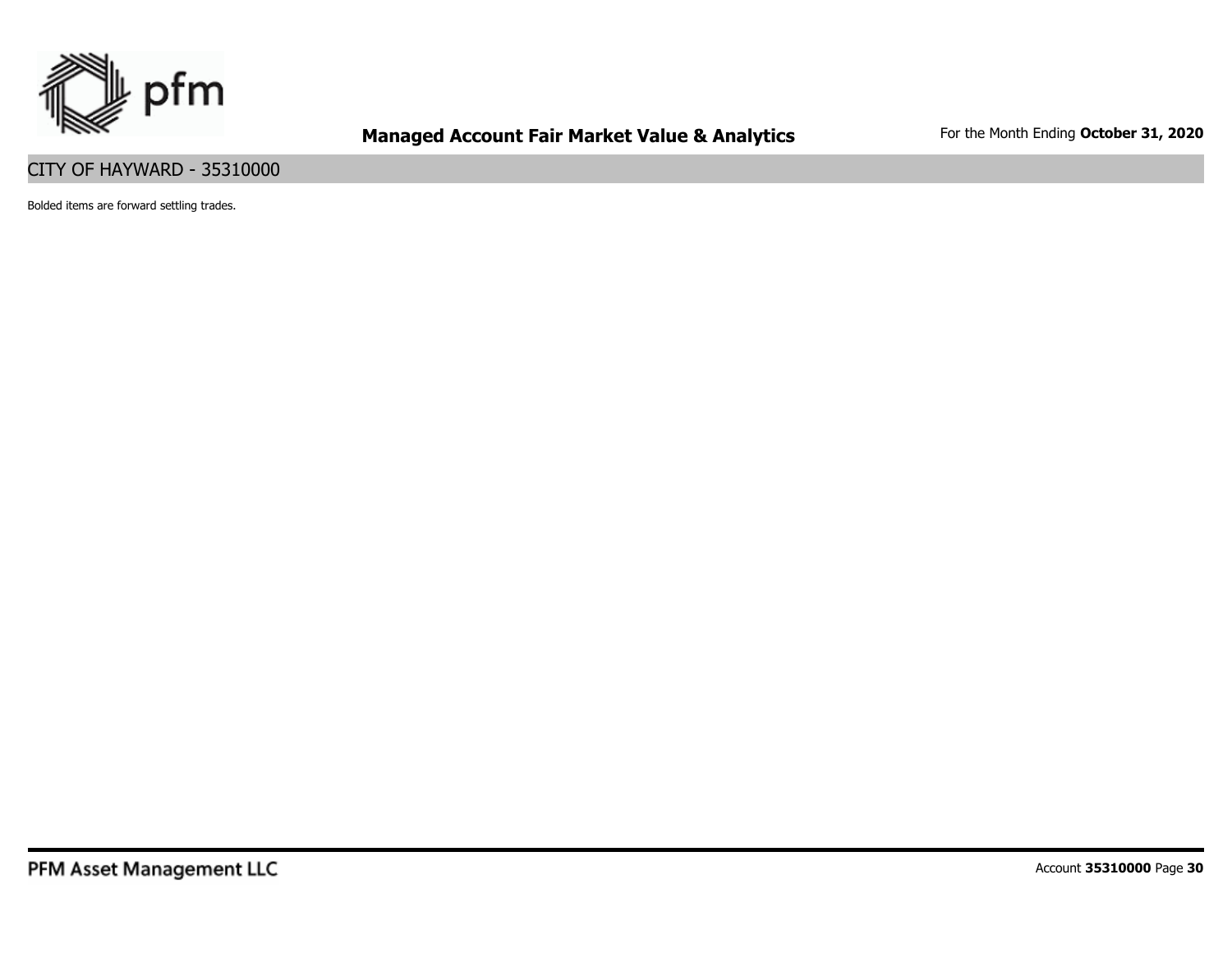

### CITY OF HAYWARD - 35310000

Bolded items are forward settling trades.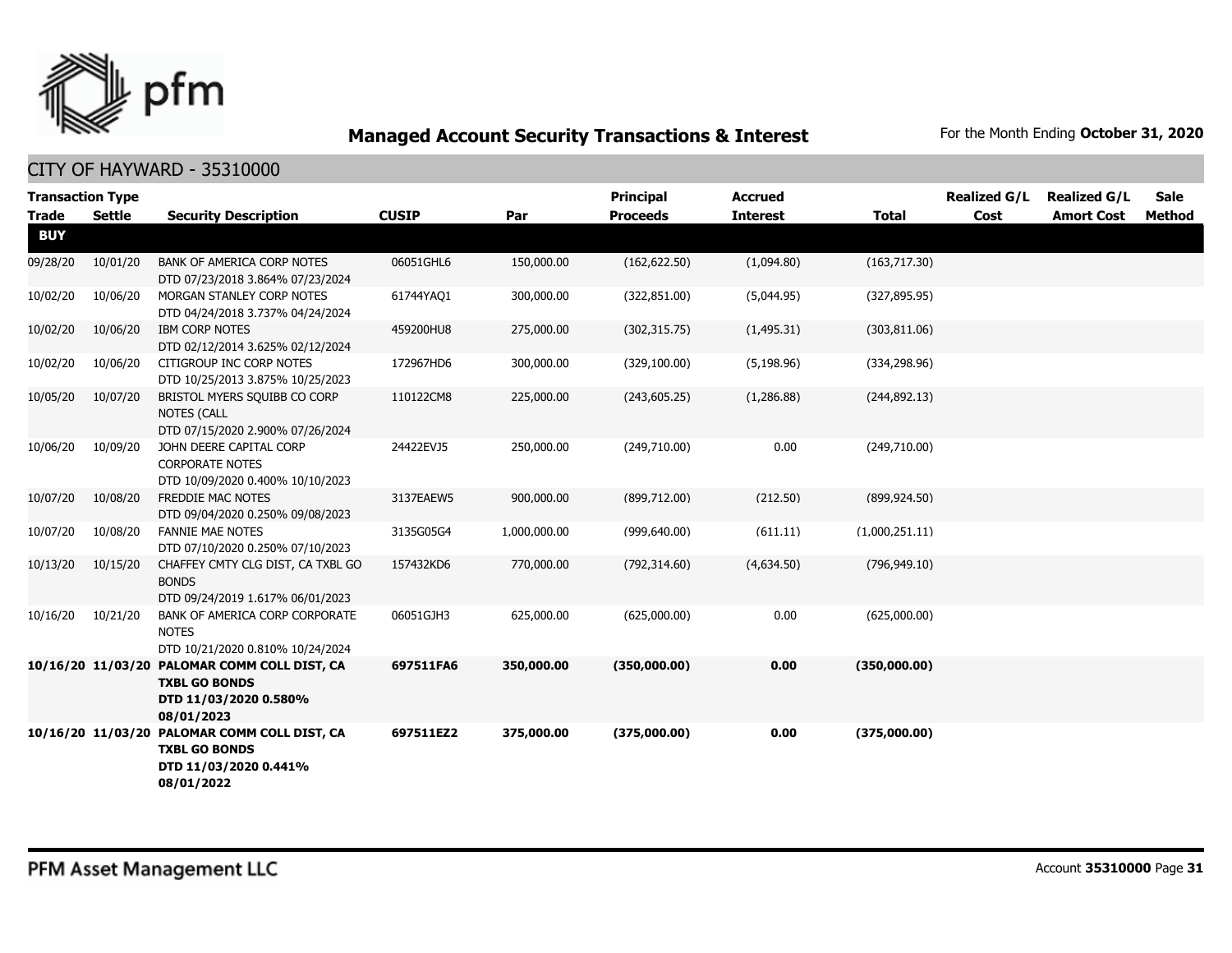

| <b>Transaction Type</b><br><b>Trade</b> | Settle   | <b>Security Description</b>                                                                                 | <b>CUSIP</b> | Par          | <b>Principal</b><br><b>Proceeds</b> | <b>Accrued</b><br><b>Interest</b> | <b>Total</b>   | <b>Realized G/L</b><br>Cost | <b>Realized G/L</b><br><b>Amort Cost</b> | Sale<br>Method |
|-----------------------------------------|----------|-------------------------------------------------------------------------------------------------------------|--------------|--------------|-------------------------------------|-----------------------------------|----------------|-----------------------------|------------------------------------------|----------------|
| <b>BUY</b>                              |          |                                                                                                             |              |              |                                     |                                   |                |                             |                                          |                |
| 09/28/20                                | 10/01/20 | BANK OF AMERICA CORP NOTES<br>DTD 07/23/2018 3.864% 07/23/2024                                              | 06051GHL6    | 150,000.00   | (162, 622.50)                       | (1,094.80)                        | (163, 717.30)  |                             |                                          |                |
| 10/02/20                                | 10/06/20 | MORGAN STANLEY CORP NOTES<br>DTD 04/24/2018 3.737% 04/24/2024                                               | 61744YAQ1    | 300,000.00   | (322, 851.00)                       | (5,044.95)                        | (327, 895.95)  |                             |                                          |                |
| 10/02/20                                | 10/06/20 | <b>IBM CORP NOTES</b><br>DTD 02/12/2014 3.625% 02/12/2024                                                   | 459200HU8    | 275,000.00   | (302, 315.75)                       | (1,495.31)                        | (303, 811.06)  |                             |                                          |                |
| 10/02/20                                | 10/06/20 | CITIGROUP INC CORP NOTES<br>DTD 10/25/2013 3.875% 10/25/2023                                                | 172967HD6    | 300,000.00   | (329, 100.00)                       | (5, 198.96)                       | (334, 298.96)  |                             |                                          |                |
| 10/05/20                                | 10/07/20 | BRISTOL MYERS SQUIBB CO CORP<br><b>NOTES (CALL</b><br>DTD 07/15/2020 2.900% 07/26/2024                      | 110122CM8    | 225,000.00   | (243, 605.25)                       | (1,286.88)                        | (244, 892.13)  |                             |                                          |                |
| 10/06/20                                | 10/09/20 | JOHN DEERE CAPITAL CORP<br><b>CORPORATE NOTES</b><br>DTD 10/09/2020 0.400% 10/10/2023                       | 24422EVJ5    | 250,000.00   | (249,710.00)                        | 0.00                              | (249,710.00)   |                             |                                          |                |
| 10/07/20                                | 10/08/20 | FREDDIE MAC NOTES<br>DTD 09/04/2020 0.250% 09/08/2023                                                       | 3137EAEW5    | 900,000.00   | (899, 712.00)                       | (212.50)                          | (899, 924.50)  |                             |                                          |                |
| 10/07/20                                | 10/08/20 | <b>FANNIE MAE NOTES</b><br>DTD 07/10/2020 0.250% 07/10/2023                                                 | 3135G05G4    | 1,000,000.00 | (999, 640.00)                       | (611.11)                          | (1,000,251.11) |                             |                                          |                |
| 10/13/20                                | 10/15/20 | CHAFFEY CMTY CLG DIST, CA TXBL GO<br><b>BONDS</b><br>DTD 09/24/2019 1.617% 06/01/2023                       | 157432KD6    | 770,000.00   | (792, 314.60)                       | (4,634.50)                        | (796, 949.10)  |                             |                                          |                |
| 10/16/20                                | 10/21/20 | BANK OF AMERICA CORP CORPORATE<br><b>NOTES</b><br>DTD 10/21/2020 0.810% 10/24/2024                          | 06051GJH3    | 625,000.00   | (625,000.00)                        | 0.00                              | (625,000.00)   |                             |                                          |                |
|                                         |          | 10/16/20 11/03/20 PALOMAR COMM COLL DIST, CA<br><b>TXBL GO BONDS</b><br>DTD 11/03/2020 0.580%<br>08/01/2023 | 697511FA6    | 350,000.00   | (350,000.00)                        | 0.00                              | (350,000.00)   |                             |                                          |                |
|                                         |          | 10/16/20 11/03/20 PALOMAR COMM COLL DIST, CA<br><b>TXBL GO BONDS</b><br>DTD 11/03/2020 0.441%<br>08/01/2022 | 697511EZ2    | 375,000.00   | (375,000.00)                        | 0.00                              | (375,000.00)   |                             |                                          |                |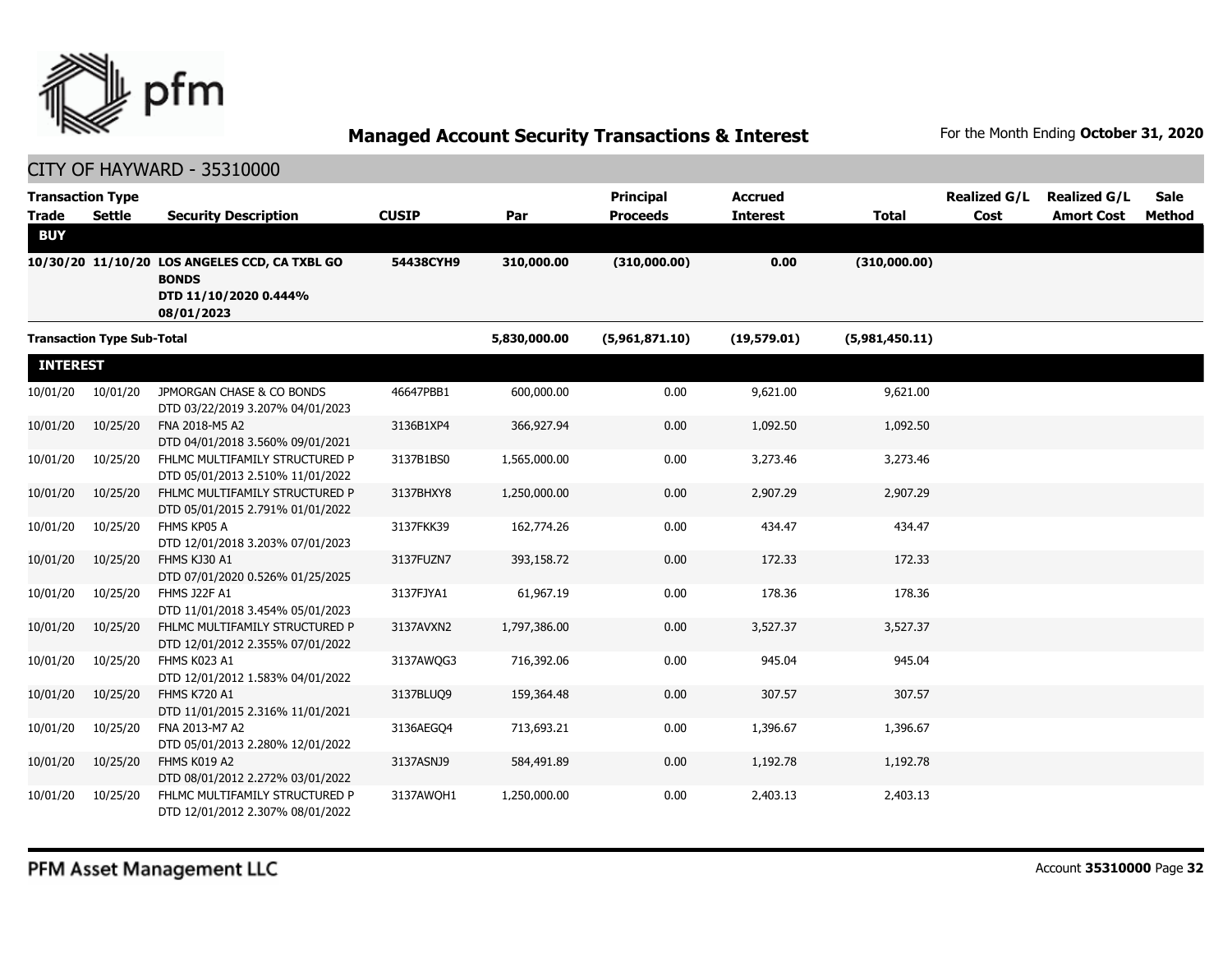

| <b>Transaction Type</b><br><b>Trade</b> | <b>Settle</b>                     | <b>Security Description</b>                                                                          | <b>CUSIP</b> | Par          | <b>Principal</b><br><b>Proceeds</b> | <b>Accrued</b><br><b>Interest</b> | <b>Total</b>   | <b>Realized G/L</b><br>Cost | <b>Realized G/L</b><br><b>Amort Cost</b> | Sale<br><b>Method</b> |
|-----------------------------------------|-----------------------------------|------------------------------------------------------------------------------------------------------|--------------|--------------|-------------------------------------|-----------------------------------|----------------|-----------------------------|------------------------------------------|-----------------------|
| <b>BUY</b>                              |                                   |                                                                                                      |              |              |                                     |                                   |                |                             |                                          |                       |
|                                         |                                   | 10/30/20 11/10/20 LOS ANGELES CCD, CA TXBL GO<br><b>BONDS</b><br>DTD 11/10/2020 0.444%<br>08/01/2023 | 54438CYH9    | 310,000.00   | (310,000.00)                        | 0.00                              | (310,000.00)   |                             |                                          |                       |
|                                         | <b>Transaction Type Sub-Total</b> |                                                                                                      |              | 5,830,000.00 | (5,961,871.10)                      | (19,579.01)                       | (5,981,450.11) |                             |                                          |                       |
| <b>INTEREST</b>                         |                                   |                                                                                                      |              |              |                                     |                                   |                |                             |                                          |                       |
| 10/01/20                                | 10/01/20                          | JPMORGAN CHASE & CO BONDS<br>DTD 03/22/2019 3.207% 04/01/2023                                        | 46647PBB1    | 600,000.00   | 0.00                                | 9,621.00                          | 9,621.00       |                             |                                          |                       |
| 10/01/20                                | 10/25/20                          | FNA 2018-M5 A2<br>DTD 04/01/2018 3.560% 09/01/2021                                                   | 3136B1XP4    | 366,927.94   | 0.00                                | 1,092.50                          | 1,092.50       |                             |                                          |                       |
| 10/01/20                                | 10/25/20                          | FHLMC MULTIFAMILY STRUCTURED P<br>DTD 05/01/2013 2.510% 11/01/2022                                   | 3137B1BS0    | 1,565,000.00 | 0.00                                | 3,273.46                          | 3,273.46       |                             |                                          |                       |
| 10/01/20                                | 10/25/20                          | FHLMC MULTIFAMILY STRUCTURED P<br>DTD 05/01/2015 2.791% 01/01/2022                                   | 3137BHXY8    | 1,250,000.00 | 0.00                                | 2,907.29                          | 2,907.29       |                             |                                          |                       |
| 10/01/20                                | 10/25/20                          | FHMS KP05 A<br>DTD 12/01/2018 3.203% 07/01/2023                                                      | 3137FKK39    | 162,774.26   | 0.00                                | 434.47                            | 434.47         |                             |                                          |                       |
| 10/01/20                                | 10/25/20                          | FHMS KJ30 A1<br>DTD 07/01/2020 0.526% 01/25/2025                                                     | 3137FUZN7    | 393,158.72   | 0.00                                | 172.33                            | 172.33         |                             |                                          |                       |
| 10/01/20                                | 10/25/20                          | <b>FHMS J22F A1</b><br>DTD 11/01/2018 3.454% 05/01/2023                                              | 3137FJYA1    | 61,967.19    | 0.00                                | 178.36                            | 178.36         |                             |                                          |                       |
| 10/01/20                                | 10/25/20                          | FHLMC MULTIFAMILY STRUCTURED P<br>DTD 12/01/2012 2.355% 07/01/2022                                   | 3137AVXN2    | 1,797,386.00 | 0.00                                | 3,527.37                          | 3,527.37       |                             |                                          |                       |
| 10/01/20                                | 10/25/20                          | FHMS K023 A1<br>DTD 12/01/2012 1.583% 04/01/2022                                                     | 3137AWQG3    | 716,392.06   | 0.00                                | 945.04                            | 945.04         |                             |                                          |                       |
| 10/01/20                                | 10/25/20                          | <b>FHMS K720 A1</b><br>DTD 11/01/2015 2.316% 11/01/2021                                              | 3137BLUO9    | 159,364.48   | 0.00                                | 307.57                            | 307.57         |                             |                                          |                       |
| 10/01/20                                | 10/25/20                          | FNA 2013-M7 A2<br>DTD 05/01/2013 2.280% 12/01/2022                                                   | 3136AEGQ4    | 713,693.21   | 0.00                                | 1,396.67                          | 1,396.67       |                             |                                          |                       |
| 10/01/20                                | 10/25/20                          | FHMS K019 A2<br>DTD 08/01/2012 2.272% 03/01/2022                                                     | 3137ASNJ9    | 584,491.89   | 0.00                                | 1,192.78                          | 1,192.78       |                             |                                          |                       |
| 10/01/20                                | 10/25/20                          | FHLMC MULTIFAMILY STRUCTURED P<br>DTD 12/01/2012 2.307% 08/01/2022                                   | 3137AWQH1    | 1,250,000.00 | 0.00                                | 2,403.13                          | 2,403.13       |                             |                                          |                       |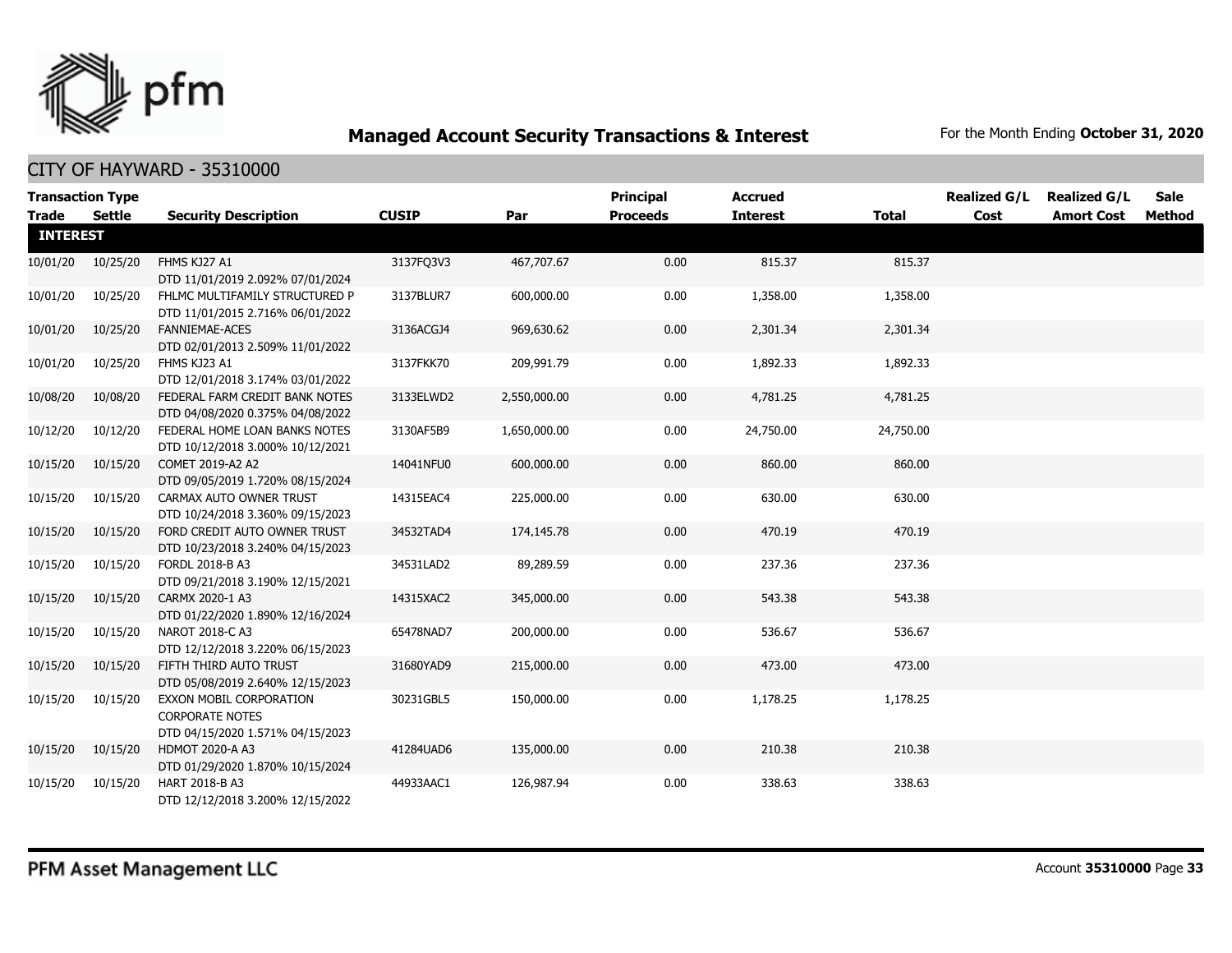

|                 | <b>Transaction Type</b> |                                                                                       |              |              | <b>Principal</b> | <b>Accrued</b>  |              | <b>Realized G/L</b> | <b>Realized G/L</b> | <b>Sale</b> |
|-----------------|-------------------------|---------------------------------------------------------------------------------------|--------------|--------------|------------------|-----------------|--------------|---------------------|---------------------|-------------|
| <b>Trade</b>    | <b>Settle</b>           | <b>Security Description</b>                                                           | <b>CUSIP</b> | Par          | <b>Proceeds</b>  | <b>Interest</b> | <b>Total</b> | Cost                | <b>Amort Cost</b>   | Method      |
| <b>INTEREST</b> |                         |                                                                                       |              |              |                  |                 |              |                     |                     |             |
| 10/01/20        | 10/25/20                | FHMS KJ27 A1<br>DTD 11/01/2019 2.092% 07/01/2024                                      | 3137FQ3V3    | 467,707.67   | 0.00             | 815.37          | 815.37       |                     |                     |             |
| 10/01/20        | 10/25/20                | FHLMC MULTIFAMILY STRUCTURED P<br>DTD 11/01/2015 2.716% 06/01/2022                    | 3137BLUR7    | 600,000.00   | 0.00             | 1,358.00        | 1,358.00     |                     |                     |             |
| 10/01/20        | 10/25/20                | <b>FANNIEMAE-ACES</b><br>DTD 02/01/2013 2.509% 11/01/2022                             | 3136ACGJ4    | 969,630.62   | 0.00             | 2,301.34        | 2,301.34     |                     |                     |             |
| 10/01/20        | 10/25/20                | FHMS KJ23 A1<br>DTD 12/01/2018 3.174% 03/01/2022                                      | 3137FKK70    | 209,991.79   | 0.00             | 1,892.33        | 1,892.33     |                     |                     |             |
| 10/08/20        | 10/08/20                | FEDERAL FARM CREDIT BANK NOTES<br>DTD 04/08/2020 0.375% 04/08/2022                    | 3133ELWD2    | 2,550,000.00 | 0.00             | 4,781.25        | 4,781.25     |                     |                     |             |
| 10/12/20        | 10/12/20                | FEDERAL HOME LOAN BANKS NOTES<br>DTD 10/12/2018 3.000% 10/12/2021                     | 3130AF5B9    | 1,650,000.00 | 0.00             | 24,750.00       | 24,750.00    |                     |                     |             |
| 10/15/20        | 10/15/20                | COMET 2019-A2 A2<br>DTD 09/05/2019 1.720% 08/15/2024                                  | 14041NFU0    | 600,000.00   | 0.00             | 860.00          | 860.00       |                     |                     |             |
| 10/15/20        | 10/15/20                | CARMAX AUTO OWNER TRUST<br>DTD 10/24/2018 3.360% 09/15/2023                           | 14315EAC4    | 225,000.00   | 0.00             | 630.00          | 630.00       |                     |                     |             |
| 10/15/20        | 10/15/20                | FORD CREDIT AUTO OWNER TRUST<br>DTD 10/23/2018 3.240% 04/15/2023                      | 34532TAD4    | 174,145.78   | 0.00             | 470.19          | 470.19       |                     |                     |             |
| 10/15/20        | 10/15/20                | FORDL 2018-B A3<br>DTD 09/21/2018 3.190% 12/15/2021                                   | 34531LAD2    | 89,289.59    | 0.00             | 237.36          | 237.36       |                     |                     |             |
| 10/15/20        | 10/15/20                | CARMX 2020-1 A3<br>DTD 01/22/2020 1.890% 12/16/2024                                   | 14315XAC2    | 345,000.00   | 0.00             | 543.38          | 543.38       |                     |                     |             |
| 10/15/20        | 10/15/20                | NAROT 2018-C A3<br>DTD 12/12/2018 3.220% 06/15/2023                                   | 65478NAD7    | 200,000.00   | 0.00             | 536.67          | 536.67       |                     |                     |             |
| 10/15/20        | 10/15/20                | FIFTH THIRD AUTO TRUST<br>DTD 05/08/2019 2.640% 12/15/2023                            | 31680YAD9    | 215,000.00   | 0.00             | 473.00          | 473.00       |                     |                     |             |
| 10/15/20        | 10/15/20                | EXXON MOBIL CORPORATION<br><b>CORPORATE NOTES</b><br>DTD 04/15/2020 1.571% 04/15/2023 | 30231GBL5    | 150,000.00   | 0.00             | 1,178.25        | 1,178.25     |                     |                     |             |
| 10/15/20        | 10/15/20                | <b>HDMOT 2020-A A3</b><br>DTD 01/29/2020 1.870% 10/15/2024                            | 41284UAD6    | 135,000.00   | 0.00             | 210.38          | 210.38       |                     |                     |             |
| 10/15/20        | 10/15/20                | HART 2018-B A3<br>DTD 12/12/2018 3.200% 12/15/2022                                    | 44933AAC1    | 126,987.94   | 0.00             | 338.63          | 338.63       |                     |                     |             |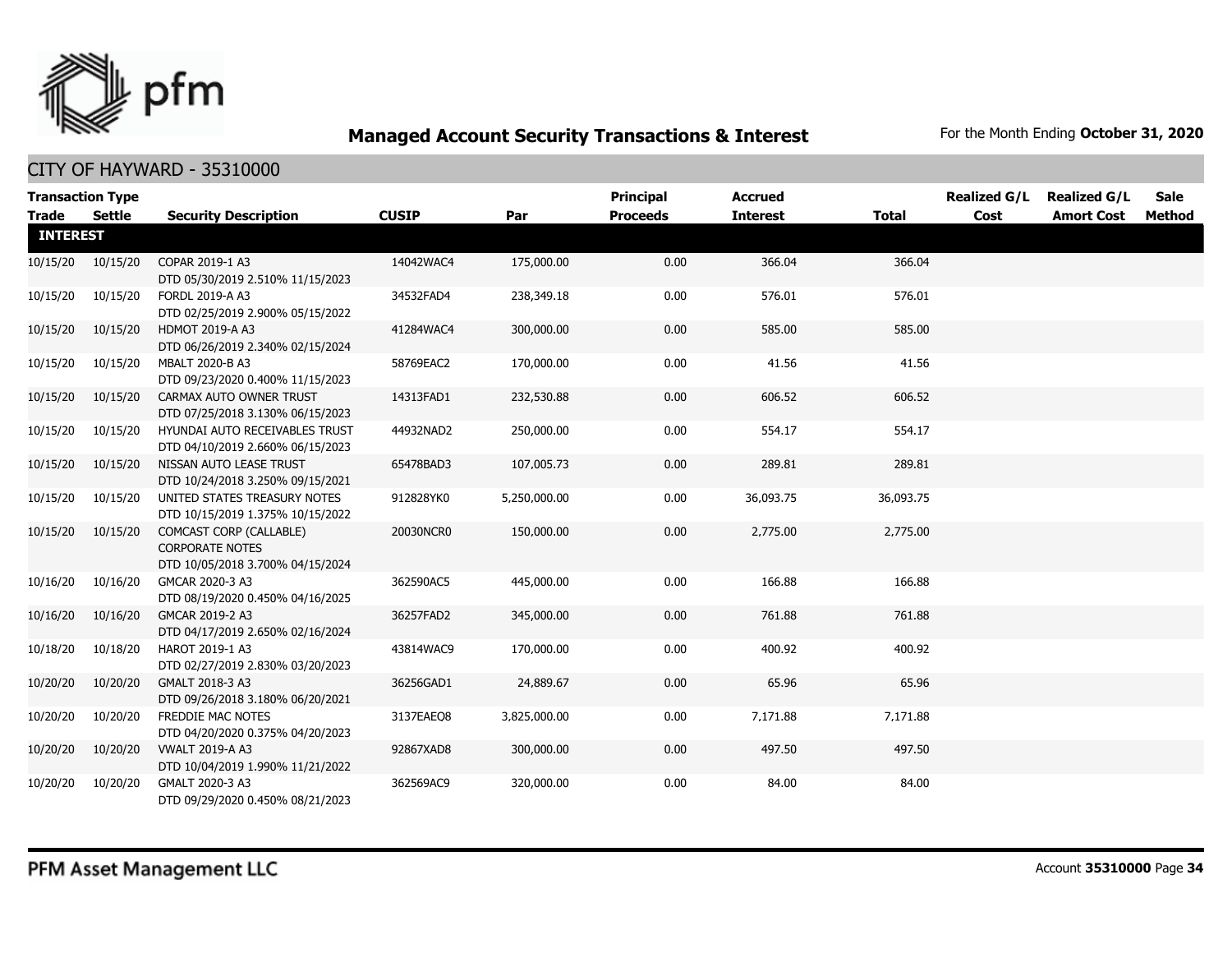

| Trade           | <b>Transaction Type</b><br><b>Settle</b> | <b>Security Description</b>                                                           | <b>CUSIP</b> | Par          | <b>Principal</b><br><b>Proceeds</b> | <b>Accrued</b><br><b>Interest</b> | <b>Total</b> | <b>Realized G/L</b><br>Cost | <b>Realized G/L</b><br><b>Amort Cost</b> | <b>Sale</b><br>Method |
|-----------------|------------------------------------------|---------------------------------------------------------------------------------------|--------------|--------------|-------------------------------------|-----------------------------------|--------------|-----------------------------|------------------------------------------|-----------------------|
| <b>INTEREST</b> |                                          |                                                                                       |              |              |                                     |                                   |              |                             |                                          |                       |
|                 | 10/15/20 10/15/20                        | COPAR 2019-1 A3<br>DTD 05/30/2019 2.510% 11/15/2023                                   | 14042WAC4    | 175,000.00   | 0.00                                | 366.04                            | 366.04       |                             |                                          |                       |
| 10/15/20        | 10/15/20                                 | FORDL 2019-A A3<br>DTD 02/25/2019 2.900% 05/15/2022                                   | 34532FAD4    | 238,349.18   | 0.00                                | 576.01                            | 576.01       |                             |                                          |                       |
| 10/15/20        | 10/15/20                                 | <b>HDMOT 2019-A A3</b><br>DTD 06/26/2019 2.340% 02/15/2024                            | 41284WAC4    | 300,000.00   | 0.00                                | 585.00                            | 585.00       |                             |                                          |                       |
| 10/15/20        | 10/15/20                                 | MBALT 2020-B A3<br>DTD 09/23/2020 0.400% 11/15/2023                                   | 58769EAC2    | 170,000.00   | 0.00                                | 41.56                             | 41.56        |                             |                                          |                       |
| 10/15/20        | 10/15/20                                 | CARMAX AUTO OWNER TRUST<br>DTD 07/25/2018 3.130% 06/15/2023                           | 14313FAD1    | 232,530.88   | 0.00                                | 606.52                            | 606.52       |                             |                                          |                       |
| 10/15/20        | 10/15/20                                 | HYUNDAI AUTO RECEIVABLES TRUST<br>DTD 04/10/2019 2.660% 06/15/2023                    | 44932NAD2    | 250,000.00   | 0.00                                | 554.17                            | 554.17       |                             |                                          |                       |
| 10/15/20        | 10/15/20                                 | NISSAN AUTO LEASE TRUST<br>DTD 10/24/2018 3.250% 09/15/2021                           | 65478BAD3    | 107,005.73   | 0.00                                | 289.81                            | 289.81       |                             |                                          |                       |
| 10/15/20        | 10/15/20                                 | UNITED STATES TREASURY NOTES<br>DTD 10/15/2019 1.375% 10/15/2022                      | 912828YK0    | 5,250,000.00 | 0.00                                | 36,093.75                         | 36,093.75    |                             |                                          |                       |
| 10/15/20        | 10/15/20                                 | COMCAST CORP (CALLABLE)<br><b>CORPORATE NOTES</b><br>DTD 10/05/2018 3.700% 04/15/2024 | 20030NCR0    | 150,000.00   | 0.00                                | 2,775.00                          | 2,775.00     |                             |                                          |                       |
| 10/16/20        | 10/16/20                                 | GMCAR 2020-3 A3<br>DTD 08/19/2020 0.450% 04/16/2025                                   | 362590AC5    | 445,000.00   | 0.00                                | 166.88                            | 166.88       |                             |                                          |                       |
| 10/16/20        | 10/16/20                                 | GMCAR 2019-2 A3<br>DTD 04/17/2019 2.650% 02/16/2024                                   | 36257FAD2    | 345,000.00   | 0.00                                | 761.88                            | 761.88       |                             |                                          |                       |
| 10/18/20        | 10/18/20                                 | HAROT 2019-1 A3<br>DTD 02/27/2019 2.830% 03/20/2023                                   | 43814WAC9    | 170,000.00   | 0.00                                | 400.92                            | 400.92       |                             |                                          |                       |
| 10/20/20        | 10/20/20                                 | GMALT 2018-3 A3<br>DTD 09/26/2018 3.180% 06/20/2021                                   | 36256GAD1    | 24,889.67    | 0.00                                | 65.96                             | 65.96        |                             |                                          |                       |
| 10/20/20        | 10/20/20                                 | <b>FREDDIE MAC NOTES</b><br>DTD 04/20/2020 0.375% 04/20/2023                          | 3137EAEO8    | 3,825,000.00 | 0.00                                | 7,171.88                          | 7,171.88     |                             |                                          |                       |
| 10/20/20        | 10/20/20                                 | <b>VWALT 2019-A A3</b><br>DTD 10/04/2019 1.990% 11/21/2022                            | 92867XAD8    | 300,000.00   | 0.00                                | 497.50                            | 497.50       |                             |                                          |                       |
| 10/20/20        | 10/20/20                                 | GMALT 2020-3 A3<br>DTD 09/29/2020 0.450% 08/21/2023                                   | 362569AC9    | 320,000.00   | 0.00                                | 84.00                             | 84.00        |                             |                                          |                       |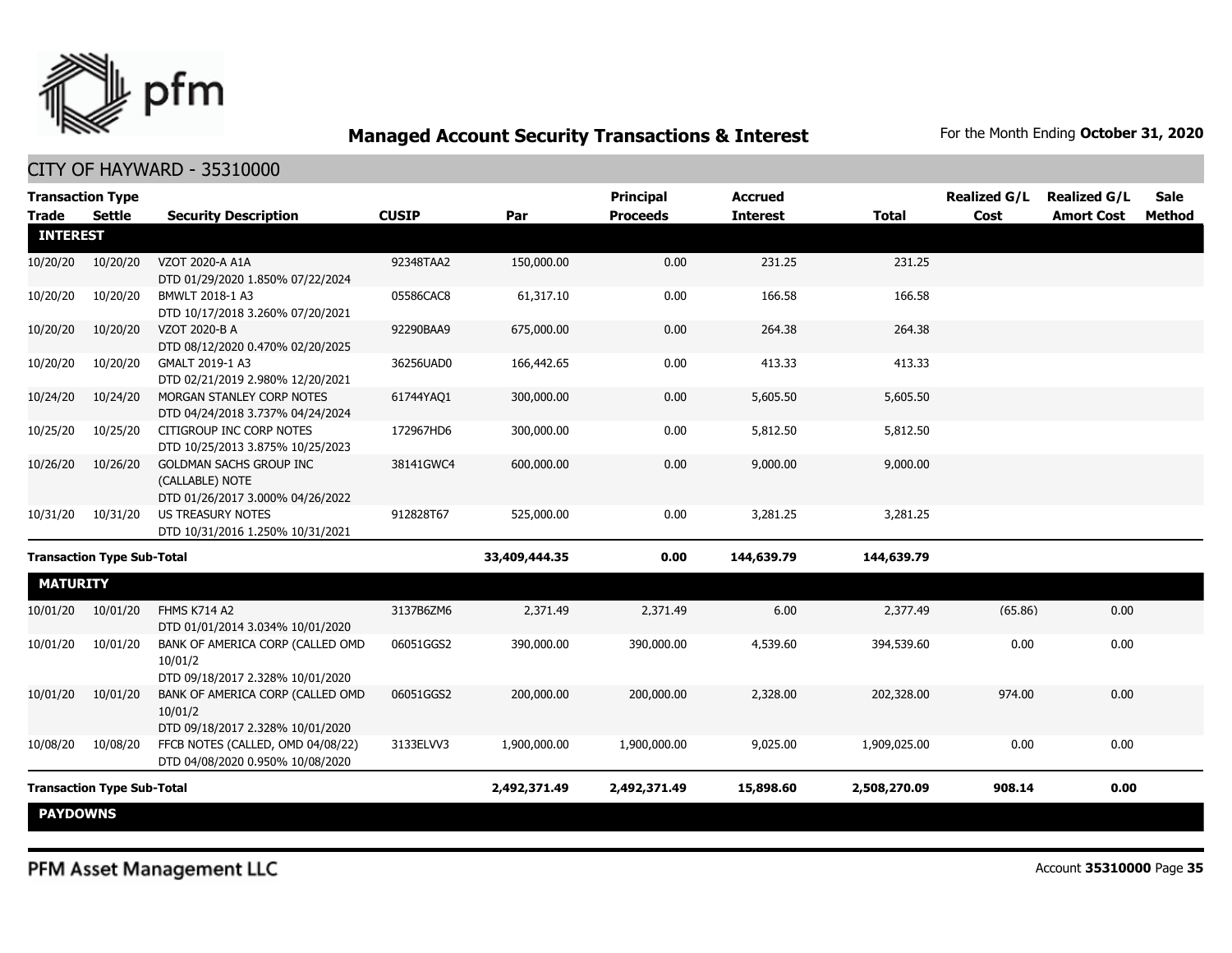

| <b>Transaction Type</b><br><b>Trade</b><br><b>Settle</b> |          | <b>Security Description</b>                                                     | <b>CUSIP</b>  | Par          | <b>Principal</b><br><b>Proceeds</b> | <b>Accrued</b><br><b>Interest</b> | <b>Total</b> | <b>Realized G/L</b><br>Cost | <b>Realized G/L</b><br><b>Amort Cost</b> | <b>Sale</b><br>Method |
|----------------------------------------------------------|----------|---------------------------------------------------------------------------------|---------------|--------------|-------------------------------------|-----------------------------------|--------------|-----------------------------|------------------------------------------|-----------------------|
| <b>INTEREST</b>                                          |          |                                                                                 |               |              |                                     |                                   |              |                             |                                          |                       |
| 10/20/20                                                 | 10/20/20 | VZOT 2020-A A1A<br>DTD 01/29/2020 1.850% 07/22/2024                             | 92348TAA2     | 150,000.00   | 0.00                                | 231.25                            | 231.25       |                             |                                          |                       |
| 10/20/20                                                 | 10/20/20 | BMWLT 2018-1 A3<br>DTD 10/17/2018 3.260% 07/20/2021                             | 05586CAC8     | 61,317.10    | 0.00                                | 166.58                            | 166.58       |                             |                                          |                       |
| 10/20/20                                                 | 10/20/20 | VZOT 2020-B A<br>DTD 08/12/2020 0.470% 02/20/2025                               | 92290BAA9     | 675,000.00   | 0.00                                | 264.38                            | 264.38       |                             |                                          |                       |
| 10/20/20                                                 | 10/20/20 | GMALT 2019-1 A3<br>DTD 02/21/2019 2.980% 12/20/2021                             | 36256UAD0     | 166,442.65   | 0.00                                | 413.33                            | 413.33       |                             |                                          |                       |
| 10/24/20                                                 | 10/24/20 | MORGAN STANLEY CORP NOTES<br>DTD 04/24/2018 3.737% 04/24/2024                   | 61744YAQ1     | 300,000.00   | 0.00                                | 5,605.50                          | 5,605.50     |                             |                                          |                       |
| 10/25/20                                                 | 10/25/20 | CITIGROUP INC CORP NOTES<br>DTD 10/25/2013 3.875% 10/25/2023                    | 172967HD6     | 300,000.00   | 0.00                                | 5,812.50                          | 5,812.50     |                             |                                          |                       |
| 10/26/20                                                 | 10/26/20 | GOLDMAN SACHS GROUP INC<br>(CALLABLE) NOTE<br>DTD 01/26/2017 3.000% 04/26/2022  | 38141GWC4     | 600,000.00   | 0.00                                | 9,000.00                          | 9,000.00     |                             |                                          |                       |
| 10/31/20                                                 | 10/31/20 | <b>US TREASURY NOTES</b><br>DTD 10/31/2016 1.250% 10/31/2021                    | 912828T67     | 525,000.00   | 0.00                                | 3,281.25                          | 3,281.25     |                             |                                          |                       |
| <b>Transaction Type Sub-Total</b>                        |          |                                                                                 | 33,409,444.35 | 0.00         | 144,639.79                          | 144,639.79                        |              |                             |                                          |                       |
| <b>MATURITY</b>                                          |          |                                                                                 |               |              |                                     |                                   |              |                             |                                          |                       |
| 10/01/20                                                 | 10/01/20 | <b>FHMS K714 A2</b><br>DTD 01/01/2014 3.034% 10/01/2020                         | 3137B6ZM6     | 2,371.49     | 2,371.49                            | 6.00                              | 2,377.49     | (65.86)                     | 0.00                                     |                       |
| 10/01/20                                                 | 10/01/20 | BANK OF AMERICA CORP (CALLED OMD<br>10/01/2<br>DTD 09/18/2017 2.328% 10/01/2020 | 06051GGS2     | 390,000.00   | 390,000.00                          | 4,539.60                          | 394,539.60   | 0.00                        | 0.00                                     |                       |
| 10/01/20                                                 | 10/01/20 | BANK OF AMERICA CORP (CALLED OMD<br>10/01/2<br>DTD 09/18/2017 2.328% 10/01/2020 | 06051GGS2     | 200,000.00   | 200,000.00                          | 2,328.00                          | 202,328.00   | 974.00                      | 0.00                                     |                       |
| 10/08/20                                                 | 10/08/20 | FFCB NOTES (CALLED, OMD 04/08/22)<br>DTD 04/08/2020 0.950% 10/08/2020           | 3133ELVV3     | 1,900,000.00 | 1,900,000.00                        | 9,025.00                          | 1,909,025.00 | 0.00                        | 0.00                                     |                       |
| <b>Transaction Type Sub-Total</b>                        |          |                                                                                 |               | 2,492,371.49 | 2,492,371.49                        | 15,898.60                         | 2,508,270.09 | 908.14                      | 0.00                                     |                       |
| <b>PAYDOWNS</b>                                          |          |                                                                                 |               |              |                                     |                                   |              |                             |                                          |                       |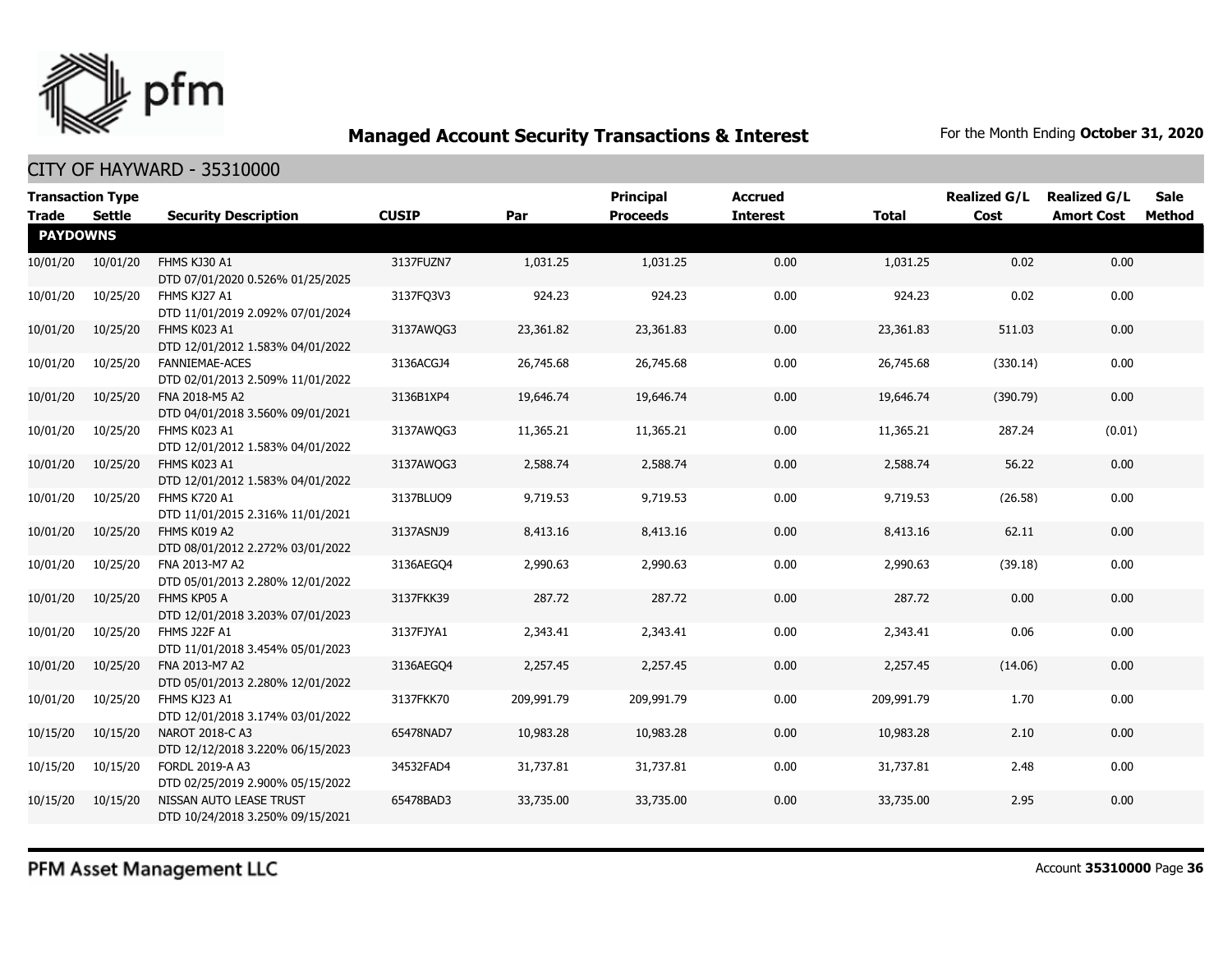

| <b>Transaction Type</b><br><b>Trade</b> | Settle   | <b>Security Description</b>                                 | <b>CUSIP</b> | Par        | <b>Principal</b><br><b>Proceeds</b> | <b>Accrued</b><br><b>Interest</b> | <b>Total</b> | <b>Realized G/L</b><br>Cost | <b>Realized G/L</b><br><b>Amort Cost</b> | Sale<br>Method |
|-----------------------------------------|----------|-------------------------------------------------------------|--------------|------------|-------------------------------------|-----------------------------------|--------------|-----------------------------|------------------------------------------|----------------|
| <b>PAYDOWNS</b>                         |          |                                                             |              |            |                                     |                                   |              |                             |                                          |                |
| 10/01/20                                | 10/01/20 | FHMS KJ30 A1<br>DTD 07/01/2020 0.526% 01/25/2025            | 3137FUZN7    | 1,031.25   | 1,031.25                            | 0.00                              | 1,031.25     | 0.02                        | 0.00                                     |                |
| 10/01/20                                | 10/25/20 | FHMS KJ27 A1<br>DTD 11/01/2019 2.092% 07/01/2024            | 3137FQ3V3    | 924.23     | 924.23                              | 0.00                              | 924.23       | 0.02                        | 0.00                                     |                |
| 10/01/20                                | 10/25/20 | FHMS K023 A1<br>DTD 12/01/2012 1.583% 04/01/2022            | 3137AWQG3    | 23,361.82  | 23,361.83                           | 0.00                              | 23,361.83    | 511.03                      | 0.00                                     |                |
| 10/01/20                                | 10/25/20 | <b>FANNIEMAE-ACES</b><br>DTD 02/01/2013 2.509% 11/01/2022   | 3136ACGJ4    | 26,745.68  | 26,745.68                           | 0.00                              | 26,745.68    | (330.14)                    | 0.00                                     |                |
| 10/01/20                                | 10/25/20 | FNA 2018-M5 A2<br>DTD 04/01/2018 3.560% 09/01/2021          | 3136B1XP4    | 19,646.74  | 19,646.74                           | 0.00                              | 19,646.74    | (390.79)                    | 0.00                                     |                |
| 10/01/20                                | 10/25/20 | FHMS K023 A1<br>DTD 12/01/2012 1.583% 04/01/2022            | 3137AWQG3    | 11,365.21  | 11,365.21                           | 0.00                              | 11,365.21    | 287.24                      | (0.01)                                   |                |
| 10/01/20                                | 10/25/20 | FHMS K023 A1<br>DTD 12/01/2012 1.583% 04/01/2022            | 3137AWQG3    | 2,588.74   | 2,588.74                            | 0.00                              | 2,588.74     | 56.22                       | 0.00                                     |                |
| 10/01/20                                | 10/25/20 | <b>FHMS K720 A1</b><br>DTD 11/01/2015 2.316% 11/01/2021     | 3137BLUQ9    | 9,719.53   | 9,719.53                            | 0.00                              | 9,719.53     | (26.58)                     | 0.00                                     |                |
| 10/01/20                                | 10/25/20 | FHMS K019 A2<br>DTD 08/01/2012 2.272% 03/01/2022            | 3137ASNJ9    | 8,413.16   | 8,413.16                            | 0.00                              | 8,413.16     | 62.11                       | 0.00                                     |                |
| 10/01/20                                | 10/25/20 | FNA 2013-M7 A2<br>DTD 05/01/2013 2.280% 12/01/2022          | 3136AEGO4    | 2,990.63   | 2,990.63                            | 0.00                              | 2,990.63     | (39.18)                     | 0.00                                     |                |
| 10/01/20                                | 10/25/20 | FHMS KP05 A<br>DTD 12/01/2018 3.203% 07/01/2023             | 3137FKK39    | 287.72     | 287.72                              | 0.00                              | 287.72       | 0.00                        | 0.00                                     |                |
| 10/01/20                                | 10/25/20 | FHMS J22F A1<br>DTD 11/01/2018 3.454% 05/01/2023            | 3137FJYA1    | 2,343.41   | 2,343.41                            | 0.00                              | 2,343.41     | 0.06                        | 0.00                                     |                |
| 10/01/20                                | 10/25/20 | FNA 2013-M7 A2<br>DTD 05/01/2013 2.280% 12/01/2022          | 3136AEGO4    | 2,257.45   | 2,257.45                            | 0.00                              | 2,257.45     | (14.06)                     | 0.00                                     |                |
| 10/01/20                                | 10/25/20 | FHMS KJ23 A1<br>DTD 12/01/2018 3.174% 03/01/2022            | 3137FKK70    | 209,991.79 | 209,991.79                          | 0.00                              | 209,991.79   | 1.70                        | 0.00                                     |                |
| 10/15/20                                | 10/15/20 | NAROT 2018-C A3<br>DTD 12/12/2018 3.220% 06/15/2023         | 65478NAD7    | 10,983.28  | 10,983.28                           | 0.00                              | 10,983.28    | 2.10                        | 0.00                                     |                |
| 10/15/20                                | 10/15/20 | FORDL 2019-A A3<br>DTD 02/25/2019 2.900% 05/15/2022         | 34532FAD4    | 31,737.81  | 31,737.81                           | 0.00                              | 31,737.81    | 2.48                        | 0.00                                     |                |
| 10/15/20                                | 10/15/20 | NISSAN AUTO LEASE TRUST<br>DTD 10/24/2018 3.250% 09/15/2021 | 65478BAD3    | 33,735.00  | 33,735.00                           | 0.00                              | 33,735.00    | 2.95                        | 0.00                                     |                |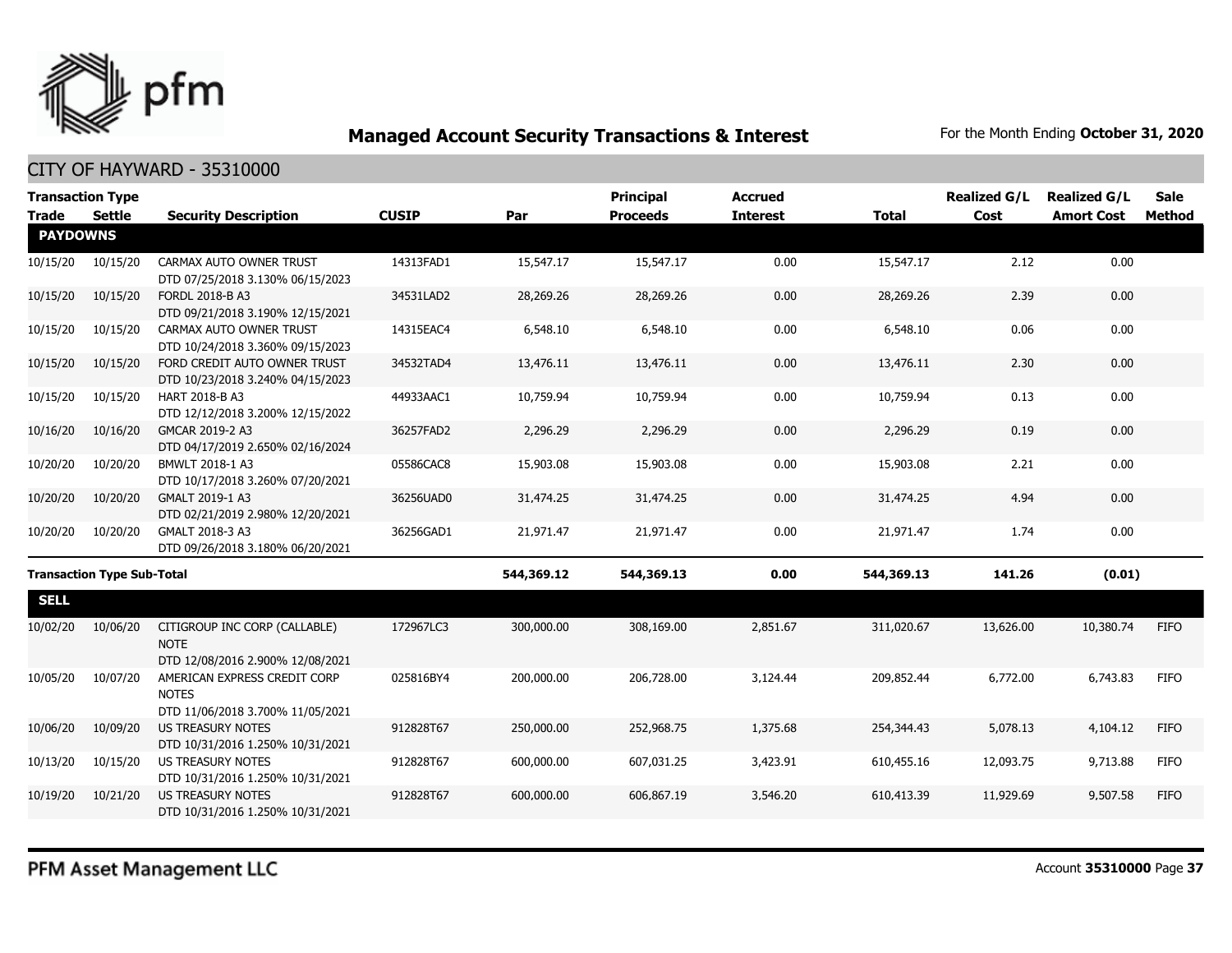

| <b>Transaction Type</b>           |               |                                                                                  |              |            | <b>Principal</b> | <b>Accrued</b>  |              | <b>Realized G/L</b> | <b>Realized G/L</b> | <b>Sale</b>   |
|-----------------------------------|---------------|----------------------------------------------------------------------------------|--------------|------------|------------------|-----------------|--------------|---------------------|---------------------|---------------|
| <b>Trade</b>                      | <b>Settle</b> | <b>Security Description</b>                                                      | <b>CUSIP</b> | Par        | <b>Proceeds</b>  | <b>Interest</b> | <b>Total</b> | Cost                | <b>Amort Cost</b>   | <b>Method</b> |
| <b>PAYDOWNS</b>                   |               |                                                                                  |              |            |                  |                 |              |                     |                     |               |
| 10/15/20                          | 10/15/20      | CARMAX AUTO OWNER TRUST<br>DTD 07/25/2018 3.130% 06/15/2023                      | 14313FAD1    | 15,547.17  | 15,547.17        | 0.00            | 15,547.17    | 2.12                | 0.00                |               |
| 10/15/20                          | 10/15/20      | FORDL 2018-B A3<br>DTD 09/21/2018 3.190% 12/15/2021                              | 34531LAD2    | 28,269.26  | 28,269.26        | 0.00            | 28,269.26    | 2.39                | 0.00                |               |
| 10/15/20                          | 10/15/20      | CARMAX AUTO OWNER TRUST<br>DTD 10/24/2018 3.360% 09/15/2023                      | 14315EAC4    | 6,548.10   | 6,548.10         | 0.00            | 6,548.10     | 0.06                | 0.00                |               |
| 10/15/20                          | 10/15/20      | FORD CREDIT AUTO OWNER TRUST<br>DTD 10/23/2018 3.240% 04/15/2023                 | 34532TAD4    | 13,476.11  | 13,476.11        | 0.00            | 13,476.11    | 2.30                | 0.00                |               |
| 10/15/20                          | 10/15/20      | HART 2018-B A3<br>DTD 12/12/2018 3.200% 12/15/2022                               | 44933AAC1    | 10,759.94  | 10,759.94        | 0.00            | 10,759.94    | 0.13                | 0.00                |               |
| 10/16/20                          | 10/16/20      | GMCAR 2019-2 A3<br>DTD 04/17/2019 2.650% 02/16/2024                              | 36257FAD2    | 2,296.29   | 2,296.29         | 0.00            | 2,296.29     | 0.19                | 0.00                |               |
| 10/20/20                          | 10/20/20      | BMWLT 2018-1 A3<br>DTD 10/17/2018 3.260% 07/20/2021                              | 05586CAC8    | 15,903.08  | 15,903.08        | 0.00            | 15,903.08    | 2.21                | 0.00                |               |
| 10/20/20                          | 10/20/20      | GMALT 2019-1 A3<br>DTD 02/21/2019 2.980% 12/20/2021                              | 36256UAD0    | 31,474.25  | 31,474.25        | 0.00            | 31,474.25    | 4.94                | 0.00                |               |
| 10/20/20                          | 10/20/20      | GMALT 2018-3 A3<br>DTD 09/26/2018 3.180% 06/20/2021                              | 36256GAD1    | 21,971.47  | 21,971.47        | 0.00            | 21,971.47    | 1.74                | 0.00                |               |
| <b>Transaction Type Sub-Total</b> |               |                                                                                  | 544,369.12   | 544,369.13 | 0.00             | 544,369.13      | 141.26       | (0.01)              |                     |               |
| <b>SELL</b>                       |               |                                                                                  |              |            |                  |                 |              |                     |                     |               |
| 10/02/20                          | 10/06/20      | CITIGROUP INC CORP (CALLABLE)<br><b>NOTE</b><br>DTD 12/08/2016 2.900% 12/08/2021 | 172967LC3    | 300,000.00 | 308,169.00       | 2,851.67        | 311,020.67   | 13,626.00           | 10,380.74           | <b>FIFO</b>   |
| 10/05/20                          | 10/07/20      | AMERICAN EXPRESS CREDIT CORP<br><b>NOTES</b><br>DTD 11/06/2018 3.700% 11/05/2021 | 025816BY4    | 200,000.00 | 206,728.00       | 3,124.44        | 209,852.44   | 6,772.00            | 6,743.83            | <b>FIFO</b>   |
| 10/06/20                          | 10/09/20      | US TREASURY NOTES<br>DTD 10/31/2016 1.250% 10/31/2021                            | 912828T67    | 250,000.00 | 252,968.75       | 1,375.68        | 254,344.43   | 5,078.13            | 4,104.12            | <b>FIFO</b>   |
| 10/13/20                          | 10/15/20      | <b>US TREASURY NOTES</b><br>DTD 10/31/2016 1.250% 10/31/2021                     | 912828T67    | 600,000.00 | 607,031.25       | 3,423.91        | 610,455.16   | 12,093.75           | 9,713.88            | <b>FIFO</b>   |
| 10/19/20                          | 10/21/20      | <b>US TREASURY NOTES</b><br>DTD 10/31/2016 1.250% 10/31/2021                     | 912828T67    | 600,000.00 | 606,867.19       | 3,546.20        | 610,413.39   | 11,929.69           | 9,507.58            | <b>FIFO</b>   |